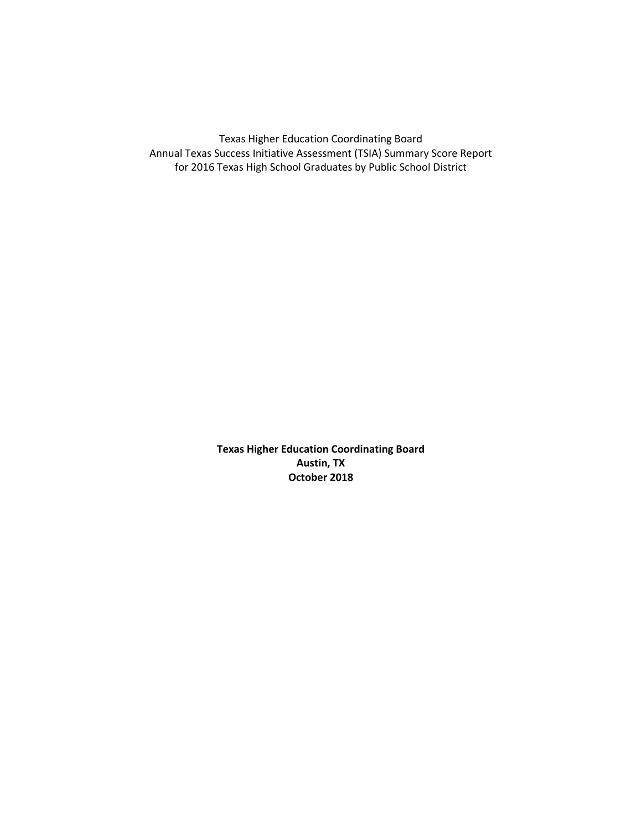Texas Higher Education Coordinating Board Annual Texas Success Initiative Assessment (TSIA) Summary Score Report for 2016 Texas High School Graduates by Public School District

> **Texas Higher Education Coordinating Board Austin, TX October 2018**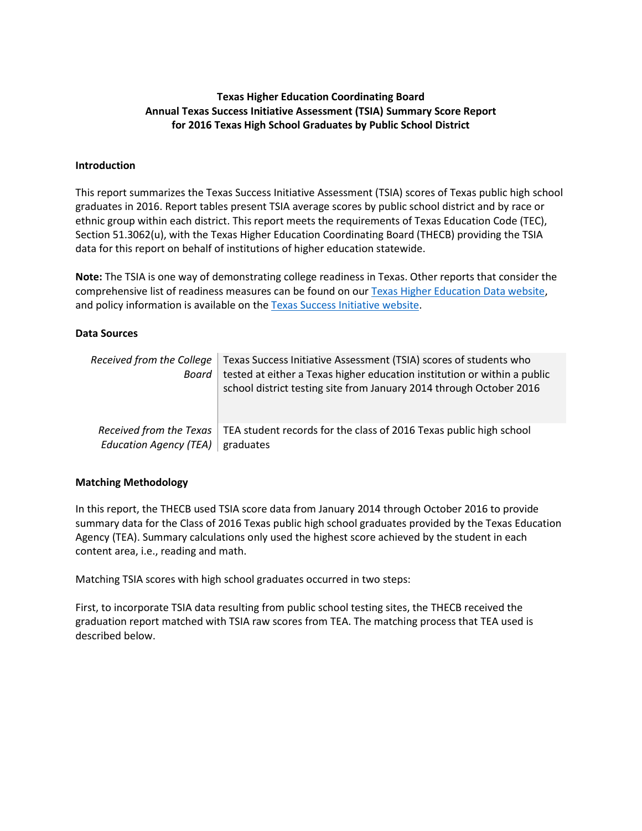#### **Texas Higher Education Coordinating Board Annual Texas Success Initiative Assessment (TSIA) Summary Score Report for 2016 Texas High School Graduates by Public School District**

#### **Introduction**

This report summarizes the Texas Success Initiative Assessment (TSIA) scores of Texas public high school graduates in 2016. Report tables present TSIA average scores by public school district and by race or ethnic group within each district. This report meets the requirements of Texas Education Code (TEC), Section 51.3062(u), with the Texas Higher Education Coordinating Board (THECB) providing the TSIA data for this report on behalf of institutions of higher education statewide.

**Note:** The TSIA is one way of demonstrating college readiness in Texas. Other reports that consider the comprehensive list of readiness measures can be found on our Texas [Higher Education Data website,](http://www.txhighereddata.org/) and policy information is available on th[e Texas Success Initiative website.](http://www.thecb.state.tx.us/index.cfm?objectid=DB386300-1C05-11E8-BC500050560100A9)

#### **Data Sources**

| Board                                    | Received from the College   Texas Success Initiative Assessment (TSIA) scores of students who<br>tested at either a Texas higher education institution or within a public<br>school district testing site from January 2014 through October 2016 |
|------------------------------------------|--------------------------------------------------------------------------------------------------------------------------------------------------------------------------------------------------------------------------------------------------|
| Education Agency (TEA) $\vert$ graduates | Received from the Texas   TEA student records for the class of 2016 Texas public high school                                                                                                                                                     |

#### **Matching Methodology**

In this report, the THECB used TSIA score data from January 2014 through October 2016 to provide summary data for the Class of 2016 Texas public high school graduates provided by the Texas Education Agency (TEA). Summary calculations only used the highest score achieved by the student in each content area, i.e., reading and math.

Matching TSIA scores with high school graduates occurred in two steps:

First, to incorporate TSIA data resulting from public school testing sites, the THECB received the graduation report matched with TSIA raw scores from TEA. The matching process that TEA used is described below.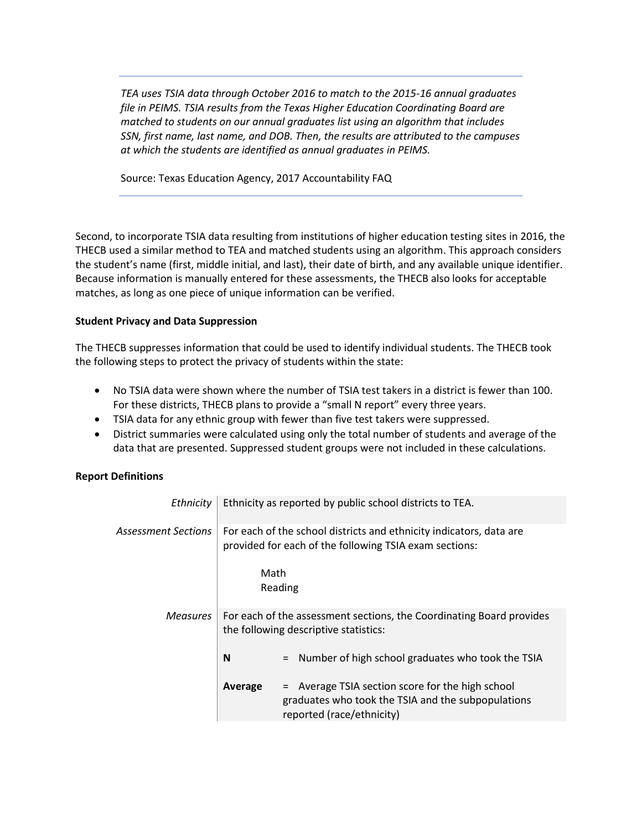*TEA uses TSIA data through October 2016 to match to the 2015-16 annual graduates file in PEIMS. TSIA results from the Texas Higher Education Coordinating Board are matched to students on our annual graduates list using an algorithm that includes SSN, first name, last name, and DOB. Then, the results are attributed to the campuses at which the students are identified as annual graduates in PEIMS.*

Source: Texas Education Agency, 2017 Accountability FAQ

Second, to incorporate TSIA data resulting from institutions of higher education testing sites in 2016, the THECB used a similar method to TEA and matched students using an algorithm. This approach considers the student's name (first, middle initial, and last), their date of birth, and any available unique identifier. Because information is manually entered for these assessments, the THECB also looks for acceptable matches, as long as one piece of unique information can be verified.

#### **Student Privacy and Data Suppression**

The THECB suppresses information that could be used to identify individual students. The THECB took the following steps to protect the privacy of students within the state:

- No TSIA data were shown where the number of TSIA test takers in a district is fewer than 100. For these districts, THECB plans to provide a "small N report" every three years.
- TSIA data for any ethnic group with fewer than five test takers were suppressed.
- District summaries were calculated using only the total number of students and average of the data that are presented. Suppressed student groups were not included in these calculations.

#### **Report Definitions**

| Ethnicity           |         | Ethnicity as reported by public school districts to TEA.                                                                            |
|---------------------|---------|-------------------------------------------------------------------------------------------------------------------------------------|
| Assessment Sections |         | For each of the school districts and ethnicity indicators, data are<br>provided for each of the following TSIA exam sections:       |
|                     | Math    | Reading                                                                                                                             |
| Measures            |         | For each of the assessment sections, the Coordinating Board provides<br>the following descriptive statistics:                       |
|                     | N       | Number of high school graduates who took the TSIA<br>$\equiv$                                                                       |
|                     | Average | = Average TSIA section score for the high school<br>graduates who took the TSIA and the subpopulations<br>reported (race/ethnicity) |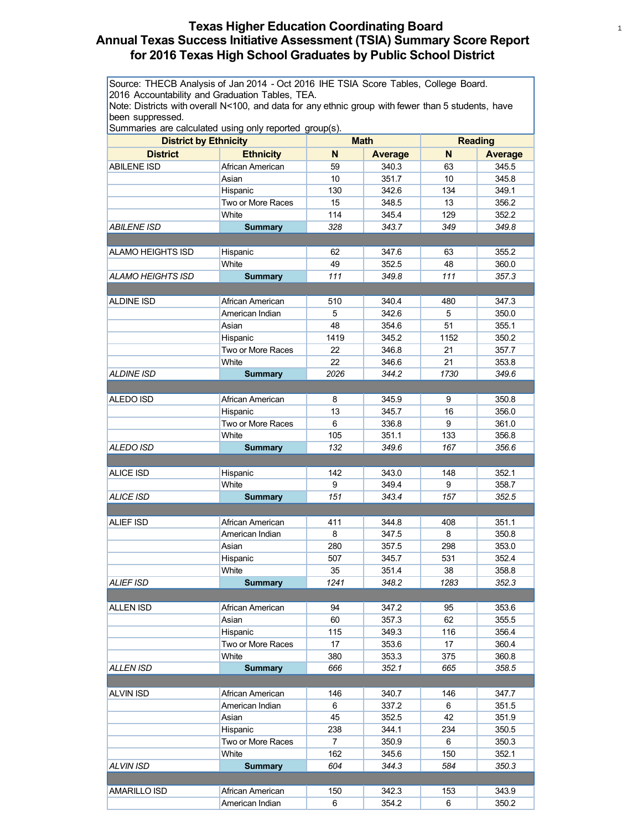# **Texas Higher Education Coordinating Board** <sup>1</sup> **Annual Texas Success Initiative Assessment (TSIA) Summary Score Report for 2016 Texas High School Graduates by Public School District**

Source: THECB Analysis of Jan 2014 - Oct 2016 IHE TSIA Score Tables, College Board. 2016 Accountability and Graduation Tables, TEA.

Note: Districts with overall N<100, and data for any ethnic group with fewer than 5 students, have been suppressed.

| Summaries are calculated using only reported group(s).<br><b>Math</b><br><b>Reading</b> |                   |                |                |      |                |
|-----------------------------------------------------------------------------------------|-------------------|----------------|----------------|------|----------------|
| <b>District by Ethnicity</b>                                                            |                   |                |                |      |                |
| <b>District</b>                                                                         | <b>Ethnicity</b>  | N              | <b>Average</b> | N    | <b>Average</b> |
| ABILENE ISD                                                                             | African American  | 59             | 340.3          | 63   | 345.5          |
|                                                                                         | Asian             | 10             | 351.7          | 10   | 345.8          |
|                                                                                         | Hispanic          | 130            | 342.6          | 134  | 349.1          |
|                                                                                         | Two or More Races | 15             | 348.5          | 13   | 356.2          |
|                                                                                         | White             | 114            | 345.4          | 129  | 352.2          |
| <i>ABILENE ISD</i>                                                                      | <b>Summary</b>    | 328            | 343.7          | 349  | 349.8          |
| <b>ALAMO HEIGHTS ISD</b>                                                                |                   | 62             | 347.6          | 63   | 355.2          |
|                                                                                         | Hispanic<br>White | 49             | 352.5          | 48   | 360.0          |
| <b>ALAMO HEIGHTS ISD</b>                                                                | <b>Summary</b>    | 111            | 349.8          | 111  | 357.3          |
|                                                                                         |                   |                |                |      |                |
| <b>ALDINE ISD</b>                                                                       | African American  | 510            | 340.4          | 480  | 347.3          |
|                                                                                         | American Indian   | 5              | 342.6          | 5    | 350.0          |
|                                                                                         | Asian             | 48             | 354.6          | 51   | 355.1          |
|                                                                                         | Hispanic          | 1419           | 345.2          | 1152 | 350.2          |
|                                                                                         | Two or More Races | 22             | 346.8          | 21   | 357.7          |
|                                                                                         | White             | 22             | 346.6          | 21   | 353.8          |
| <b>ALDINE ISD</b>                                                                       | <b>Summary</b>    | 2026           | 344.2          | 1730 | 349.6          |
|                                                                                         |                   |                |                |      |                |
| ALEDO ISD                                                                               | African American  | 8              | 345.9          | 9    | 350.8          |
|                                                                                         | Hispanic          | 13             | 345.7          | 16   | 356.0          |
|                                                                                         | Two or More Races | 6              | 336.8          | 9    | 361.0          |
|                                                                                         | White             | 105            | 351.1          | 133  | 356.8          |
| <b>ALEDO ISD</b>                                                                        |                   | 132            | 349.6          | 167  | 356.6          |
|                                                                                         | <b>Summary</b>    |                |                |      |                |
| <b>ALICE ISD</b>                                                                        | Hispanic          | 142            | 343.0          | 148  | 352.1          |
|                                                                                         | White             | 9              | 349.4          | 9    | 358.7          |
| <b>ALICE ISD</b>                                                                        | <b>Summary</b>    | 151            | 343.4          | 157  | 352.5          |
|                                                                                         |                   |                |                |      |                |
| <b>ALIEF ISD</b>                                                                        | African American  | 411            | 344.8          | 408  | 351.1          |
|                                                                                         | American Indian   | 8              | 347.5          | 8    | 350.8          |
|                                                                                         | Asian             | 280            | 357.5          | 298  | 353.0          |
|                                                                                         | Hispanic          | 507            | 345.7          | 531  | 352.4          |
|                                                                                         | White             | 35             | 351.4          | 38   | 358.8          |
| ALIEF ISD                                                                               | <b>Summary</b>    | 1241           | 348.2          | 1283 | 352.3          |
|                                                                                         |                   |                |                |      |                |
| <b>ALLEN ISD</b>                                                                        | African American  | 94             | 347.2          | 95   | 353.6          |
|                                                                                         | Asian             | 60             | 357.3          | 62   | 355.5          |
|                                                                                         | Hispanic          | 115            | 349.3          | 116  | 356.4          |
|                                                                                         | Two or More Races | 17             | 353.6          | 17   | 360.4          |
|                                                                                         | White             | 380            | 353.3          | 375  | 360.8          |
| <b>ALLEN ISD</b>                                                                        | <b>Summary</b>    | 666            | 352.1          | 665  | 358.5          |
|                                                                                         |                   |                |                |      |                |
| <b>ALVIN ISD</b>                                                                        | African American  | 146            | 340.7          | 146  | 347.7          |
|                                                                                         | American Indian   | 6              | 337.2          | 6    | 351.5          |
|                                                                                         | Asian             | 45             | 352.5          | 42   | 351.9          |
|                                                                                         | Hispanic          | 238            | 344.1          | 234  | 350.5          |
|                                                                                         | Two or More Races | $\overline{7}$ | 350.9          | 6    | 350.3          |
|                                                                                         | White             | 162            | 345.6          | 150  | 352.1          |
| ALVIN ISD                                                                               | <b>Summary</b>    | 604            | 344.3          | 584  | 350.3          |
|                                                                                         |                   |                |                |      |                |
| AMARILLO ISD                                                                            | African American  | 150            | 342.3          | 153  | 343.9          |
|                                                                                         | American Indian   | 6              | 354.2          | 6    | 350.2          |
|                                                                                         |                   |                |                |      |                |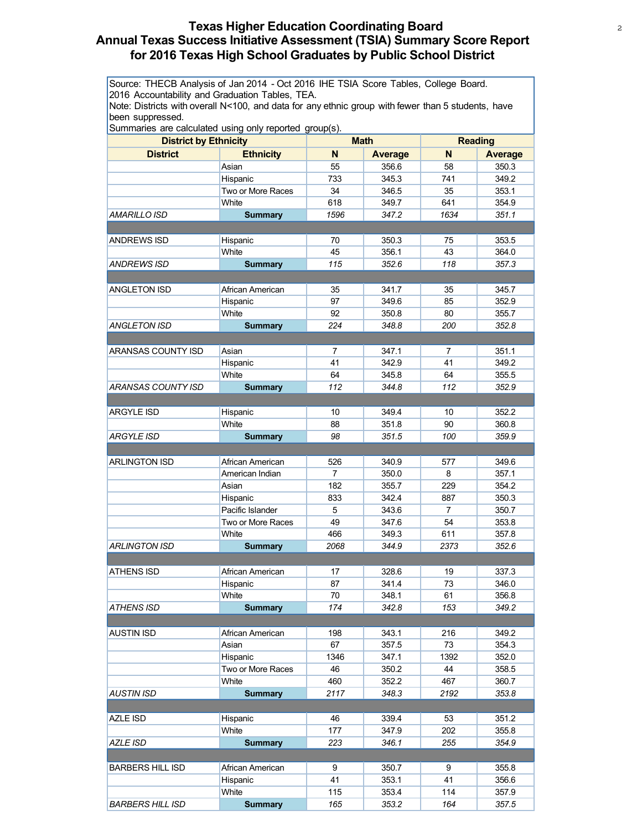# **Texas Higher Education Coordinating Board** <sup>2</sup> **Annual Texas Success Initiative Assessment (TSIA) Summary Score Report for 2016 Texas High School Graduates by Public School District**

Source: THECB Analysis of Jan 2014 - Oct 2016 IHE TSIA Score Tables, College Board. 2016 Accountability and Graduation Tables, TEA.

Note: Districts with overall N<100, and data for any ethnic group with fewer than 5 students, have been suppressed.

| Summaries are calculated using only reported group(s). |                   |                |             |                |                |
|--------------------------------------------------------|-------------------|----------------|-------------|----------------|----------------|
| <b>District by Ethnicity</b>                           |                   |                | <b>Math</b> |                | <b>Reading</b> |
| <b>District</b>                                        | <b>Ethnicity</b>  | N              | Average     | N              | <b>Average</b> |
|                                                        | Asian             | 55             | 356.6       | 58             | 350.3          |
|                                                        | Hispanic          | 733            | 345.3       | 741            | 349.2          |
|                                                        | Two or More Races | 34             | 346.5       | 35             | 353.1          |
|                                                        | White             | 618            | 349.7       | 641            | 354.9          |
| AMARILLO ISD                                           | <b>Summary</b>    | 1596           | 347.2       | 1634           | 351.1          |
|                                                        |                   |                |             |                |                |
| <b>ANDREWS ISD</b>                                     | Hispanic          | 70             | 350.3       | 75             | 353.5          |
|                                                        | White             | 45             | 356.1       | 43             | 364.0          |
| <b>ANDREWS ISD</b>                                     | <b>Summary</b>    | 115            | 352.6       | 118            | 357.3          |
|                                                        |                   |                |             |                |                |
| ANGLETON ISD                                           | African American  | 35             | 341.7       | 35             | 345.7          |
|                                                        | Hispanic          | 97             | 349.6       | 85             | 352.9          |
|                                                        | White             | 92             | 350.8       | 80             | 355.7          |
| <b>ANGLETON ISD</b>                                    | <b>Summary</b>    | 224            | 348.8       | 200            | 352.8          |
|                                                        |                   |                |             |                |                |
| ARANSAS COUNTY ISD                                     | Asian             | $\overline{7}$ | 347.1       | $\overline{7}$ | 351.1          |
|                                                        | Hispanic          | 41             | 342.9       | 41             | 349.2          |
|                                                        | White             | 64             | 345.8       | 64             | 355.5          |
| ARANSAS COUNTY ISD                                     | <b>Summary</b>    | 112            | 344.8       | 112            | 352.9          |
|                                                        |                   |                |             |                |                |
| <b>ARGYLE ISD</b>                                      | Hispanic          | 10             | 349.4       | 10             | 352.2          |
|                                                        | White             | 88             | 351.8       | 90             | 360.8          |
| <b>ARGYLE ISD</b>                                      | <b>Summary</b>    | 98             | 351.5       | 100            | 359.9          |
|                                                        |                   |                |             |                |                |
| <b>ARLINGTON ISD</b>                                   | African American  | 526            | 340.9       | 577            | 349.6          |
|                                                        | American Indian   | $\overline{7}$ | 350.0       | 8              | 357.1          |
|                                                        | Asian             | 182            | 355.7       | 229            | 354.2          |
|                                                        | Hispanic          | 833            | 342.4       | 887            | 350.3          |
|                                                        | Pacific Islander  | 5              | 343.6       | $\overline{7}$ | 350.7          |
|                                                        | Two or More Races | 49             | 347.6       | 54             | 353.8          |
|                                                        | White             | 466            | 349.3       | 611            | 357.8          |
| <b>ARLINGTON ISD</b>                                   | <b>Summary</b>    | 2068           | 344.9       | 2373           | 352.6          |
|                                                        |                   |                |             |                |                |
| <b>ATHENS ISD</b>                                      | African American  | 17             | 328.6       | 19             | 337.3          |
|                                                        | Hispanic          | 87             | 341.4       | 73             | 346.0          |
|                                                        | White             | 70             | 348.1       | 61             | 356.8          |
| <b>ATHENS ISD</b>                                      | <b>Summary</b>    | 174            | 342.8       | 153            | 349.2          |
|                                                        |                   |                |             |                |                |
| <b>AUSTIN ISD</b>                                      | African American  | 198            | 343.1       | 216            | 349.2          |
|                                                        | Asian             | 67             | 357.5       | 73             | 354.3          |
|                                                        | Hispanic          | 1346           | 347.1       | 1392           | 352.0          |
|                                                        | Two or More Races | 46             | 350.2       | 44             | 358.5          |
|                                                        | White             | 460            | 352.2       | 467            | 360.7          |
| AUSTIN ISD                                             | <b>Summary</b>    | 2117           | 348.3       | 2192           | 353.8          |
|                                                        |                   |                |             |                |                |
| AZLE ISD                                               | Hispanic          | 46             | 339.4       | 53             | 351.2          |
|                                                        | White             | 177            | 347.9       | 202            | 355.8          |
| AZLE ISD                                               | <b>Summary</b>    | 223            | 346.1       | 255            | 354.9          |
|                                                        |                   |                |             |                |                |
| <b>BARBERS HILL ISD</b>                                | African American  | 9              | 350.7       | 9              | 355.8          |
|                                                        | Hispanic          | 41             | 353.1       | 41             | 356.6          |
|                                                        | White             | 115            | 353.4       | 114            | 357.9          |
| <b>BARBERS HILL ISD</b>                                | <b>Summary</b>    | 165            | 353.2       | 164            | 357.5          |
|                                                        |                   |                |             |                |                |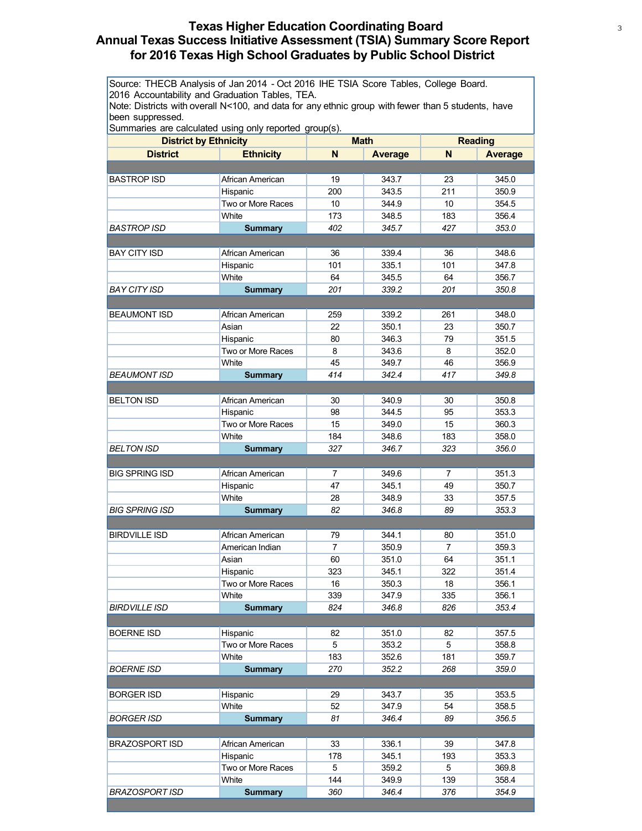# **Texas Higher Education Coordinating Board** <sup>3</sup> **Annual Texas Success Initiative Assessment (TSIA) Summary Score Report for 2016 Texas High School Graduates by Public School District**

Source: THECB Analysis of Jan 2014 - Oct 2016 IHE TSIA Score Tables, College Board. 2016 Accountability and Graduation Tables, TEA.

Note: Districts with overall N<100, and data for any ethnic group with fewer than 5 students, have been suppressed.

| <b>District by Ethnicity</b> |                   | <b>Math</b> |                | <b>Reading</b> |                |
|------------------------------|-------------------|-------------|----------------|----------------|----------------|
| <b>District</b>              | <b>Ethnicity</b>  | N           | <b>Average</b> | N              | <b>Average</b> |
|                              |                   |             |                |                |                |
| <b>BASTROP ISD</b>           | African American  | 19          | 343.7          | 23             | 345.0          |
|                              | Hispanic          | 200         | 343.5          | 211            | 350.9          |
|                              | Two or More Races | 10          | 344.9          | 10             | 354.5          |
|                              | White             | 173         | 348.5          | 183            | 356.4          |
| <b>BASTROP ISD</b>           | <b>Summary</b>    | 402         | 345.7          | 427            | 353.0          |
|                              |                   |             |                |                |                |
| <b>BAY CITY ISD</b>          | African American  | 36          | 339.4          | 36             | 348.6          |
|                              | Hispanic          | 101         | 335.1          | 101            | 347.8          |
|                              | White             | 64          | 345.5          | 64             | 356.7          |
| <b>BAY CITY ISD</b>          | <b>Summary</b>    | 201         | 339.2          | 201            | 350.8          |
|                              |                   |             |                |                |                |
| <b>BEAUMONT ISD</b>          | African American  | 259         | 339.2          | 261            | 348.0          |
|                              | Asian             | 22          | 350.1          | 23             | 350.7          |
|                              | Hispanic          | 80          | 346.3          | 79             | 351.5          |
|                              | Two or More Races | 8           | 343.6          | 8              | 352.0          |
|                              | White             | 45          | 349.7          | 46             | 356.9          |
| <b>BEAUMONT ISD</b>          | <b>Summary</b>    | 414         | 342.4          | 417            | 349.8          |
|                              |                   |             |                |                |                |
| <b>BELTON ISD</b>            | African American  | 30          | 340.9          | 30             | 350.8          |
|                              | Hispanic          | 98          | 344.5          | 95             | 353.3          |
|                              | Two or More Races | 15          | 349.0          | 15             | 360.3          |
|                              | White             | 184         | 348.6          | 183            | 358.0          |
| <b>BELTON ISD</b>            | <b>Summary</b>    | 327         | 346.7          | 323            | 356.0          |
|                              |                   |             |                |                |                |
| <b>BIG SPRING ISD</b>        | African American  | 7           | 349.6          | 7              | 351.3          |
|                              | Hispanic          | 47          | 345.1          | 49             | 350.7          |
|                              | White             | 28          | 348.9          | 33             | 357.5          |
| <b>BIG SPRING ISD</b>        | <b>Summary</b>    | 82          | 346.8          | 89             | 353.3          |
|                              |                   |             |                |                |                |
| <b>BIRDVILLE ISD</b>         | African American  | 79          | 344.1          | 80             | 351.0          |
|                              | American Indian   | 7           | 350.9          | $\overline{7}$ | 359.3          |
|                              | Asian             | 60          | 351.0          | 64             | 351.1          |
|                              | Hispanic          | 323         | 345.1          | 322            | 351.4          |
|                              | Two or More Races | 16          | 350.3          | 18             | 356.1          |
|                              | White             | 339         | 347.9          | 335            | 356.1          |
| <b>BIRDVILLE ISD</b>         | <b>Summary</b>    | 824         | 346.8          | 826            | 353.4          |
|                              |                   |             |                |                |                |
| <b>BOERNE ISD</b>            | Hispanic          | 82          | 351.0          | 82             | 357.5          |
|                              | Two or More Races | 5           | 353.2          | 5              | 358.8          |
|                              | White             | 183         | 352.6          | 181            | 359.7          |
| <i>BOERNE ISD</i>            | <b>Summary</b>    | 270         | 352.2          | 268            | 359.0          |
|                              |                   |             |                |                |                |
| <b>BORGER ISD</b>            | Hispanic          | 29          | 343.7          | 35             | 353.5          |
|                              | White             | 52          | 347.9          | 54             | 358.5          |
| BORGER ISD                   | <b>Summary</b>    | 81          | 346.4          | 89             | 356.5          |
|                              |                   |             |                |                |                |
| <b>BRAZOSPORT ISD</b>        | African American  | 33          | 336.1          | 39             | 347.8          |
|                              | Hispanic          | 178         | 345.1          | 193            | 353.3          |
|                              | Two or More Races | 5           | 359.2          | 5              | 369.8          |
|                              | White             | 144         | 349.9          | 139            | 358.4          |
| BRAZOSPORT ISD               | <b>Summary</b>    | 360         | 346.4          | 376            | 354.9          |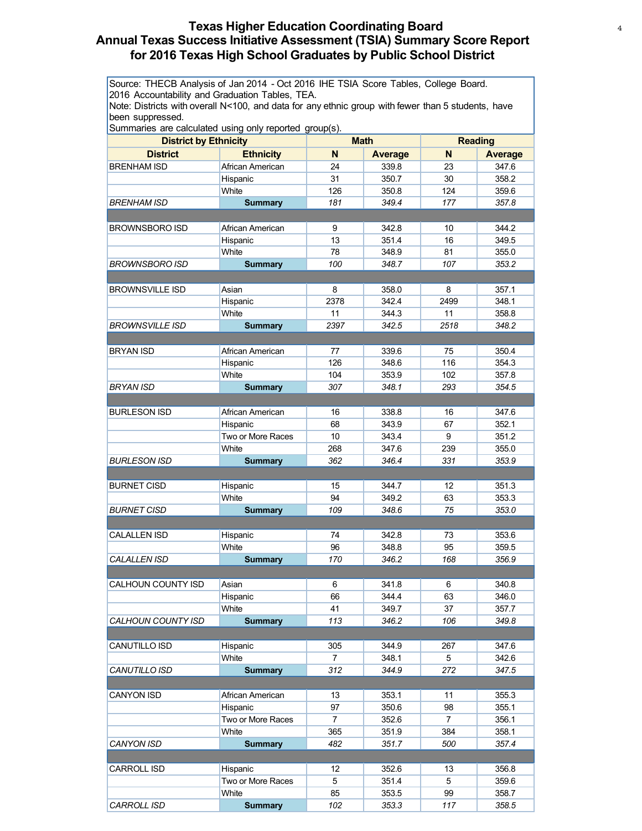# **Texas Higher Education Coordinating Board** <sup>4</sup> **Annual Texas Success Initiative Assessment (TSIA) Summary Score Report for 2016 Texas High School Graduates by Public School District**

Source: THECB Analysis of Jan 2014 - Oct 2016 IHE TSIA Score Tables, College Board. 2016 Accountability and Graduation Tables, TEA.

Note: Districts with overall N<100, and data for any ethnic group with fewer than 5 students, have been suppressed.

| Summanes are calculated using only reported group(s). |                   |                |             |                |                |  |
|-------------------------------------------------------|-------------------|----------------|-------------|----------------|----------------|--|
| <b>District by Ethnicity</b>                          |                   |                | <b>Math</b> |                | <b>Reading</b> |  |
| <b>District</b>                                       | <b>Ethnicity</b>  | N              | Average     | N              | <b>Average</b> |  |
| <b>BRENHAM ISD</b>                                    | African American  | 24             | 339.8       | 23             | 347.6          |  |
|                                                       | Hispanic          | 31             | 350.7       | 30             | 358.2          |  |
|                                                       | White             | 126            | 350.8       | 124            | 359.6          |  |
| <i>BRENHAM ISD</i>                                    | <b>Summary</b>    | 181            | 349.4       | 177            | 357.8          |  |
|                                                       |                   |                |             |                |                |  |
| <b>BROWNSBORO ISD</b>                                 | African American  | 9              | 342.8       | 10             | 344.2          |  |
|                                                       | Hispanic          | 13             | 351.4       | 16             | 349.5          |  |
|                                                       | White             | 78             | 348.9       | 81             | 355.0          |  |
| BROWNSBORO ISD                                        | <b>Summary</b>    | 100            | 348.7       | 107            | 353.2          |  |
|                                                       |                   |                |             |                |                |  |
|                                                       |                   |                |             |                |                |  |
| <b>BROWNSVILLE ISD</b>                                | Asian             | 8              | 358.0       | 8              | 357.1          |  |
|                                                       | Hispanic          | 2378           | 342.4       | 2499           | 348.1          |  |
|                                                       | White             | 11             | 344.3       | 11             | 358.8          |  |
| <b>BROWNSVILLE ISD</b>                                | <b>Summary</b>    | 2397           | 342.5       | 2518           | 348.2          |  |
|                                                       |                   |                |             |                |                |  |
| <b>BRYAN ISD</b>                                      | African American  | 77             | 339.6       | 75             | 350.4          |  |
|                                                       | Hispanic          | 126            | 348.6       | 116            | 354.3          |  |
|                                                       | White             | 104            | 353.9       | 102            | 357.8          |  |
| <b>BRYAN ISD</b>                                      | <b>Summary</b>    | 307            | 348.1       | 293            | 354.5          |  |
|                                                       |                   |                |             |                |                |  |
| <b>BURLESON ISD</b>                                   | African American  | 16             | 338.8       | 16             | 347.6          |  |
|                                                       | Hispanic          | 68             | 343.9       | 67             | 352.1          |  |
|                                                       | Two or More Races | 10             | 343.4       | 9              | 351.2          |  |
|                                                       | White             | 268            | 347.6       | 239            | 355.0          |  |
| <b>BURLESON ISD</b>                                   |                   | 362            | 346.4       | 331            | 353.9          |  |
|                                                       | <b>Summary</b>    |                |             |                |                |  |
|                                                       |                   |                |             |                |                |  |
| <b>BURNET CISD</b>                                    | Hispanic          | 15             | 344.7       | 12             | 351.3          |  |
|                                                       | White             | 94             | 349.2       | 63             | 353.3          |  |
| <b>BURNET CISD</b>                                    | <b>Summary</b>    | 109            | 348.6       | 75             | 353.0          |  |
|                                                       |                   |                |             |                |                |  |
| <b>CALALLEN ISD</b>                                   | Hispanic          | 74             | 342.8       | 73             | 353.6          |  |
|                                                       | White             | 96             | 348.8       | 95             | 359.5          |  |
| <b>CALALLEN ISD</b>                                   | <b>Summary</b>    | 170            | 346.2       | 168            | 356.9          |  |
|                                                       |                   |                |             |                |                |  |
| <b>CALHOUN COUNTY ISD</b>                             | Asian             | 6              | 341.8       | 6              | 340.8          |  |
|                                                       | Hispanic          | 66             | 344.4       | 63             | 346.0          |  |
|                                                       | White             | 41             | 349.7       | 37             | 357.7          |  |
| CALHOUN COUNTY ISD                                    | <b>Summary</b>    | 113            | 346.2       | 106            | 349.8          |  |
|                                                       |                   |                |             |                |                |  |
|                                                       |                   |                |             |                |                |  |
| CANUTILLO ISD                                         | Hispanic<br>White | 305            | 344.9       | 267            | 347.6          |  |
|                                                       |                   | 7              | 348.1       | 5              | 342.6          |  |
| CANUTILLO ISD                                         | <b>Summary</b>    | 312            | 344.9       | 272            | 347.5          |  |
|                                                       |                   |                |             |                |                |  |
| <b>CANYON ISD</b>                                     | African American  | 13             | 353.1       | 11             | 355.3          |  |
|                                                       | Hispanic          | 97             | 350.6       | 98             | 355.1          |  |
|                                                       | Two or More Races | $\overline{7}$ | 352.6       | $\overline{7}$ | 356.1          |  |
|                                                       | White             | 365            | 351.9       | 384            | 358.1          |  |
| CANYON ISD                                            | <b>Summary</b>    | 482            | 351.7       | 500            | 357.4          |  |
|                                                       |                   |                |             |                |                |  |
| <b>CARROLL ISD</b>                                    | Hispanic          | 12             | 352.6       | 13             | 356.8          |  |
|                                                       | Two or More Races | 5              | 351.4       | 5              | 359.6          |  |
|                                                       | White             | 85             | 353.5       | 99             | 358.7          |  |
| <b>CARROLL ISD</b>                                    | <b>Summary</b>    | 102            | 353.3       | 117            | 358.5          |  |
|                                                       |                   |                |             |                |                |  |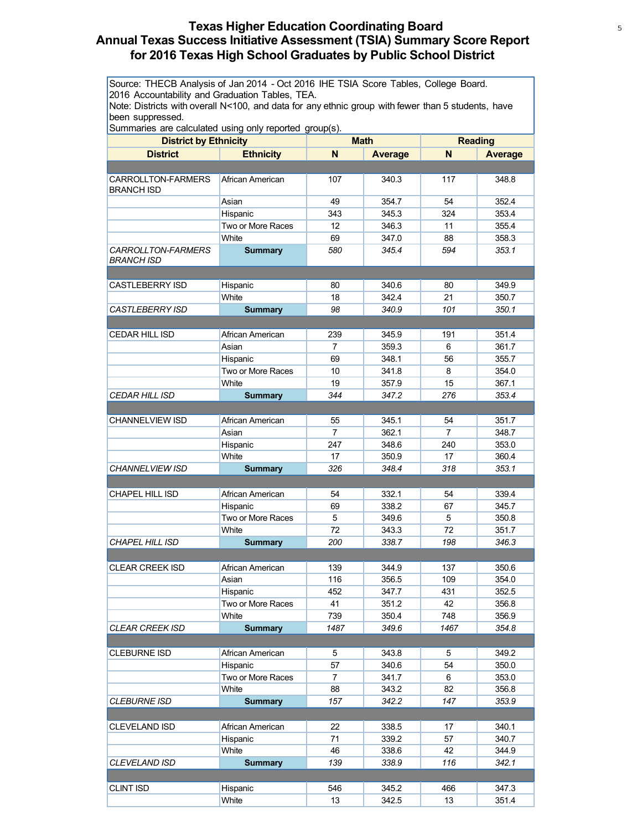# **Texas Higher Education Coordinating Board** <sup>5</sup> **Annual Texas Success Initiative Assessment (TSIA) Summary Score Report for 2016 Texas High School Graduates by Public School District**

Source: THECB Analysis of Jan 2014 - Oct 2016 IHE TSIA Score Tables, College Board. 2016 Accountability and Graduation Tables, TEA.

Note: Districts with overall N<100, and data for any ethnic group with fewer than 5 students, have been suppressed.

| <b>District by Ethnicity</b>            |                   |                | <b>Math</b>    |                | <b>Reading</b> |
|-----------------------------------------|-------------------|----------------|----------------|----------------|----------------|
| <b>District</b>                         | <b>Ethnicity</b>  | N              | <b>Average</b> | N              | <b>Average</b> |
|                                         |                   |                |                |                |                |
| CARROLLTON-FARMERS<br><b>BRANCH ISD</b> | African American  | 107            | 340.3          | 117            | 348.8          |
|                                         | Asian             | 49             | 354.7          | 54             | 352.4          |
|                                         | Hispanic          | 343            | 345.3          | 324            | 353.4          |
|                                         | Two or More Races | 12             | 346.3          | 11             | 355.4          |
|                                         | White             | 69             | 347.0          | 88             | 358.3          |
| <b>CARROLLTON-FARMERS</b><br>BRANCH ISD | <b>Summary</b>    | 580            | 345.4          | 594            | 353.1          |
|                                         |                   |                |                |                |                |
| <b>CASTLEBERRY ISD</b>                  | Hispanic          | 80             | 340.6          | 80             | 349.9          |
|                                         | White             | 18             | 342.4          | 21             | 350.7          |
| CASTLEBERRY ISD                         | <b>Summary</b>    | 98             | 340.9          | 101            | 350.1          |
|                                         |                   |                |                |                |                |
| <b>CEDAR HILL ISD</b>                   | African American  | 239            | 345.9          | 191            | 351.4          |
|                                         | Asian             | $\overline{7}$ | 359.3          | 6              | 361.7          |
|                                         | Hispanic          | 69             | 348.1          | 56             | 355.7          |
|                                         | Two or More Races | 10             | 341.8          | 8              | 354.0          |
|                                         | White             | 19             | 357.9          | 15             | 367.1          |
| <i>CEDAR HILL ISD</i>                   | <b>Summary</b>    | 344            | 347.2          | 276            | 353.4          |
|                                         |                   |                |                |                |                |
| <b>CHANNELVIEW ISD</b>                  | African American  | 55             | 345.1          | 54             | 351.7          |
|                                         | Asian             | $\overline{7}$ | 362.1          | $\overline{7}$ | 348.7          |
|                                         | Hispanic          | 247            | 348.6          | 240            | 353.0          |
|                                         | White             | 17             | 350.9          | 17             | 360.4          |
| CHANNELVIEW ISD                         | <b>Summary</b>    | 326            | 348.4          | 318            | 353.1          |
|                                         |                   |                |                |                |                |
| <b>CHAPEL HILL ISD</b>                  | African American  | 54             | 332.1          | 54             | 339.4          |
|                                         | Hispanic          | 69             | 338.2          | 67             | 345.7          |
|                                         | Two or More Races | 5              | 349.6          | 5              | 350.8          |
|                                         | White             | 72             | 343.3          | 72             | 351.7          |
| <b>CHAPEL HILL ISD</b>                  | <b>Summary</b>    | 200            | 338.7          | 198            | 346.3          |
|                                         |                   |                |                |                |                |
| <b>CLEAR CREEK ISD</b>                  | African American  | 139            | 344.9          | 137            | 350.6          |
|                                         | Asian             | 116            | 356.5          | 109            | 354.0          |
|                                         | Hispanic          | 452            | 347.7          | 431            | 352.5          |
|                                         | Two or More Races | 41             | 351.2          | 42             | 356.8          |
|                                         | White             | 739            | 350.4          | 748            | 356.9          |
| <b>CLEAR CREEK ISD</b>                  | <b>Summary</b>    | 1487           | 349.6          | 1467           | 354.8          |
|                                         |                   |                |                |                |                |
| <b>CLEBURNE ISD</b>                     | African American  | 5              | 343.8          | 5              | 349.2          |
|                                         | Hispanic          | 57             | 340.6          | 54             | 350.0          |
|                                         | Two or More Races | 7              | 341.7          | 6              | 353.0          |
|                                         | White             | 88             | 343.2          | 82             | 356.8          |
| CLEBURNE ISD                            | <b>Summary</b>    | 157            | 342.2          | 147            | 353.9          |
|                                         |                   |                |                |                |                |
| <b>CLEVELAND ISD</b>                    | African American  | 22             | 338.5          | 17             | 340.1          |
|                                         | Hispanic          | 71             | 339.2          | 57             | 340.7          |
|                                         | White             | 46             | 338.6          | 42             | 344.9          |
| CLEVELAND ISD                           | <b>Summary</b>    | 139            | 338.9          | 116            | 342.1          |
|                                         |                   |                |                |                |                |
| <b>CLINT ISD</b>                        | Hispanic          | 546            | 345.2          | 466            | 347.3          |
|                                         | White             | 13             | 342.5          | 13             | 351.4          |
|                                         |                   |                |                |                |                |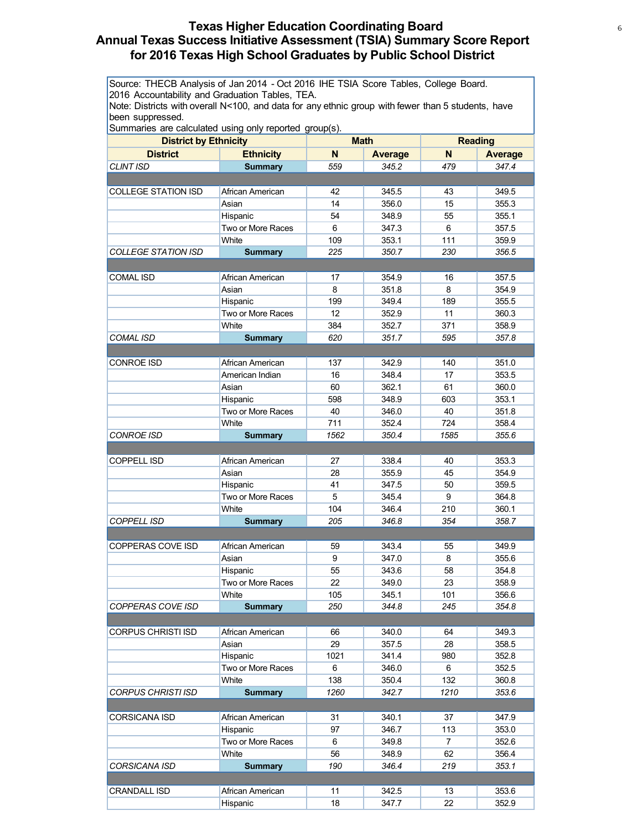# **Texas Higher Education Coordinating Board** <sup>6</sup> **Annual Texas Success Initiative Assessment (TSIA) Summary Score Report for 2016 Texas High School Graduates by Public School District**

Source: THECB Analysis of Jan 2014 - Oct 2016 IHE TSIA Score Tables, College Board. 2016 Accountability and Graduation Tables, TEA.

Note: Districts with overall N<100, and data for any ethnic group with fewer than 5 students, have been suppressed.

| <b>District by Ethnicity</b> |                               | <b>Math</b> |                | <b>Reading</b> |                |
|------------------------------|-------------------------------|-------------|----------------|----------------|----------------|
| <b>District</b>              | <b>Ethnicity</b>              | N           | <b>Average</b> | N              | <b>Average</b> |
| <b>CLINT ISD</b>             | <b>Summary</b>                | 559         | 345.2          | 479            | 347.4          |
|                              |                               |             |                |                |                |
| <b>COLLEGE STATION ISD</b>   | African American              | 42          | 345.5          | 43             | 349.5          |
|                              | Asian                         | 14          | 356.0          | 15             | 355.3          |
|                              |                               | 54          | 348.9          | 55             | 355.1          |
|                              | Hispanic<br>Two or More Races | 6           | 347.3          |                | 357.5          |
|                              | White                         | 109         | 353.1          | 6<br>111       |                |
| <b>COLLEGE STATION ISD</b>   |                               | 225         | 350.7          | 230            | 359.9<br>356.5 |
|                              | <b>Summary</b>                |             |                |                |                |
|                              |                               |             |                |                |                |
| <b>COMAL ISD</b>             | African American              | 17          | 354.9          | 16             | 357.5          |
|                              | Asian                         | 8           | 351.8          | 8              | 354.9          |
|                              | Hispanic                      | 199         | 349.4          | 189            | 355.5          |
|                              | Two or More Races             | 12          | 352.9          | 11             | 360.3          |
|                              | White                         | 384         | 352.7          | 371            | 358.9          |
| <b>COMAL ISD</b>             | <b>Summary</b>                | 620         | 351.7          | 595            | 357.8          |
|                              |                               |             |                |                |                |
| <b>CONROE ISD</b>            | African American              | 137         | 342.9          | 140            | 351.0          |
|                              | American Indian               | 16          | 348.4          | 17             | 353.5          |
|                              | Asian                         | 60          | 362.1          | 61             | 360.0          |
|                              | Hispanic                      | 598         | 348.9          | 603            | 353.1          |
|                              | Two or More Races             | 40          | 346.0          | 40             | 351.8          |
|                              | White                         | 711         | 352.4          | 724            | 358.4          |
| <b>CONROE ISD</b>            | <b>Summary</b>                | 1562        | 350.4          | 1585           | 355.6          |
|                              |                               |             |                |                |                |
| <b>COPPELL ISD</b>           | African American              | 27          | 338.4          | 40             | 353.3          |
|                              | Asian                         | 28          | 355.9          | 45             | 354.9          |
|                              | Hispanic                      | 41          | 347.5          | 50             | 359.5          |
|                              | Two or More Races             | 5           | 345.4          | 9              | 364.8          |
|                              | White                         | 104         | 346.4          | 210            | 360.1          |
| <b>COPPELL ISD</b>           | <b>Summary</b>                | 205         | 346.8          | 354            | 358.7          |
|                              |                               |             |                |                |                |
| <b>COPPERAS COVE ISD</b>     | African American              | 59          | 343.4          | 55             | 349.9          |
|                              | Asian                         | 9           | 347.0          | 8              | 355.6          |
|                              | Hispanic                      | 55          | 343.6          | 58             | 354.8          |
|                              | Two or More Races             | 22          | 349.0          | 23             | 358.9          |
|                              | White                         | 105         | 345.1          | 101            | 356.6          |
| COPPERAS COVE ISD            | <b>Summary</b>                | 250         | 344.8          | 245            | 354.8          |
|                              |                               |             |                |                |                |
| <b>CORPUS CHRISTI ISD</b>    | African American              | 66          | 340.0          | 64             | 349.3          |
|                              | Asian                         | 29          | 357.5          | 28             | 358.5          |
|                              | Hispanic                      | 1021        | 341.4          | 980            | 352.8          |
|                              | Two or More Races             | 6           | 346.0          | 6              | 352.5          |
|                              | White                         | 138         | 350.4          | 132            | 360.8          |
| CORPUS CHRISTI ISD           | <b>Summary</b>                | 1260        | 342.7          | 1210           | 353.6          |
|                              |                               |             |                |                |                |
| <b>CORSICANA ISD</b>         | African American              | 31          | 340.1          | 37             | 347.9          |
|                              | Hispanic                      | 97          | 346.7          | 113            | 353.0          |
|                              | Two or More Races             | 6           | 349.8          | $\overline{7}$ | 352.6          |
|                              | White                         | 56          | 348.9          | 62             | 356.4          |
| CORSICANA ISD                | <b>Summary</b>                | 190         | 346.4          | 219            | 353.1          |
|                              |                               |             |                |                |                |
|                              |                               |             |                |                |                |
| <b>CRANDALL ISD</b>          | African American              | 11<br>18    | 342.5          | 13<br>22       | 353.6          |
|                              | Hispanic                      |             | 347.7          |                | 352.9          |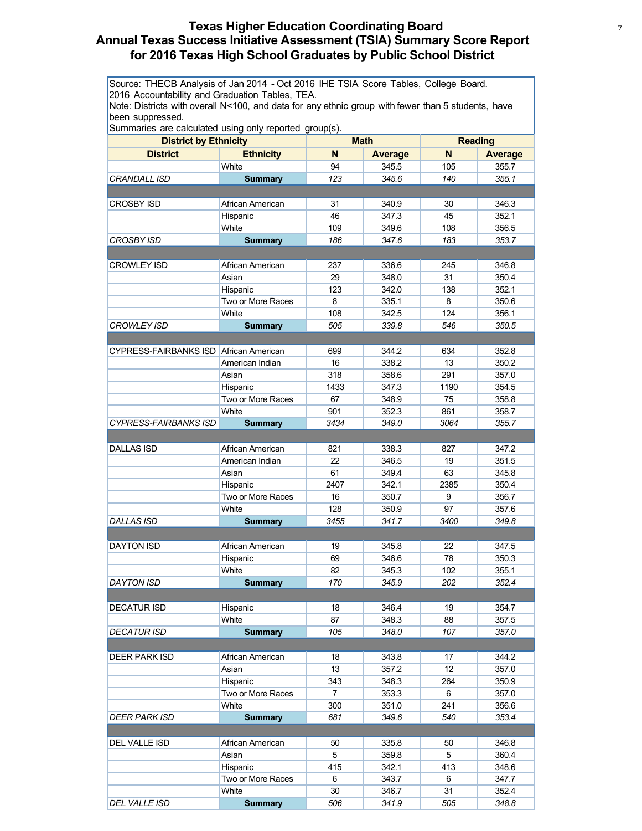# **Texas Higher Education Coordinating Board** <sup>7</sup> **Annual Texas Success Initiative Assessment (TSIA) Summary Score Report for 2016 Texas High School Graduates by Public School District**

Source: THECB Analysis of Jan 2014 - Oct 2016 IHE TSIA Score Tables, College Board. 2016 Accountability and Graduation Tables, TEA.

Note: Districts with overall N<100, and data for any ethnic group with fewer than 5 students, have been suppressed.

| <b>District by Ethnicity</b>           |                   | <b>Math</b>    |                | <b>Reading</b> |                |
|----------------------------------------|-------------------|----------------|----------------|----------------|----------------|
| <b>District</b>                        | <b>Ethnicity</b>  | N              | <b>Average</b> | N              | <b>Average</b> |
|                                        | White             | 94             | 345.5          | 105            | 355.7          |
| <i>CRANDALL ISD</i>                    | <b>Summary</b>    | 123            | 345.6          | 140            | 355.1          |
|                                        |                   |                |                |                |                |
| CROSBY ISD                             | African American  | 31             | 340.9          | 30             | 346.3          |
|                                        | Hispanic          | 46             | 347.3          | 45             | 352.1          |
|                                        | White             | 109            | 349.6          | 108            | 356.5          |
| CROSBY ISD                             | <b>Summary</b>    | 186            | 347.6          | 183            | 353.7          |
|                                        |                   |                |                |                |                |
| <b>CROWLEY ISD</b>                     | African American  | 237            | 336.6          | 245            | 346.8          |
|                                        | Asian             | 29             | 348.0          | 31             | 350.4          |
|                                        | Hispanic          | 123            | 342.0          | 138            | 352.1          |
|                                        | Two or More Races | 8              | 335.1          | 8              | 350.6          |
|                                        | White             | 108            | 342.5          | 124            | 356.1          |
| <b>CROWLEY ISD</b>                     | <b>Summary</b>    | 505            | 339.8          | 546            | 350.5          |
|                                        |                   |                |                |                |                |
| CYPRESS-FAIRBANKS ISD African American |                   | 699            | 344.2          | 634            | 352.8          |
|                                        | American Indian   | 16             | 338.2          | 13             | 350.2          |
|                                        | Asian             | 318            | 358.6          | 291            | 357.0          |
|                                        | Hispanic          | 1433           | 347.3          | 1190           | 354.5          |
|                                        | Two or More Races | 67             | 348.9          | 75             | 358.8          |
|                                        | White             | 901            | 352.3          | 861            | 358.7          |
| <b>CYPRESS-FAIRBANKS ISD</b>           | <b>Summary</b>    | 3434           | 349.0          | 3064           | 355.7          |
|                                        |                   |                |                |                |                |
| <b>DALLAS ISD</b>                      | African American  | 821            | 338.3          | 827            | 347.2          |
|                                        | American Indian   | 22             | 346.5          | 19             | 351.5          |
|                                        | Asian             | 61             | 349.4          | 63             | 345.8          |
|                                        | Hispanic          | 2407           | 342.1          | 2385           | 350.4          |
|                                        | Two or More Races | 16             | 350.7          | 9              | 356.7          |
|                                        | White             | 128            | 350.9          | 97             | 357.6          |
| <b>DALLAS ISD</b>                      | <b>Summary</b>    | 3455           | 341.7          | 3400           | 349.8          |
|                                        |                   |                |                |                |                |
| <b>DAYTON ISD</b>                      | African American  | 19             | 345.8          | 22             | 347.5          |
|                                        | Hispanic          | 69             | 346.6          | 78             | 350.3          |
|                                        | White             | 82             | 345.3          | 102            | 355.1          |
| <b>DAYTON ISD</b>                      | <b>Summary</b>    | 170            | 345.9          | 202            | 352.4          |
|                                        |                   |                |                |                |                |
| <b>DECATUR ISD</b>                     | Hispanic          | 18             | 346.4          | 19             | 354.7          |
|                                        | White             | 87             | 348.3          | 88             | 357.5          |
| DECATUR ISD                            | <b>Summary</b>    | 105            | 348.0          | 107            | 357.0          |
|                                        |                   |                |                |                |                |
| DEER PARK ISD                          | African American  | 18             | 343.8          | 17             | 344.2          |
|                                        | Asian             | 13             | 357.2          | 12             | 357.0          |
|                                        | Hispanic          | 343            | 348.3          | 264            | 350.9          |
|                                        | Two or More Races | $\overline{7}$ | 353.3          | 6              | 357.0          |
|                                        | White             | 300            | 351.0          | 241            | 356.6          |
| DEER PARK ISD                          | <b>Summary</b>    | 681            | 349.6          | 540            | 353.4          |
|                                        |                   |                |                |                |                |
| DEL VALLE ISD                          | African American  | 50             | 335.8          | 50             | 346.8          |
|                                        | Asian             | 5              | 359.8          | 5              | 360.4          |
|                                        | Hispanic          | 415            | 342.1          | 413            | 348.6          |
|                                        | Two or More Races | 6              | 343.7          | 6              | 347.7          |
|                                        | White             | 30             | 346.7          | 31             | 352.4          |
| DEL VALLE ISD                          | <b>Summary</b>    | 506            | 341.9          | 505            | 348.8          |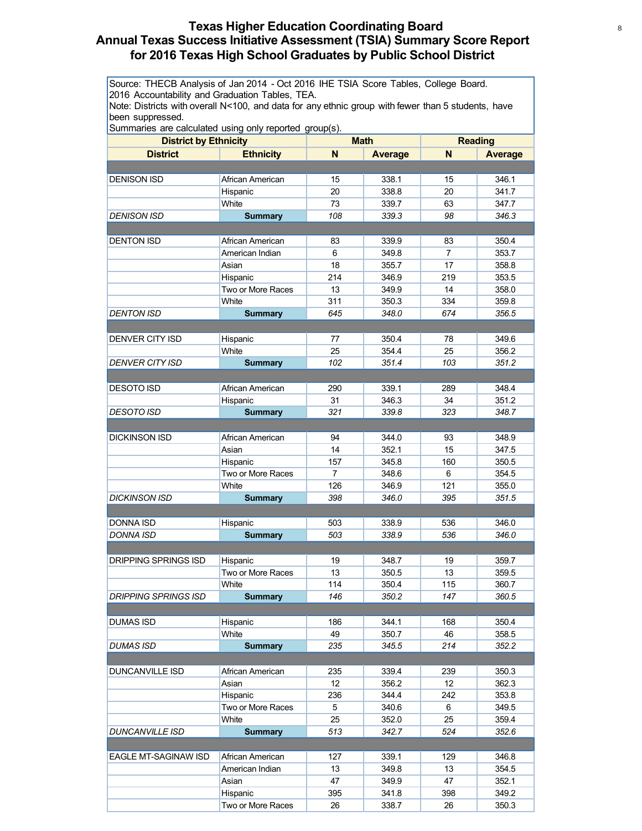# **Texas Higher Education Coordinating Board** <sup>8</sup> **Annual Texas Success Initiative Assessment (TSIA) Summary Score Report for 2016 Texas High School Graduates by Public School District**

Source: THECB Analysis of Jan 2014 - Oct 2016 IHE TSIA Score Tables, College Board. 2016 Accountability and Graduation Tables, TEA.

Note: Districts with overall N<100, and data for any ethnic group with fewer than 5 students, have been suppressed.

| <b>District by Ethnicity</b> |                          | <b>Math</b>    |                | <b>Reading</b> |                |
|------------------------------|--------------------------|----------------|----------------|----------------|----------------|
| <b>District</b>              | <b>Ethnicity</b>         | N              | <b>Average</b> | N              | <b>Average</b> |
|                              |                          |                |                |                |                |
| <b>DENISON ISD</b>           | African American         | 15             | 338.1          | 15             | 346.1          |
|                              | Hispanic                 | 20             | 338.8          | 20             | 341.7          |
|                              | White                    | 73             | 339.7          | 63             | 347.7          |
| <b>DENISON ISD</b>           |                          | 108            | 339.3          | 98             | 346.3          |
|                              | <b>Summary</b>           |                |                |                |                |
|                              |                          |                |                |                |                |
| <b>DENTON ISD</b>            | African American         | 83             | 339.9          | 83             | 350.4          |
|                              | American Indian<br>Asian | 6              | 349.8          | $\overline{7}$ | 353.7          |
|                              |                          | 18             | 355.7          | 17             | 358.8          |
|                              | Hispanic                 | 214            | 346.9          | 219            | 353.5          |
|                              | Two or More Races        | 13             | 349.9          | 14             | 358.0          |
|                              | White                    | 311            | 350.3          | 334            | 359.8          |
| <b>DENTON ISD</b>            | <b>Summary</b>           | 645            | 348.0          | 674            | 356.5          |
|                              |                          |                |                |                |                |
| <b>DENVER CITY ISD</b>       | Hispanic                 | 77             | 350.4          | 78             | 349.6          |
|                              | White                    | 25             | 354.4          | 25             | 356.2          |
| <b>DENVER CITY ISD</b>       | <b>Summary</b>           | 102            | 351.4          | 103            | 351.2          |
|                              |                          |                |                |                |                |
| <b>DESOTO ISD</b>            | African American         | 290            | 339.1          | 289            | 348.4          |
|                              | Hispanic                 | 31             | 346.3          | 34             | 351.2          |
| <b>DESOTO ISD</b>            | <b>Summary</b>           | 321            | 339.8          | 323            | 348.7          |
|                              |                          |                |                |                |                |
| <b>DICKINSON ISD</b>         | African American         | 94             | 344.0          | 93             | 348.9          |
|                              | Asian                    | 14             | 352.1          | 15             | 347.5          |
|                              | Hispanic                 | 157            | 345.8          | 160            | 350.5          |
|                              | Two or More Races        | $\overline{7}$ | 348.6          | 6              | 354.5          |
|                              | White                    | 126            | 346.9          | 121            | 355.0          |
| <b>DICKINSON ISD</b>         | <b>Summary</b>           | 398            | 346.0          | 395            | 351.5          |
|                              |                          |                |                |                |                |
| DONNA ISD                    | Hispanic                 | 503            | 338.9          | 536            | 346.0          |
| <b>DONNA ISD</b>             | <b>Summary</b>           | 503            | 338.9          | 536            | 346.0          |
|                              |                          |                |                |                |                |
| <b>DRIPPING SPRINGS ISD</b>  | Hispanic                 | 19             | 348.7          | 19             | 359.7          |
|                              | Two or More Races        | 13             | 350.5          | 13             | 359.5          |
|                              | White                    | 114            | 350.4          | 115            | 360.7          |
| DRIPPING SPRINGS ISD         | <b>Summary</b>           | 146            | 350.2          | 147            | 360.5          |
|                              |                          |                |                |                |                |
| DUMAS ISD                    | Hispanic                 | 186            | 344.1          | 168            | 350.4          |
|                              | White                    | 49             | 350.7          | 46             | 358.5          |
| DUMAS ISD                    | <b>Summary</b>           | 235            | 345.5          | 214            | 352.2          |
|                              |                          |                |                |                |                |
| DUNCANVILLE ISD              | African American         | 235            | 339.4          | 239            | 350.3          |
|                              | Asian                    | 12             | 356.2          | 12             | 362.3          |
|                              | Hispanic                 | 236            | 344.4          | 242            | 353.8          |
|                              | Two or More Races        | 5              | 340.6          | 6              | 349.5          |
|                              | White                    | 25             |                | 25             | 359.4          |
|                              |                          |                | 352.0          |                |                |
| <b>DUNCANVILLE ISD</b>       | <b>Summary</b>           | 513            | 342.7          | 524            | 352.6          |
|                              |                          |                |                |                |                |
| EAGLE MT-SAGINAW ISD         | African American         | 127            | 339.1          | 129            | 346.8          |
|                              | American Indian          | 13             | 349.8          | 13             | 354.5          |
|                              | Asian                    | 47             | 349.9          | 47             | 352.1          |
|                              | Hispanic                 | 395            | 341.8          | 398            | 349.2          |
|                              | Two or More Races        | 26             | 338.7          | 26             | 350.3          |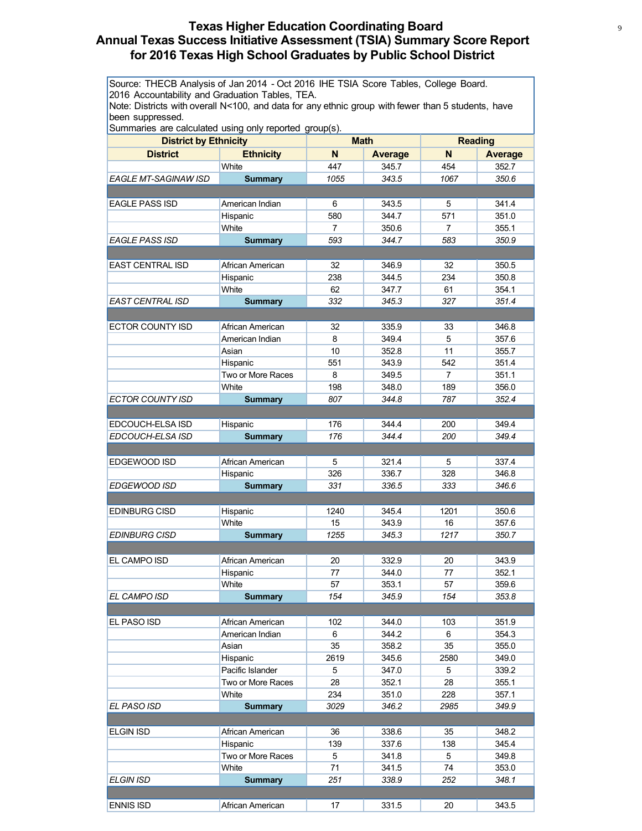# **Texas Higher Education Coordinating Board** <sup>9</sup> **Annual Texas Success Initiative Assessment (TSIA) Summary Score Report for 2016 Texas High School Graduates by Public School District**

Source: THECB Analysis of Jan 2014 - Oct 2016 IHE TSIA Score Tables, College Board. 2016 Accountability and Graduation Tables, TEA.

Note: Districts with overall N<100, and data for any ethnic group with fewer than 5 students, have been suppressed.

| <b>District by Ethnicity</b>         |                            |                | <b>Math</b>    |                | <b>Reading</b> |
|--------------------------------------|----------------------------|----------------|----------------|----------------|----------------|
| <b>District</b>                      | <b>Ethnicity</b>           | N              | <b>Average</b> | N              | <b>Average</b> |
|                                      | White                      | 447            | 345.7          | 454            | 352.7          |
| EAGLE MT-SAGINAW ISD                 | <b>Summary</b>             | 1055           | 343.5          | 1067           | 350.6          |
|                                      |                            |                |                |                |                |
| <b>EAGLE PASS ISD</b>                | American Indian            | 6              | 343.5          | 5              | 341.4          |
|                                      | Hispanic                   | 580            | 344.7          | 571            | 351.0          |
|                                      | White                      | $\overline{7}$ | 350.6          | 7              | 355.1          |
| <b>EAGLE PASS ISD</b>                | <b>Summary</b>             | 593            | 344.7          | 583            | 350.9          |
|                                      |                            |                |                |                |                |
| <b>EAST CENTRAL ISD</b>              | African American           | 32             | 346.9          | 32             | 350.5          |
|                                      | Hispanic                   | 238            | 344.5          | 234            | 350.8          |
|                                      | White                      | 62             | 347.7          | 61             | 354.1          |
| EAST CENTRAL ISD                     | <b>Summary</b>             | 332            | 345.3          | 327            | 351.4          |
|                                      |                            |                |                |                |                |
| <b>ECTOR COUNTY ISD</b>              | African American           | 32             | 335.9          | 33             | 346.8          |
|                                      | American Indian            | 8              | 349.4          | 5              | 357.6          |
|                                      | Asian                      | 10             | 352.8          | 11             | 355.7          |
|                                      | Hispanic                   | 551            | 343.9          | 542            | 351.4          |
|                                      | Two or More Races          | 8              | 349.5          | $\overline{7}$ | 351.1          |
|                                      | White                      | 198            | 348.0          | 189            | 356.0          |
| <b>ECTOR COUNTY ISD</b>              | <b>Summary</b>             | 807            | 344.8          | 787            | 352.4          |
|                                      |                            |                |                |                |                |
|                                      |                            | 176            | 344.4          |                | 349.4          |
| EDCOUCH-ELSA ISD<br>EDCOUCH-ELSA ISD | Hispanic<br><b>Summary</b> | 176            | 344.4          | 200<br>200     | 349.4          |
|                                      |                            |                |                |                |                |
|                                      |                            |                |                |                |                |
| EDGEWOOD ISD                         | African American           | 5              | 321.4          | 5              | 337.4          |
|                                      | Hispanic                   | 326            | 336.7          | 328            | 346.8          |
| EDGEWOOD ISD                         | <b>Summary</b>             | 331            | 336.5          | 333            | 346.6          |
|                                      |                            |                |                |                |                |
| <b>EDINBURG CISD</b>                 | Hispanic                   | 1240           | 345.4          | 1201           | 350.6          |
|                                      | White                      | 15             | 343.9          | 16<br>1217     | 357.6          |
| <b>EDINBURG CISD</b>                 | <b>Summary</b>             | 1255           | 345.3          |                | 350.7          |
|                                      |                            |                |                |                |                |
| EL CAMPO ISD                         | African American           | 20             | 332.9          | 20             | 343.9          |
|                                      | Hispanic                   | 77             | 344.0          | 77             | 352.1          |
|                                      | White                      | 57             | 353.1          | 57             | 359.6          |
| EL CAMPO ISD                         | <b>Summary</b>             | 154            | 345.9          | 154            | 353.8          |
|                                      |                            |                |                |                |                |
| EL PASO ISD                          | African American           | 102            | 344.0          | 103            | 351.9          |
|                                      | American Indian            | 6              | 344.2          | 6              | 354.3          |
|                                      | Asian                      | 35             | 358.2          | 35             | 355.0          |
|                                      | Hispanic                   | 2619           | 345.6          | 2580           | 349.0          |
|                                      | Pacific Islander           | 5              | 347.0          | 5              | 339.2          |
|                                      | Two or More Races          | 28             | 352.1          | 28             | 355.1          |
|                                      | White                      | 234            | 351.0          | 228            | 357.1          |
| EL PASO ISD                          | <b>Summary</b>             | 3029           | 346.2          | 2985           | 349.9          |
|                                      |                            |                |                |                |                |
| <b>ELGIN ISD</b>                     | African American           | 36             | 338.6          | 35             | 348.2          |
|                                      | Hispanic                   | 139            | 337.6          | 138            | 345.4          |
|                                      | Two or More Races          | 5              | 341.8          | 5              | 349.8          |
|                                      | White                      | 71             | 341.5          | 74             | 353.0          |
| ELGIN ISD                            | <b>Summary</b>             | 251            | 338.9          | 252            | 348.1          |
|                                      |                            |                |                |                |                |
| <b>ENNIS ISD</b>                     | African American           | 17             | 331.5          | 20             | 343.5          |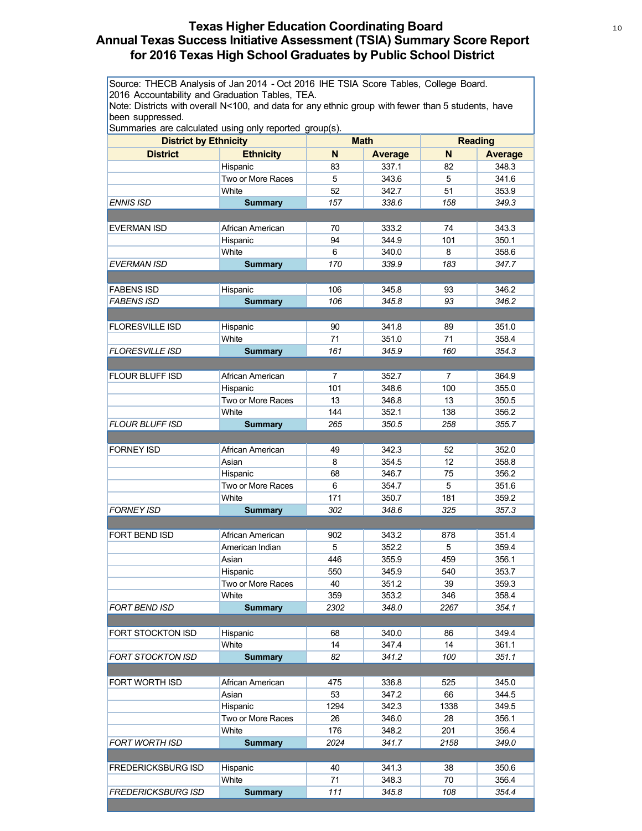# **Texas Higher Education Coordinating Board** 10 10 10 **Annual Texas Success Initiative Assessment (TSIA) Summary Score Report for 2016 Texas High School Graduates by Public School District**

Source: THECB Analysis of Jan 2014 - Oct 2016 IHE TSIA Score Tables, College Board. 2016 Accountability and Graduation Tables, TEA.

Note: Districts with overall N<100, and data for any ethnic group with fewer than 5 students, have been suppressed.

| Surfinanes are calculated using only reported group(s).<br><b>District by Ethnicity</b><br><b>Math</b> |                            |                | <b>Reading</b>          |                |                |
|--------------------------------------------------------------------------------------------------------|----------------------------|----------------|-------------------------|----------------|----------------|
| <b>District</b>                                                                                        | <b>Ethnicity</b>           | N              |                         | N              | <b>Average</b> |
|                                                                                                        | Hispanic                   | 83             | <b>Average</b><br>337.1 | 82             | 348.3          |
|                                                                                                        | Two or More Races          | 5              | 343.6                   | 5              | 341.6          |
|                                                                                                        | White                      | 52             | 342.7                   | 51             | 353.9          |
| ENNIS ISD                                                                                              |                            | 157            | 338.6                   | 158            | 349.3          |
|                                                                                                        | <b>Summary</b>             |                |                         |                |                |
| <b>EVERMAN ISD</b>                                                                                     | African American           | 70             | 333.2                   | 74             | 343.3          |
|                                                                                                        | Hispanic                   | 94             | 344.9                   | 101            | 350.1          |
|                                                                                                        | White                      | 6              | 340.0                   | 8              | 358.6          |
| EVERMAN ISD                                                                                            | <b>Summary</b>             | 170            | 339.9                   | 183            | 347.7          |
|                                                                                                        |                            |                |                         |                |                |
| <b>FABENS ISD</b>                                                                                      | Hispanic                   | 106            | 345.8                   | 93             | 346.2          |
| <b>FABENS ISD</b>                                                                                      | <b>Summary</b>             | 106            | 345.8                   | 93             | 346.2          |
|                                                                                                        |                            |                |                         |                |                |
| <b>FLORESVILLE ISD</b>                                                                                 | Hispanic                   | 90             | 341.8                   | 89             | 351.0          |
|                                                                                                        | White                      | 71             | 351.0                   | 71             | 358.4          |
| <b>FLORESVILLE ISD</b>                                                                                 | <b>Summary</b>             | 161            | 345.9                   | 160            | 354.3          |
|                                                                                                        |                            |                |                         |                |                |
| FLOUR BLUFF ISD                                                                                        | African American           | $\overline{7}$ | 352.7                   | $\overline{7}$ | 364.9          |
|                                                                                                        | Hispanic                   | 101            | 348.6                   | 100            | 355.0          |
|                                                                                                        | Two or More Races          | 13             | 346.8                   | 13             | 350.5          |
|                                                                                                        | White                      | 144            | 352.1                   | 138            | 356.2          |
| <b>FLOUR BLUFF ISD</b>                                                                                 | <b>Summary</b>             | 265            | 350.5                   | 258            | 355.7          |
|                                                                                                        |                            |                |                         |                |                |
| <b>FORNEY ISD</b>                                                                                      | African American           | 49             | 342.3                   | 52             | 352.0          |
|                                                                                                        | Asian                      | 8              | 354.5                   | 12             | 358.8          |
|                                                                                                        | Hispanic                   | 68             | 346.7                   | 75             | 356.2          |
|                                                                                                        | Two or More Races          | 6              | 354.7                   | 5              | 351.6          |
|                                                                                                        | White                      | 171            | 350.7                   | 181            | 359.2          |
| <b>FORNEY ISD</b>                                                                                      | <b>Summary</b>             | 302            | 348.6                   | 325            | 357.3          |
|                                                                                                        |                            |                |                         |                |                |
| FORT BEND ISD                                                                                          | African American           | 902            | 343.2                   | 878            | 351.4          |
|                                                                                                        | American Indian            | 5              | 352.2                   | 5              | 359.4          |
|                                                                                                        | Asian                      | 446            | 355.9                   | 459            | 356.1          |
|                                                                                                        | Hispanic                   | 550            | 345.9                   | 540            | 353.7          |
|                                                                                                        | Two or More Races          | 40             | 351.2                   | 39             | 359.3          |
|                                                                                                        | White                      | 359            | 353.2                   | 346            | 358.4          |
| FORT BEND ISD                                                                                          | <b>Summary</b>             | 2302           | 348.0                   | 2267           | 354.1          |
|                                                                                                        |                            |                |                         |                |                |
| FORT STOCKTON ISD                                                                                      | Hispanic                   | 68             | 340.0                   | 86             | 349.4          |
|                                                                                                        | White                      | 14             | 347.4                   | 14             | 361.1          |
| FORT STOCKTON ISD                                                                                      | <b>Summary</b>             | 82             | 341.2                   | 100            | 351.1          |
|                                                                                                        |                            |                |                         |                |                |
| FORT WORTH ISD                                                                                         | African American           | 475            | 336.8                   | 525            | 345.0          |
|                                                                                                        | Asian                      | 53             | 347.2                   | 66             | 344.5          |
|                                                                                                        | Hispanic                   | 1294           | 342.3                   | 1338           | 349.5          |
|                                                                                                        | Two or More Races<br>White | 26             | 346.0                   | 28             | 356.1          |
|                                                                                                        |                            | 176            | 348.2                   | 201            | 356.4          |
| FORT WORTH ISD                                                                                         | <b>Summary</b>             | 2024           | 341.7                   | 2158           | 349.0          |
|                                                                                                        |                            |                |                         |                |                |
| <b>FREDERICKSBURG ISD</b>                                                                              | Hispanic                   | 40             | 341.3                   | 38             | 350.6          |
|                                                                                                        | White                      | 71             | 348.3                   | 70             | 356.4          |
| FREDERICKSBURG ISD                                                                                     | <b>Summary</b>             | 111            | 345.8                   | 108            | 354.4          |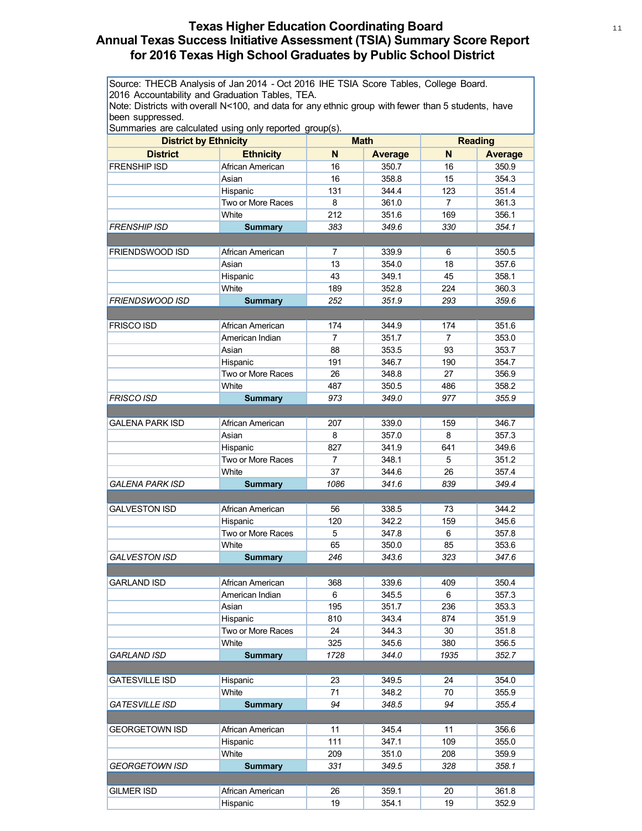# **Texas Higher Education Coordinating Board** 11 11 11 11 **Annual Texas Success Initiative Assessment (TSIA) Summary Score Report for 2016 Texas High School Graduates by Public School District**

Source: THECB Analysis of Jan 2014 - Oct 2016 IHE TSIA Score Tables, College Board. 2016 Accountability and Graduation Tables, TEA.

Note: Districts with overall N<100, and data for any ethnic group with fewer than 5 students, have been suppressed.

|                              | Summanes are calculated using only reported group(s). |                | <b>Math</b>    |                |                |
|------------------------------|-------------------------------------------------------|----------------|----------------|----------------|----------------|
| <b>District by Ethnicity</b> |                                                       |                |                |                | <b>Reading</b> |
| <b>District</b>              | <b>Ethnicity</b>                                      | N              | <b>Average</b> | N              | <b>Average</b> |
| <b>FRENSHIP ISD</b>          | African American                                      | 16             | 350.7          | 16             | 350.9          |
|                              | Asian                                                 | 16             | 358.8          | 15             | 354.3          |
|                              | Hispanic                                              | 131            | 344.4          | 123            | 351.4          |
|                              | Two or More Races                                     | 8              | 361.0          | $\overline{7}$ | 361.3          |
|                              | White                                                 | 212            | 351.6          | 169            | 356.1          |
| FRENSHIP ISD                 | <b>Summary</b>                                        | 383            | 349.6          | 330            | 354.1          |
|                              |                                                       |                |                |                |                |
| <b>FRIENDSWOOD ISD</b>       | African American                                      | $\overline{7}$ | 339.9          | 6              | 350.5          |
|                              | Asian                                                 | 13             | 354.0          | 18             | 357.6          |
|                              | Hispanic                                              | 43             | 349.1          | 45             | 358.1          |
|                              | White                                                 | 189            | 352.8          | 224            | 360.3          |
| FRIENDSWOOD ISD              | <b>Summary</b>                                        | 252            | 351.9          | 293            | 359.6          |
|                              |                                                       |                |                |                |                |
| <b>FRISCO ISD</b>            | African American                                      | 174            | 344.9          | 174            | 351.6          |
|                              | American Indian                                       | $\overline{7}$ | 351.7          | $\overline{7}$ | 353.0          |
|                              | Asian                                                 | 88             | 353.5          | 93             | 353.7          |
|                              | Hispanic                                              | 191            | 346.7          | 190            | 354.7          |
|                              | Two or More Races                                     | 26             | 348.8          | 27             | 356.9          |
|                              | White                                                 | 487            | 350.5          | 486            | 358.2          |
| <b>FRISCO ISD</b>            | <b>Summary</b>                                        | 973            | 349.0          | 977            | 355.9          |
|                              |                                                       |                |                |                |                |
| <b>GALENA PARK ISD</b>       | African American                                      | 207            | 339.0          | 159            | 346.7          |
|                              | Asian                                                 | 8              | 357.0          | 8              | 357.3          |
|                              | Hispanic                                              | 827            | 341.9          | 641            | 349.6          |
|                              | Two or More Races                                     | $\overline{7}$ | 348.1          | 5              | 351.2          |
|                              | White                                                 | 37             | 344.6          | 26             | 357.4          |
| <b>GALENA PARK ISD</b>       | <b>Summary</b>                                        | 1086           | 341.6          | 839            | 349.4          |
|                              |                                                       |                |                |                |                |
| <b>GALVESTON ISD</b>         | African American                                      | 56             | 338.5          | 73             | 344.2          |
|                              | Hispanic                                              | 120            | 342.2          | 159            | 345.6          |
|                              | Two or More Races                                     | 5              | 347.8          | 6              | 357.8          |
|                              | White                                                 | 65             | 350.0          | 85             | 353.6          |
| <b>GALVESTON ISD</b>         | <b>Summary</b>                                        | 246            | 343.6          | 323            | 347.6          |
|                              |                                                       |                |                |                |                |
| <b>GARLAND ISD</b>           | African American                                      | 368            | 339.6          | 409            | 350.4          |
|                              | American Indian                                       | 6              | 345.5          | 6              | 357.3          |
|                              | Asian                                                 | 195            | 351.7          | 236            | 353.3          |
|                              | Hispanic                                              | 810            | 343.4          | 874            | 351.9          |
|                              | Two or More Races                                     | 24             | 344.3          | 30             | 351.8          |
|                              | White                                                 | 325            | 345.6          | 380            | 356.5          |
| GARLAND ISD                  | <b>Summary</b>                                        | 1728           | 344.0          | 1935           | 352.7          |
|                              |                                                       |                |                |                |                |
| <b>GATESVILLE ISD</b>        | Hispanic                                              | 23             | 349.5          | 24             | 354.0          |
|                              | White                                                 | 71             | 348.2          | 70             | 355.9          |
| <b>GATESVILLE ISD</b>        | <b>Summary</b>                                        | 94             | 348.5          | 94             | 355.4          |
|                              |                                                       |                |                |                |                |
| <b>GEORGETOWN ISD</b>        | African American                                      | 11             | 345.4          | 11             | 356.6          |
|                              | Hispanic                                              | 111            | 347.1          | 109            | 355.0          |
|                              | White                                                 | 209            | 351.0          | 208            | 359.9          |
| <b>GEORGETOWN ISD</b>        | <b>Summary</b>                                        | 331            | 349.5          | 328            | 358.1          |
|                              |                                                       |                |                |                |                |
| <b>GILMER ISD</b>            | African American                                      | 26             | 359.1          | 20             | 361.8          |
|                              | Hispanic                                              | 19             | 354.1          | 19             | 352.9          |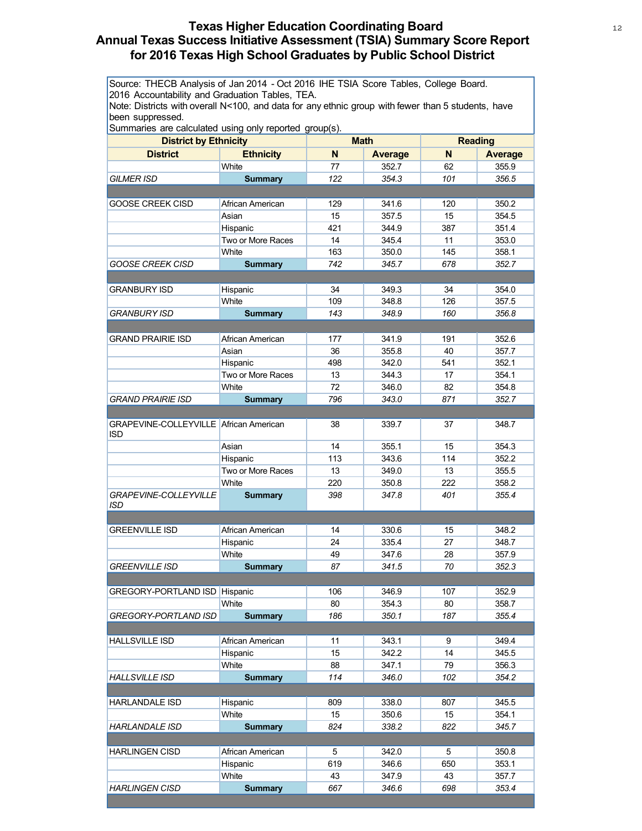# **Texas Higher Education Coordinating Board** 12 12 **Annual Texas Success Initiative Assessment (TSIA) Summary Score Report for 2016 Texas High School Graduates by Public School District**

Source: THECB Analysis of Jan 2014 - Oct 2016 IHE TSIA Score Tables, College Board. 2016 Accountability and Graduation Tables, TEA.

Note: Districts with overall N<100, and data for any ethnic group with fewer than 5 students, have been suppressed.

| <b>District</b><br><b>Ethnicity</b><br>N<br>N<br><b>Average</b><br><b>Average</b><br>White<br>77<br>352.7<br>355.9<br>62<br><b>GILMER ISD</b><br>122<br>354.3<br>101<br>356.5<br><b>Summary</b><br>341.6<br>350.2<br><b>GOOSE CREEK CISD</b><br>African American<br>129<br>120<br>15<br>357.5<br>354.5<br>Asian<br>15<br>421<br>344.9<br>387<br>351.4<br>Hispanic<br>Two or More Races<br>14<br>345.4<br>11<br>353.0<br>White<br>163<br>350.0<br>145<br>358.1<br><b>GOOSE CREEK CISD</b><br>742<br>345.7<br>678<br>352.7<br><b>Summary</b><br>34<br>349.3<br>34<br>354.0<br><b>GRANBURY ISD</b><br>Hispanic<br>White<br>348.8<br>126<br>109<br>357.5<br>348.9<br>143<br>160<br>356.8<br>GRANBURY ISD<br><b>Summary</b><br>341.9<br>352.6<br><b>GRAND PRAIRIE ISD</b><br>African American<br>177<br>191<br>355.8<br>40<br>357.7<br>Asian<br>36<br>342.0<br>541<br>352.1<br>Hispanic<br>498<br>Two or More Races<br>13<br>344.3<br>17<br>354.1<br>White<br>72<br>346.0<br>82<br>354.8<br><b>GRAND PRAIRIE ISD</b><br><b>Summary</b><br>796<br>343.0<br>871<br>352.7<br>GRAPEVINE-COLLEYVILLE African American<br>348.7<br>38<br>339.7<br>37<br><b>ISD</b><br>14<br>355.1<br>15<br>354.3<br>Asian<br>343.6<br>114<br>352.2<br>Hispanic<br>113<br>Two or More Races<br>13<br>13<br>349.0<br>355.5<br>White<br>350.8<br>222<br>358.2<br>220<br>GRAPEVINE-COLLEYVILLE<br>347.8<br>355.4<br><b>Summary</b><br>398<br>401<br>ISD<br>348.2<br><b>GREENVILLE ISD</b><br>African American<br>14<br>330.6<br>15<br>Hispanic<br>335.4<br>348.7<br>24<br>27<br>White<br>49<br>347.6<br>28<br>357.9<br><b>GREENVILLE ISD</b><br><b>Summary</b><br>87<br>341.5<br>70<br>352.3<br>GREGORY-PORTLAND ISD Hispanic<br>106<br>346.9<br>107<br>352.9<br>White<br>80<br>354.3<br>80<br>358.7<br>355.4<br>186<br>350.1<br>187<br>GREGORY-PORTLAND ISD<br><b>Summary</b> | <b>District by Ethnicity</b> |  | <b>Math</b> |  | <b>Reading</b> |  |
|-------------------------------------------------------------------------------------------------------------------------------------------------------------------------------------------------------------------------------------------------------------------------------------------------------------------------------------------------------------------------------------------------------------------------------------------------------------------------------------------------------------------------------------------------------------------------------------------------------------------------------------------------------------------------------------------------------------------------------------------------------------------------------------------------------------------------------------------------------------------------------------------------------------------------------------------------------------------------------------------------------------------------------------------------------------------------------------------------------------------------------------------------------------------------------------------------------------------------------------------------------------------------------------------------------------------------------------------------------------------------------------------------------------------------------------------------------------------------------------------------------------------------------------------------------------------------------------------------------------------------------------------------------------------------------------------------------------------------------------------------------------------------------------------------------------------------------------------------|------------------------------|--|-------------|--|----------------|--|
|                                                                                                                                                                                                                                                                                                                                                                                                                                                                                                                                                                                                                                                                                                                                                                                                                                                                                                                                                                                                                                                                                                                                                                                                                                                                                                                                                                                                                                                                                                                                                                                                                                                                                                                                                                                                                                                 |                              |  |             |  |                |  |
|                                                                                                                                                                                                                                                                                                                                                                                                                                                                                                                                                                                                                                                                                                                                                                                                                                                                                                                                                                                                                                                                                                                                                                                                                                                                                                                                                                                                                                                                                                                                                                                                                                                                                                                                                                                                                                                 |                              |  |             |  |                |  |
|                                                                                                                                                                                                                                                                                                                                                                                                                                                                                                                                                                                                                                                                                                                                                                                                                                                                                                                                                                                                                                                                                                                                                                                                                                                                                                                                                                                                                                                                                                                                                                                                                                                                                                                                                                                                                                                 |                              |  |             |  |                |  |
|                                                                                                                                                                                                                                                                                                                                                                                                                                                                                                                                                                                                                                                                                                                                                                                                                                                                                                                                                                                                                                                                                                                                                                                                                                                                                                                                                                                                                                                                                                                                                                                                                                                                                                                                                                                                                                                 |                              |  |             |  |                |  |
|                                                                                                                                                                                                                                                                                                                                                                                                                                                                                                                                                                                                                                                                                                                                                                                                                                                                                                                                                                                                                                                                                                                                                                                                                                                                                                                                                                                                                                                                                                                                                                                                                                                                                                                                                                                                                                                 |                              |  |             |  |                |  |
|                                                                                                                                                                                                                                                                                                                                                                                                                                                                                                                                                                                                                                                                                                                                                                                                                                                                                                                                                                                                                                                                                                                                                                                                                                                                                                                                                                                                                                                                                                                                                                                                                                                                                                                                                                                                                                                 |                              |  |             |  |                |  |
|                                                                                                                                                                                                                                                                                                                                                                                                                                                                                                                                                                                                                                                                                                                                                                                                                                                                                                                                                                                                                                                                                                                                                                                                                                                                                                                                                                                                                                                                                                                                                                                                                                                                                                                                                                                                                                                 |                              |  |             |  |                |  |
|                                                                                                                                                                                                                                                                                                                                                                                                                                                                                                                                                                                                                                                                                                                                                                                                                                                                                                                                                                                                                                                                                                                                                                                                                                                                                                                                                                                                                                                                                                                                                                                                                                                                                                                                                                                                                                                 |                              |  |             |  |                |  |
|                                                                                                                                                                                                                                                                                                                                                                                                                                                                                                                                                                                                                                                                                                                                                                                                                                                                                                                                                                                                                                                                                                                                                                                                                                                                                                                                                                                                                                                                                                                                                                                                                                                                                                                                                                                                                                                 |                              |  |             |  |                |  |
|                                                                                                                                                                                                                                                                                                                                                                                                                                                                                                                                                                                                                                                                                                                                                                                                                                                                                                                                                                                                                                                                                                                                                                                                                                                                                                                                                                                                                                                                                                                                                                                                                                                                                                                                                                                                                                                 |                              |  |             |  |                |  |
|                                                                                                                                                                                                                                                                                                                                                                                                                                                                                                                                                                                                                                                                                                                                                                                                                                                                                                                                                                                                                                                                                                                                                                                                                                                                                                                                                                                                                                                                                                                                                                                                                                                                                                                                                                                                                                                 |                              |  |             |  |                |  |
|                                                                                                                                                                                                                                                                                                                                                                                                                                                                                                                                                                                                                                                                                                                                                                                                                                                                                                                                                                                                                                                                                                                                                                                                                                                                                                                                                                                                                                                                                                                                                                                                                                                                                                                                                                                                                                                 |                              |  |             |  |                |  |
|                                                                                                                                                                                                                                                                                                                                                                                                                                                                                                                                                                                                                                                                                                                                                                                                                                                                                                                                                                                                                                                                                                                                                                                                                                                                                                                                                                                                                                                                                                                                                                                                                                                                                                                                                                                                                                                 |                              |  |             |  |                |  |
|                                                                                                                                                                                                                                                                                                                                                                                                                                                                                                                                                                                                                                                                                                                                                                                                                                                                                                                                                                                                                                                                                                                                                                                                                                                                                                                                                                                                                                                                                                                                                                                                                                                                                                                                                                                                                                                 |                              |  |             |  |                |  |
|                                                                                                                                                                                                                                                                                                                                                                                                                                                                                                                                                                                                                                                                                                                                                                                                                                                                                                                                                                                                                                                                                                                                                                                                                                                                                                                                                                                                                                                                                                                                                                                                                                                                                                                                                                                                                                                 |                              |  |             |  |                |  |
|                                                                                                                                                                                                                                                                                                                                                                                                                                                                                                                                                                                                                                                                                                                                                                                                                                                                                                                                                                                                                                                                                                                                                                                                                                                                                                                                                                                                                                                                                                                                                                                                                                                                                                                                                                                                                                                 |                              |  |             |  |                |  |
|                                                                                                                                                                                                                                                                                                                                                                                                                                                                                                                                                                                                                                                                                                                                                                                                                                                                                                                                                                                                                                                                                                                                                                                                                                                                                                                                                                                                                                                                                                                                                                                                                                                                                                                                                                                                                                                 |                              |  |             |  |                |  |
|                                                                                                                                                                                                                                                                                                                                                                                                                                                                                                                                                                                                                                                                                                                                                                                                                                                                                                                                                                                                                                                                                                                                                                                                                                                                                                                                                                                                                                                                                                                                                                                                                                                                                                                                                                                                                                                 |                              |  |             |  |                |  |
|                                                                                                                                                                                                                                                                                                                                                                                                                                                                                                                                                                                                                                                                                                                                                                                                                                                                                                                                                                                                                                                                                                                                                                                                                                                                                                                                                                                                                                                                                                                                                                                                                                                                                                                                                                                                                                                 |                              |  |             |  |                |  |
|                                                                                                                                                                                                                                                                                                                                                                                                                                                                                                                                                                                                                                                                                                                                                                                                                                                                                                                                                                                                                                                                                                                                                                                                                                                                                                                                                                                                                                                                                                                                                                                                                                                                                                                                                                                                                                                 |                              |  |             |  |                |  |
|                                                                                                                                                                                                                                                                                                                                                                                                                                                                                                                                                                                                                                                                                                                                                                                                                                                                                                                                                                                                                                                                                                                                                                                                                                                                                                                                                                                                                                                                                                                                                                                                                                                                                                                                                                                                                                                 |                              |  |             |  |                |  |
|                                                                                                                                                                                                                                                                                                                                                                                                                                                                                                                                                                                                                                                                                                                                                                                                                                                                                                                                                                                                                                                                                                                                                                                                                                                                                                                                                                                                                                                                                                                                                                                                                                                                                                                                                                                                                                                 |                              |  |             |  |                |  |
|                                                                                                                                                                                                                                                                                                                                                                                                                                                                                                                                                                                                                                                                                                                                                                                                                                                                                                                                                                                                                                                                                                                                                                                                                                                                                                                                                                                                                                                                                                                                                                                                                                                                                                                                                                                                                                                 |                              |  |             |  |                |  |
|                                                                                                                                                                                                                                                                                                                                                                                                                                                                                                                                                                                                                                                                                                                                                                                                                                                                                                                                                                                                                                                                                                                                                                                                                                                                                                                                                                                                                                                                                                                                                                                                                                                                                                                                                                                                                                                 |                              |  |             |  |                |  |
|                                                                                                                                                                                                                                                                                                                                                                                                                                                                                                                                                                                                                                                                                                                                                                                                                                                                                                                                                                                                                                                                                                                                                                                                                                                                                                                                                                                                                                                                                                                                                                                                                                                                                                                                                                                                                                                 |                              |  |             |  |                |  |
|                                                                                                                                                                                                                                                                                                                                                                                                                                                                                                                                                                                                                                                                                                                                                                                                                                                                                                                                                                                                                                                                                                                                                                                                                                                                                                                                                                                                                                                                                                                                                                                                                                                                                                                                                                                                                                                 |                              |  |             |  |                |  |
|                                                                                                                                                                                                                                                                                                                                                                                                                                                                                                                                                                                                                                                                                                                                                                                                                                                                                                                                                                                                                                                                                                                                                                                                                                                                                                                                                                                                                                                                                                                                                                                                                                                                                                                                                                                                                                                 |                              |  |             |  |                |  |
|                                                                                                                                                                                                                                                                                                                                                                                                                                                                                                                                                                                                                                                                                                                                                                                                                                                                                                                                                                                                                                                                                                                                                                                                                                                                                                                                                                                                                                                                                                                                                                                                                                                                                                                                                                                                                                                 |                              |  |             |  |                |  |
|                                                                                                                                                                                                                                                                                                                                                                                                                                                                                                                                                                                                                                                                                                                                                                                                                                                                                                                                                                                                                                                                                                                                                                                                                                                                                                                                                                                                                                                                                                                                                                                                                                                                                                                                                                                                                                                 |                              |  |             |  |                |  |
|                                                                                                                                                                                                                                                                                                                                                                                                                                                                                                                                                                                                                                                                                                                                                                                                                                                                                                                                                                                                                                                                                                                                                                                                                                                                                                                                                                                                                                                                                                                                                                                                                                                                                                                                                                                                                                                 |                              |  |             |  |                |  |
|                                                                                                                                                                                                                                                                                                                                                                                                                                                                                                                                                                                                                                                                                                                                                                                                                                                                                                                                                                                                                                                                                                                                                                                                                                                                                                                                                                                                                                                                                                                                                                                                                                                                                                                                                                                                                                                 |                              |  |             |  |                |  |
|                                                                                                                                                                                                                                                                                                                                                                                                                                                                                                                                                                                                                                                                                                                                                                                                                                                                                                                                                                                                                                                                                                                                                                                                                                                                                                                                                                                                                                                                                                                                                                                                                                                                                                                                                                                                                                                 |                              |  |             |  |                |  |
|                                                                                                                                                                                                                                                                                                                                                                                                                                                                                                                                                                                                                                                                                                                                                                                                                                                                                                                                                                                                                                                                                                                                                                                                                                                                                                                                                                                                                                                                                                                                                                                                                                                                                                                                                                                                                                                 |                              |  |             |  |                |  |
|                                                                                                                                                                                                                                                                                                                                                                                                                                                                                                                                                                                                                                                                                                                                                                                                                                                                                                                                                                                                                                                                                                                                                                                                                                                                                                                                                                                                                                                                                                                                                                                                                                                                                                                                                                                                                                                 |                              |  |             |  |                |  |
|                                                                                                                                                                                                                                                                                                                                                                                                                                                                                                                                                                                                                                                                                                                                                                                                                                                                                                                                                                                                                                                                                                                                                                                                                                                                                                                                                                                                                                                                                                                                                                                                                                                                                                                                                                                                                                                 |                              |  |             |  |                |  |
|                                                                                                                                                                                                                                                                                                                                                                                                                                                                                                                                                                                                                                                                                                                                                                                                                                                                                                                                                                                                                                                                                                                                                                                                                                                                                                                                                                                                                                                                                                                                                                                                                                                                                                                                                                                                                                                 |                              |  |             |  |                |  |
|                                                                                                                                                                                                                                                                                                                                                                                                                                                                                                                                                                                                                                                                                                                                                                                                                                                                                                                                                                                                                                                                                                                                                                                                                                                                                                                                                                                                                                                                                                                                                                                                                                                                                                                                                                                                                                                 |                              |  |             |  |                |  |
|                                                                                                                                                                                                                                                                                                                                                                                                                                                                                                                                                                                                                                                                                                                                                                                                                                                                                                                                                                                                                                                                                                                                                                                                                                                                                                                                                                                                                                                                                                                                                                                                                                                                                                                                                                                                                                                 |                              |  |             |  |                |  |
| <b>HALLSVILLE ISD</b><br>African American<br>11<br>343.1<br>349.4<br>9                                                                                                                                                                                                                                                                                                                                                                                                                                                                                                                                                                                                                                                                                                                                                                                                                                                                                                                                                                                                                                                                                                                                                                                                                                                                                                                                                                                                                                                                                                                                                                                                                                                                                                                                                                          |                              |  |             |  |                |  |
| 342.2<br>14<br>15<br>345.5<br>Hispanic                                                                                                                                                                                                                                                                                                                                                                                                                                                                                                                                                                                                                                                                                                                                                                                                                                                                                                                                                                                                                                                                                                                                                                                                                                                                                                                                                                                                                                                                                                                                                                                                                                                                                                                                                                                                          |                              |  |             |  |                |  |
| White<br>347.1<br>79<br>88<br>356.3                                                                                                                                                                                                                                                                                                                                                                                                                                                                                                                                                                                                                                                                                                                                                                                                                                                                                                                                                                                                                                                                                                                                                                                                                                                                                                                                                                                                                                                                                                                                                                                                                                                                                                                                                                                                             |                              |  |             |  |                |  |
| <b>HALLSVILLE ISD</b><br>114<br>346.0<br>102<br>354.2<br><b>Summary</b>                                                                                                                                                                                                                                                                                                                                                                                                                                                                                                                                                                                                                                                                                                                                                                                                                                                                                                                                                                                                                                                                                                                                                                                                                                                                                                                                                                                                                                                                                                                                                                                                                                                                                                                                                                         |                              |  |             |  |                |  |
|                                                                                                                                                                                                                                                                                                                                                                                                                                                                                                                                                                                                                                                                                                                                                                                                                                                                                                                                                                                                                                                                                                                                                                                                                                                                                                                                                                                                                                                                                                                                                                                                                                                                                                                                                                                                                                                 |                              |  |             |  |                |  |
| 809<br>338.0<br>345.5<br><b>HARLANDALE ISD</b><br>Hispanic<br>807                                                                                                                                                                                                                                                                                                                                                                                                                                                                                                                                                                                                                                                                                                                                                                                                                                                                                                                                                                                                                                                                                                                                                                                                                                                                                                                                                                                                                                                                                                                                                                                                                                                                                                                                                                               |                              |  |             |  |                |  |
| White<br>15<br>350.6<br>15<br>354.1                                                                                                                                                                                                                                                                                                                                                                                                                                                                                                                                                                                                                                                                                                                                                                                                                                                                                                                                                                                                                                                                                                                                                                                                                                                                                                                                                                                                                                                                                                                                                                                                                                                                                                                                                                                                             |                              |  |             |  |                |  |
| 824<br><b>HARLANDALE ISD</b><br><b>Summary</b><br>338.2<br>822<br>345.7                                                                                                                                                                                                                                                                                                                                                                                                                                                                                                                                                                                                                                                                                                                                                                                                                                                                                                                                                                                                                                                                                                                                                                                                                                                                                                                                                                                                                                                                                                                                                                                                                                                                                                                                                                         |                              |  |             |  |                |  |
|                                                                                                                                                                                                                                                                                                                                                                                                                                                                                                                                                                                                                                                                                                                                                                                                                                                                                                                                                                                                                                                                                                                                                                                                                                                                                                                                                                                                                                                                                                                                                                                                                                                                                                                                                                                                                                                 |                              |  |             |  |                |  |
| 5<br><b>HARLINGEN CISD</b><br>African American<br>342.0<br>5<br>350.8                                                                                                                                                                                                                                                                                                                                                                                                                                                                                                                                                                                                                                                                                                                                                                                                                                                                                                                                                                                                                                                                                                                                                                                                                                                                                                                                                                                                                                                                                                                                                                                                                                                                                                                                                                           |                              |  |             |  |                |  |
| 619<br>346.6<br>650<br>353.1<br>Hispanic                                                                                                                                                                                                                                                                                                                                                                                                                                                                                                                                                                                                                                                                                                                                                                                                                                                                                                                                                                                                                                                                                                                                                                                                                                                                                                                                                                                                                                                                                                                                                                                                                                                                                                                                                                                                        |                              |  |             |  |                |  |
| White<br>43<br>347.9<br>43<br>357.7                                                                                                                                                                                                                                                                                                                                                                                                                                                                                                                                                                                                                                                                                                                                                                                                                                                                                                                                                                                                                                                                                                                                                                                                                                                                                                                                                                                                                                                                                                                                                                                                                                                                                                                                                                                                             |                              |  |             |  |                |  |
| <b>HARLINGEN CISD</b><br><b>Summary</b><br>667<br>346.6<br>698<br>353.4                                                                                                                                                                                                                                                                                                                                                                                                                                                                                                                                                                                                                                                                                                                                                                                                                                                                                                                                                                                                                                                                                                                                                                                                                                                                                                                                                                                                                                                                                                                                                                                                                                                                                                                                                                         |                              |  |             |  |                |  |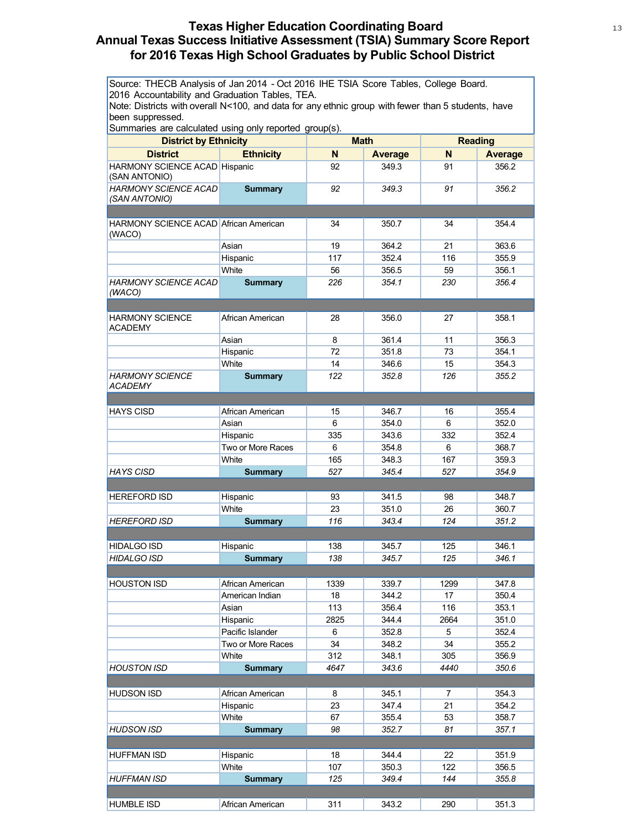#### **Texas Higher Education Coordinating Board** <sup>13</sup> **Annual Texas Success Initiative Assessment (TSIA) Summary Score Report for 2016 Texas High School Graduates by Public School District**

| Source: THECB Analysis of Jan 2014 - Oct 2016 IHE TSIA Score Tables, College Board.<br>2016 Accountability and Graduation Tables, TEA.<br>Note: Districts with overall N<100, and data for any ethnic group with fewer than 5 students, have<br>been suppressed.<br>Summaries are calculated using only reported group(s).<br><b>Math</b><br><b>Reading</b><br><b>District by Ethnicity</b> |                   |      |                |      |                |  |  |
|---------------------------------------------------------------------------------------------------------------------------------------------------------------------------------------------------------------------------------------------------------------------------------------------------------------------------------------------------------------------------------------------|-------------------|------|----------------|------|----------------|--|--|
|                                                                                                                                                                                                                                                                                                                                                                                             |                   |      |                |      |                |  |  |
| <b>District</b>                                                                                                                                                                                                                                                                                                                                                                             | <b>Ethnicity</b>  | N    | <b>Average</b> | N    | <b>Average</b> |  |  |
| <b>HARMONY SCIENCE ACAD Hispanic</b><br>(SAN ANTONIO)                                                                                                                                                                                                                                                                                                                                       |                   | 92   | 349.3          | 91   | 356.2          |  |  |
| <b>HARMONY SCIENCE ACAD</b><br>(SAN ANTONIO)                                                                                                                                                                                                                                                                                                                                                | <b>Summary</b>    | 92   | 349.3          | 91   | 356.2          |  |  |
|                                                                                                                                                                                                                                                                                                                                                                                             |                   |      |                |      |                |  |  |
| <b>HARMONY SCIENCE ACAD African American</b><br>(WACO)                                                                                                                                                                                                                                                                                                                                      |                   | 34   | 350.7          | 34   | 354.4          |  |  |
|                                                                                                                                                                                                                                                                                                                                                                                             | Asian             | 19   | 364.2          | 21   | 363.6          |  |  |
|                                                                                                                                                                                                                                                                                                                                                                                             | Hispanic          | 117  | 352.4          | 116  | 355.9          |  |  |
|                                                                                                                                                                                                                                                                                                                                                                                             | White             | 56   | 356.5          | 59   | 356.1          |  |  |
| HARMONY SCIENCE ACAD                                                                                                                                                                                                                                                                                                                                                                        | <b>Summary</b>    | 226  | 354.1          | 230  | 356.4          |  |  |
| (WACO)                                                                                                                                                                                                                                                                                                                                                                                      |                   |      |                |      |                |  |  |
|                                                                                                                                                                                                                                                                                                                                                                                             |                   |      |                |      |                |  |  |
| <b>HARMONY SCIENCE</b><br><b>ACADEMY</b>                                                                                                                                                                                                                                                                                                                                                    | African American  | 28   | 356.0          | 27   | 358.1          |  |  |
|                                                                                                                                                                                                                                                                                                                                                                                             | Asian             | 8    | 361.4          | 11   | 356.3          |  |  |
|                                                                                                                                                                                                                                                                                                                                                                                             | Hispanic          | 72   | 351.8          | 73   | 354.1          |  |  |
|                                                                                                                                                                                                                                                                                                                                                                                             | White             | 14   | 346.6          | 15   | 354.3          |  |  |
| <b>HARMONY SCIENCE</b><br>ACADEMY                                                                                                                                                                                                                                                                                                                                                           | <b>Summary</b>    | 122  | 352.8          | 126  | 355.2          |  |  |
|                                                                                                                                                                                                                                                                                                                                                                                             |                   |      |                |      |                |  |  |
| <b>HAYS CISD</b>                                                                                                                                                                                                                                                                                                                                                                            | African American  | 15   | 346.7          | 16   | 355.4          |  |  |
|                                                                                                                                                                                                                                                                                                                                                                                             | Asian             | 6    | 354.0          | 6    | 352.0          |  |  |
|                                                                                                                                                                                                                                                                                                                                                                                             | Hispanic          | 335  | 343.6          | 332  | 352.4          |  |  |
|                                                                                                                                                                                                                                                                                                                                                                                             | Two or More Races | 6    | 354.8          | 6    | 368.7          |  |  |
|                                                                                                                                                                                                                                                                                                                                                                                             | White             | 165  | 348.3          | 167  | 359.3          |  |  |
| <b>HAYS CISD</b>                                                                                                                                                                                                                                                                                                                                                                            | <b>Summary</b>    | 527  | 345.4          | 527  | 354.9          |  |  |
|                                                                                                                                                                                                                                                                                                                                                                                             |                   |      |                |      |                |  |  |
| <b>HEREFORD ISD</b>                                                                                                                                                                                                                                                                                                                                                                         | Hispanic          | 93   | 341.5          | 98   | 348.7          |  |  |
|                                                                                                                                                                                                                                                                                                                                                                                             | White             | 23   | 351.0          | 26   | 360.7          |  |  |
| <b>HEREFORD ISD</b>                                                                                                                                                                                                                                                                                                                                                                         | <b>Summary</b>    | 116  | 343.4          | 124  | 351.2          |  |  |
|                                                                                                                                                                                                                                                                                                                                                                                             |                   |      |                |      |                |  |  |
| <b>HIDALGO ISD</b>                                                                                                                                                                                                                                                                                                                                                                          | Hispanic          | 138  | 345.7          | 125  | 346.1          |  |  |
| HIDALGO ISD                                                                                                                                                                                                                                                                                                                                                                                 | <b>Summary</b>    | 138  | 345.7          | 125  | 346.1          |  |  |
|                                                                                                                                                                                                                                                                                                                                                                                             |                   |      |                |      |                |  |  |
| <b>HOUSTON ISD</b>                                                                                                                                                                                                                                                                                                                                                                          | African American  | 1339 | 339.7          | 1299 | 347.8          |  |  |
|                                                                                                                                                                                                                                                                                                                                                                                             | American Indian   | 18   | 344.2          | 17   | 350.4          |  |  |
|                                                                                                                                                                                                                                                                                                                                                                                             | Asian             | 113  | 356.4          | 116  | 353.1          |  |  |
|                                                                                                                                                                                                                                                                                                                                                                                             | Hispanic          | 2825 | 344.4          | 2664 | 351.0          |  |  |
|                                                                                                                                                                                                                                                                                                                                                                                             | Pacific Islander  | 6    | 352.8          | 5    | 352.4          |  |  |
|                                                                                                                                                                                                                                                                                                                                                                                             | Two or More Races | 34   |                | 34   |                |  |  |
|                                                                                                                                                                                                                                                                                                                                                                                             |                   |      | 348.2          |      | 355.2          |  |  |
|                                                                                                                                                                                                                                                                                                                                                                                             | White             | 312  | 348.1          | 305  | 356.9          |  |  |
| <b>HOUSTON ISD</b>                                                                                                                                                                                                                                                                                                                                                                          | <b>Summary</b>    | 4647 | 343.6          | 4440 | 350.6          |  |  |
| <b>HUDSON ISD</b>                                                                                                                                                                                                                                                                                                                                                                           | African American  | 8    | 345.1          | 7    | 354.3          |  |  |
|                                                                                                                                                                                                                                                                                                                                                                                             | Hispanic          | 23   | 347.4          | 21   | 354.2          |  |  |
|                                                                                                                                                                                                                                                                                                                                                                                             | White             | 67   | 355.4          | 53   | 358.7          |  |  |
| <b>HUDSON ISD</b>                                                                                                                                                                                                                                                                                                                                                                           | <b>Summary</b>    | 98   | 352.7          | 81   | 357.1          |  |  |
|                                                                                                                                                                                                                                                                                                                                                                                             |                   |      |                |      |                |  |  |
| <b>HUFFMAN ISD</b>                                                                                                                                                                                                                                                                                                                                                                          | Hispanic          | 18   | 344.4          | 22   | 351.9          |  |  |
|                                                                                                                                                                                                                                                                                                                                                                                             | White             | 107  | 350.3          | 122  | 356.5          |  |  |
| <b>HUFFMAN ISD</b>                                                                                                                                                                                                                                                                                                                                                                          | <b>Summary</b>    | 125  | 349.4          | 144  | 355.8          |  |  |
|                                                                                                                                                                                                                                                                                                                                                                                             |                   |      |                |      |                |  |  |
| <b>HUMBLE ISD</b>                                                                                                                                                                                                                                                                                                                                                                           | African American  | 311  | 343.2          | 290  | 351.3          |  |  |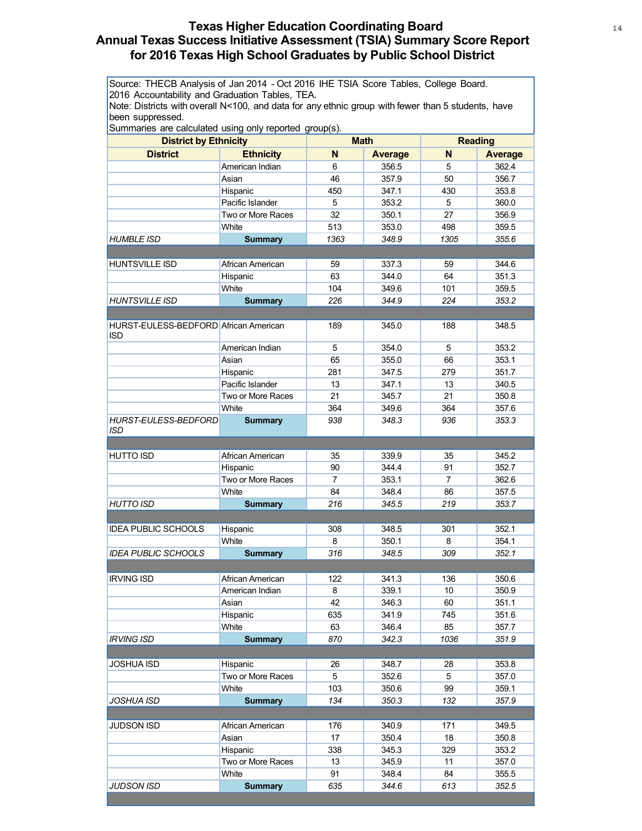# **Texas Higher Education Coordinating Board** 14 **Annual Texas Success Initiative Assessment (TSIA) Summary Score Report for 2016 Texas High School Graduates by Public School District**

Source: THECB Analysis of Jan 2014 - Oct 2016 IHE TSIA Score Tables, College Board. 2016 Accountability and Graduation Tables, TEA.

Note: Districts with overall N<100, and data for any ethnic group with fewer than 5 students, have been suppressed.

| <b>District by Ethnicity</b>                        | Summaries are calculated using only reported group(s).<br><b>Math</b> |                |                | <b>Reading</b> |                |  |
|-----------------------------------------------------|-----------------------------------------------------------------------|----------------|----------------|----------------|----------------|--|
| <b>District</b>                                     | <b>Ethnicity</b>                                                      | N              | <b>Average</b> | N              | <b>Average</b> |  |
|                                                     | American Indian                                                       | 6              | 356.5          | 5              | 362.4          |  |
|                                                     | Asian                                                                 | 46             | 357.9          | 50             | 356.7          |  |
|                                                     | Hispanic                                                              | 450            | 347.1          | 430            | 353.8          |  |
|                                                     | Pacific Islander                                                      | 5              | 353.2          | 5              | 360.0          |  |
|                                                     | Two or More Races                                                     | 32             | 350.1          | 27             | 356.9          |  |
|                                                     | White                                                                 | 513            | 353.0          | 498            | 359.5          |  |
| <i>HUMBLE ISD</i>                                   | <b>Summary</b>                                                        | 1363           | 348.9          | 1305           | 355.6          |  |
|                                                     |                                                                       |                |                |                |                |  |
| HUNTSVILLE ISD                                      | African American                                                      | 59             | 337.3          | 59             | 344.6          |  |
|                                                     | Hispanic                                                              | 63             | 344.0          | 64             | 351.3          |  |
|                                                     | White                                                                 | 104            | 349.6          | 101            | 359.5          |  |
| <b>HUNTSVILLE ISD</b>                               | <b>Summary</b>                                                        | 226            | 344.9          | 224            | 353.2          |  |
|                                                     |                                                                       |                |                |                |                |  |
| HURST-EULESS-BEDFORD African American<br><b>ISD</b> |                                                                       | 189            | 345.0          | 188            | 348.5          |  |
|                                                     | American Indian                                                       | 5              | 354.0          | 5              | 353.2          |  |
|                                                     | Asian                                                                 | 65             | 355.0          | 66             | 353.1          |  |
|                                                     | Hispanic                                                              | 281            | 347.5          | 279            | 351.7          |  |
|                                                     | Pacific Islander                                                      | 13             | 347.1          | 13             | 340.5          |  |
|                                                     | Two or More Races                                                     | 21             | 345.7          | 21             | 350.8          |  |
|                                                     | White                                                                 | 364            | 349.6          | 364            | 357.6          |  |
| <b>HURST-EULESS-BEDFORD</b><br>ISD                  | <b>Summary</b>                                                        | 938            | 348.3          | 936            | 353.3          |  |
|                                                     |                                                                       |                |                |                |                |  |
| <b>HUTTO ISD</b>                                    | African American                                                      | 35             | 339.9          | 35             | 345.2          |  |
|                                                     | Hispanic                                                              | 90             | 344.4          | 91             | 352.7          |  |
|                                                     | Two or More Races                                                     | $\overline{7}$ | 353.1          | $\overline{7}$ | 362.6          |  |
|                                                     | White                                                                 | 84             | 348.4          | 86             | 357.5          |  |
| HUTTO ISD                                           | <b>Summary</b>                                                        | 216            | 345.5          | 219            | 353.7          |  |
|                                                     |                                                                       |                |                |                |                |  |
| <b>IDEA PUBLIC SCHOOLS</b>                          | Hispanic                                                              | 308            | 348.5          | 301            | 352.1          |  |
|                                                     | White                                                                 | 8              | 350.1          | 8              | 354.1          |  |
| <b>IDEA PUBLIC SCHOOLS</b>                          | <b>Summary</b>                                                        | 316            | 348.5          | 309            | 352.1          |  |
|                                                     |                                                                       |                |                |                |                |  |
| <b>IRVING ISD</b>                                   | African American                                                      | 122            | 341.3          | 136            | 350.6          |  |
|                                                     | American Indian                                                       | 8              | 339.1<br>346.3 | 10             | 350.9<br>351.1 |  |
|                                                     | Asian                                                                 | 42             |                | 60             |                |  |
|                                                     | Hispanic<br>White                                                     | 635<br>63      | 341.9<br>346.4 | 745<br>85      | 351.6<br>357.7 |  |
| IRVING ISD                                          | <b>Summary</b>                                                        | 870            | 342.3          | 1036           | 351.9          |  |
|                                                     |                                                                       |                |                |                |                |  |
| JOSHUA ISD                                          | Hispanic                                                              | 26             | 348.7          | 28             | 353.8          |  |
|                                                     | Two or More Races                                                     | 5              | 352.6          | 5              | 357.0          |  |
|                                                     | White                                                                 | 103            | 350.6          | 99             | 359.1          |  |
| JOSHUA ISD                                          | <b>Summary</b>                                                        | 134            | 350.3          | 132            | 357.9          |  |
|                                                     |                                                                       |                |                |                |                |  |
| <b>JUDSON ISD</b>                                   | African American                                                      | 176            | 340.9          | 171            | 349.5          |  |
|                                                     | Asian                                                                 | 17             | 350.4          | 18             | 350.8          |  |
|                                                     | Hispanic                                                              | 338            | 345.3          | 329            | 353.2          |  |
|                                                     | Two or More Races                                                     | 13             | 345.9          | 11             | 357.0          |  |
|                                                     | White                                                                 | 91             | 348.4          | 84             | 355.5          |  |
| <b>JUDSON ISD</b>                                   | <b>Summary</b>                                                        | 635            | 344.6          | 613            | 352.5          |  |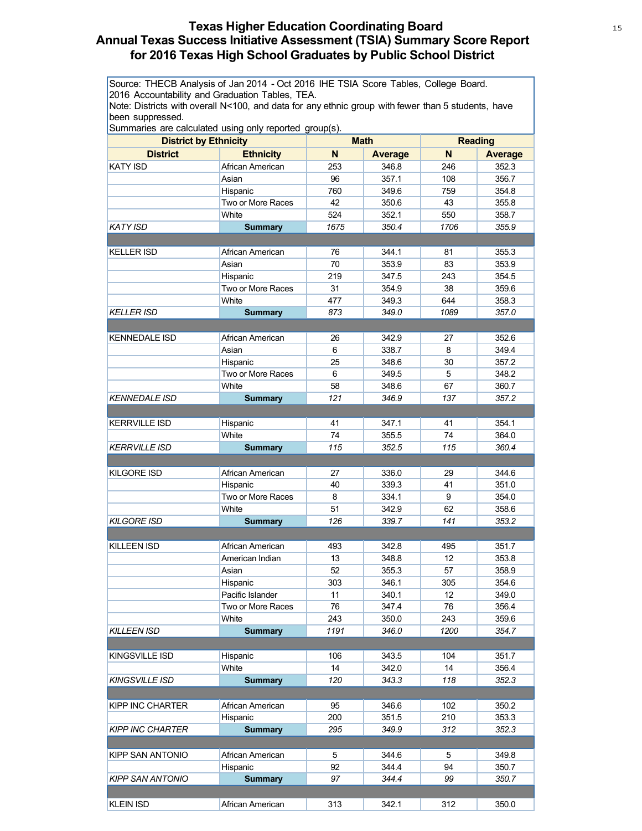# **Texas Higher Education Coordinating Board** 15 15 15 **Annual Texas Success Initiative Assessment (TSIA) Summary Score Report for 2016 Texas High School Graduates by Public School District**

Source: THECB Analysis of Jan 2014 - Oct 2016 IHE TSIA Score Tables, College Board. 2016 Accountability and Graduation Tables, TEA.

Note: Districts with overall N<100, and data for any ethnic group with fewer than 5 students, have been suppressed.

|                       | Surfinanes are calculated using only reported group(s). | <b>Math</b> |                | <b>Reading</b> |                |
|-----------------------|---------------------------------------------------------|-------------|----------------|----------------|----------------|
|                       | <b>District by Ethnicity</b>                            |             |                |                |                |
| <b>District</b>       | <b>Ethnicity</b>                                        | N           | <b>Average</b> | N              | <b>Average</b> |
| <b>KATY ISD</b>       | African American                                        | 253         | 346.8          | 246            | 352.3          |
|                       | Asian                                                   | 96          | 357.1          | 108            | 356.7          |
|                       | Hispanic                                                | 760         | 349.6          | 759            | 354.8          |
|                       | Two or More Races                                       | 42          | 350.6          | 43             | 355.8          |
|                       | White                                                   | 524         | 352.1          | 550            | 358.7          |
| <b>KATY ISD</b>       | <b>Summary</b>                                          | 1675        | 350.4          | 1706           | 355.9          |
| <b>KELLER ISD</b>     | African American                                        | 76          | 344.1          | 81             | 355.3          |
|                       | Asian                                                   | 70          | 353.9          | 83             | 353.9          |
|                       | Hispanic                                                | 219         | 347.5          | 243            | 354.5          |
|                       | Two or More Races                                       | 31          | 354.9          | 38             | 359.6          |
|                       | White                                                   | 477         | 349.3          | 644            | 358.3          |
| <b>KELLER ISD</b>     |                                                         | 873         | 349.0          | 1089           | 357.0          |
|                       | <b>Summary</b>                                          |             |                |                |                |
| <b>KENNEDALE ISD</b>  | African American                                        | 26          | 342.9          | 27             | 352.6          |
|                       | Asian                                                   | 6           | 338.7          | 8              | 349.4          |
|                       | Hispanic                                                | 25          | 348.6          | 30             | 357.2          |
|                       | Two or More Races                                       | 6           | 349.5          | 5              | 348.2          |
|                       | White                                                   | 58          | 348.6          | 67             | 360.7          |
| <b>KENNEDALE ISD</b>  | <b>Summary</b>                                          | 121         | 346.9          | 137            | 357.2          |
|                       |                                                         |             |                |                |                |
| <b>KERRVILLE ISD</b>  | Hispanic                                                | 41          | 347.1          | 41             | 354.1          |
|                       | White                                                   | 74          | 355.5          | 74             | 364.0          |
| <b>KERRVILLE ISD</b>  | <b>Summary</b>                                          | 115         | 352.5          | 115            | 360.4          |
|                       |                                                         |             |                |                |                |
| <b>KILGORE ISD</b>    | African American                                        | 27          | 336.0          | 29             | 344.6          |
|                       | Hispanic                                                | 40          | 339.3          | 41             | 351.0          |
|                       | Two or More Races                                       | 8           | 334.1          | 9              | 354.0          |
|                       | White                                                   | 51          | 342.9          | 62             | 358.6          |
| <b>KILGORE ISD</b>    | <b>Summary</b>                                          | 126         | 339.7          | 141            | 353.2          |
|                       |                                                         |             |                |                |                |
| <b>KILLEEN ISD</b>    | African American                                        | 493         | 342.8          | 495            | 351.7          |
|                       | American Indian                                         | 13          | 348.8          | 12             | 353.8          |
|                       | Asian                                                   | 52          | 355.3          | 57             | 358.9          |
|                       | Hispanic                                                | 303         | 346.1          | 305            | 354.6          |
|                       | Pacific Islander                                        | 11          | 340.1          | 12             | 349.0          |
|                       | Two or More Races                                       | 76          | 347.4          | 76             | 356.4          |
|                       | White                                                   | 243         | 350.0          | 243            | 359.6          |
| KILLEEN ISD           | <b>Summary</b>                                          | 1191        | 346.0          | 1200           | 354.7          |
|                       |                                                         |             |                |                |                |
| KINGSVILLE ISD        | Hispanic                                                | 106         | 343.5          | 104            | 351.7          |
|                       | White                                                   | 14          | 342.0          | 14             | 356.4          |
| <b>KINGSVILLE ISD</b> | <b>Summary</b>                                          | 120         | 343.3          | 118            | 352.3          |
|                       |                                                         |             |                |                |                |
| KIPP INC CHARTER      | African American                                        | 95          | 346.6          | 102            | 350.2          |
|                       | Hispanic                                                | 200         | 351.5          | 210            | 353.3          |
| KIPP INC CHARTER      | <b>Summary</b>                                          | 295         | 349.9          | 312            | 352.3          |
|                       |                                                         |             |                |                |                |
| KIPP SAN ANTONIO      | African American                                        | 5           | 344.6          | 5              | 349.8          |
|                       | Hispanic                                                | 92          | 344.4          | 94             | 350.7          |
| KIPP SAN ANTONIO      | <b>Summary</b>                                          | 97          | 344.4          | 99             | 350.7          |
|                       |                                                         |             |                |                |                |
| <b>KLEIN ISD</b>      | African American                                        | 313         | 342.1          | 312            | 350.0          |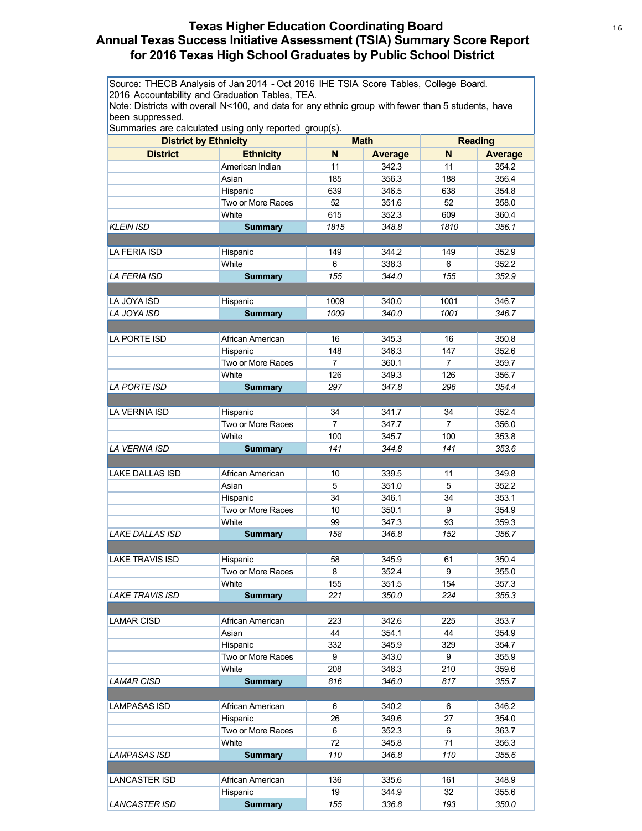# **Texas Higher Education Coordinating Board** 16 16 16 **Annual Texas Success Initiative Assessment (TSIA) Summary Score Report for 2016 Texas High School Graduates by Public School District**

Source: THECB Analysis of Jan 2014 - Oct 2016 IHE TSIA Score Tables, College Board. 2016 Accountability and Graduation Tables, TEA.

Note: Districts with overall N<100, and data for any ethnic group with fewer than 5 students, have been suppressed.

|                        | Summanes are calculated using only reported group(s).<br><b>District by Ethnicity</b> |                | <b>Math</b>    |                | <b>Reading</b> |
|------------------------|---------------------------------------------------------------------------------------|----------------|----------------|----------------|----------------|
| <b>District</b>        | <b>Ethnicity</b>                                                                      | N              | <b>Average</b> | N              | <b>Average</b> |
|                        | American Indian                                                                       | 11             | 342.3          | 11             | 354.2          |
|                        | Asian                                                                                 | 185            | 356.3          | 188            | 356.4          |
|                        | Hispanic                                                                              | 639            | 346.5          | 638            | 354.8          |
|                        | Two or More Races                                                                     | 52             | 351.6          | 52             | 358.0          |
|                        | White                                                                                 | 615            | 352.3          | 609            | 360.4          |
| KLEIN ISD              | <b>Summary</b>                                                                        | 1815           | 348.8          | 1810           | 356.1          |
|                        |                                                                                       |                |                |                |                |
| LA FERIA ISD           | Hispanic                                                                              | 149            | 344.2          | 149            | 352.9          |
|                        | White                                                                                 | 6              | 338.3          | 6              | 352.2          |
| <i>LA FERIA ISD</i>    | <b>Summary</b>                                                                        | 155            | 344.0          | 155            | 352.9          |
|                        |                                                                                       |                |                |                |                |
| LA JOYA ISD            | Hispanic                                                                              | 1009           | 340.0          | 1001           | 346.7          |
| LA JOYA ISD            | <b>Summary</b>                                                                        | 1009           | 340.0          | 1001           | 346.7          |
|                        |                                                                                       |                |                |                |                |
| LA PORTE ISD           | African American                                                                      | 16             | 345.3          | 16             | 350.8          |
|                        | Hispanic                                                                              | 148            | 346.3          | 147            | 352.6          |
|                        | Two or More Races                                                                     | $\overline{7}$ | 360.1          | $\overline{7}$ | 359.7          |
|                        | White                                                                                 | 126            | 349.3          | 126            | 356.7          |
| LA PORTE ISD           | <b>Summary</b>                                                                        | 297            | 347.8          | 296            | 354.4          |
|                        |                                                                                       |                |                |                |                |
| <b>LA VERNIA ISD</b>   | Hispanic                                                                              | 34             | 341.7          | 34             | 352.4          |
|                        | Two or More Races                                                                     | $\overline{7}$ | 347.7          | 7              | 356.0          |
|                        | White                                                                                 | 100            | 345.7          | 100            | 353.8          |
| LA VERNIA ISD          | <b>Summary</b>                                                                        | 141            | 344.8          | 141            | 353.6          |
|                        |                                                                                       |                |                |                |                |
| <b>LAKE DALLAS ISD</b> | African American                                                                      | 10             | 339.5          | 11             | 349.8          |
|                        | Asian                                                                                 | 5              | 351.0          | 5              | 352.2          |
|                        | Hispanic                                                                              | 34             | 346.1          | 34             | 353.1          |
|                        | Two or More Races                                                                     | 10             | 350.1          | 9              | 354.9          |
|                        | White                                                                                 | 99             | 347.3          | 93             | 359.3          |
| <b>LAKE DALLAS ISD</b> | <b>Summary</b>                                                                        | 158            | 346.8          | 152            | 356.7          |
|                        |                                                                                       |                |                |                |                |
| <b>LAKE TRAVIS ISD</b> | Hispanic                                                                              | 58             | 345.9          | 61             | 350.4          |
|                        | Two or More Races                                                                     | 8              | 352.4          | 9              | 355.0          |
|                        | White                                                                                 | 155            | 351.5          | 154            | 357.3          |
| <b>LAKE TRAVIS ISD</b> | <b>Summary</b>                                                                        | 221            | 350.0          | 224            | 355.3          |
|                        |                                                                                       |                |                |                |                |
| <b>LAMAR CISD</b>      | African American                                                                      | 223            | 342.6          | 225            | 353.7          |
|                        | Asian                                                                                 | 44             | 354.1          | 44             | 354.9          |
|                        | Hispanic                                                                              | 332            | 345.9          | 329            | 354.7          |
|                        | Two or More Races                                                                     | 9              | 343.0          | 9              | 355.9          |
|                        | White                                                                                 | 208            | 348.3          | 210            | 359.6          |
| <i>LAMAR CISD</i>      | <b>Summary</b>                                                                        | 816            | 346.0          | 817            | 355.7          |
|                        |                                                                                       |                |                |                |                |
| LAMPASAS ISD           | African American                                                                      | 6              | 340.2          | 6              | 346.2          |
|                        | Hispanic                                                                              | 26             | 349.6          | 27             | 354.0          |
|                        | Two or More Races                                                                     | 6              | 352.3          | 6              | 363.7          |
|                        | White                                                                                 | 72             | 345.8          | 71             | 356.3          |
| LAMPASAS ISD           | <b>Summary</b>                                                                        | 110            | 346.8          | 110            | 355.6          |
|                        |                                                                                       |                |                |                |                |
| LANCASTER ISD          | African American                                                                      | 136            | 335.6          | 161            | 348.9          |
|                        | Hispanic                                                                              | 19             | 344.9          | 32             | 355.6          |
| <b>LANCASTER ISD</b>   | <b>Summary</b>                                                                        | 155            | 336.8          | 193            | 350.0          |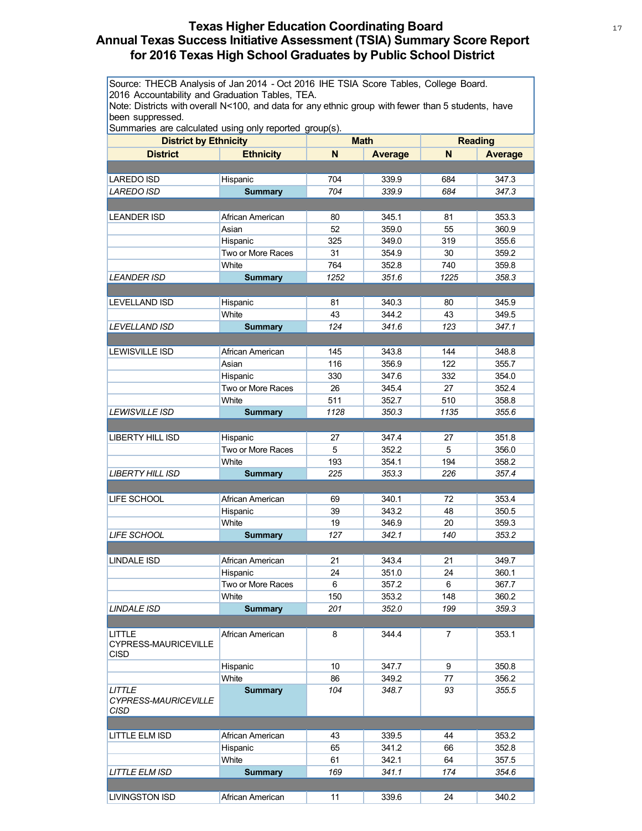# **Texas Higher Education Coordinating Board** 17 **Annual Texas Success Initiative Assessment (TSIA) Summary Score Report for 2016 Texas High School Graduates by Public School District**

Source: THECB Analysis of Jan 2014 - Oct 2016 IHE TSIA Score Tables, College Board. 2016 Accountability and Graduation Tables, TEA.

Note: Districts with overall N<100, and data for any ethnic group with fewer than 5 students, have been suppressed.

| <b>District by Ethnicity</b>                  |                   | <b>Math</b> |         | <b>Reading</b> |                |
|-----------------------------------------------|-------------------|-------------|---------|----------------|----------------|
| <b>District</b>                               | <b>Ethnicity</b>  | N           | Average | N              | <b>Average</b> |
|                                               |                   |             |         |                |                |
| <b>LAREDO ISD</b>                             | Hispanic          | 704         | 339.9   | 684            | 347.3          |
| <b>LAREDO ISD</b>                             | <b>Summary</b>    | 704         | 339.9   | 684            | 347.3          |
|                                               |                   |             |         |                |                |
| <b>LEANDER ISD</b>                            | African American  | 80          | 345.1   | 81             | 353.3          |
|                                               | Asian             | 52          | 359.0   | 55             | 360.9          |
|                                               | Hispanic          | 325         | 349.0   | 319            | 355.6          |
|                                               | Two or More Races | 31          | 354.9   | 30             | 359.2          |
|                                               | White             | 764         | 352.8   | 740            | 359.8          |
| <b>LEANDER ISD</b>                            | <b>Summary</b>    | 1252        | 351.6   | 1225           | 358.3          |
|                                               |                   |             |         |                |                |
| <b>LEVELLAND ISD</b>                          | Hispanic          | 81          | 340.3   | 80             | 345.9          |
|                                               | White             | 43          | 344.2   | 43             | 349.5          |
| <b>LEVELLAND ISD</b>                          | <b>Summary</b>    | 124         | 341.6   | 123            | 347.1          |
|                                               |                   |             |         |                |                |
|                                               |                   |             |         |                |                |
| <b>LEWISVILLE ISD</b>                         | African American  | 145         | 343.8   | 144            | 348.8          |
|                                               | Asian             | 116         | 356.9   | 122            | 355.7          |
|                                               | Hispanic          | 330         | 347.6   | 332            | 354.0          |
|                                               | Two or More Races | 26          | 345.4   | 27             | 352.4          |
|                                               | White             | 511         | 352.7   | 510            | 358.8          |
| <b>LEWISVILLE ISD</b>                         | <b>Summary</b>    | 1128        | 350.3   | 1135           | 355.6          |
|                                               |                   |             |         |                |                |
| <b>LIBERTY HILL ISD</b>                       | Hispanic          | 27          | 347.4   | 27             | 351.8          |
|                                               | Two or More Races | 5           | 352.2   | 5              | 356.0          |
|                                               | White             | 193         | 354.1   | 194            | 358.2          |
| <b>LIBERTY HILL ISD</b>                       | <b>Summary</b>    | 225         | 353.3   | 226            | 357.4          |
|                                               |                   |             |         |                |                |
| LIFE SCHOOL                                   | African American  | 69          | 340.1   | 72             | 353.4          |
|                                               | Hispanic          | 39          | 343.2   | 48             | 350.5          |
|                                               | White             | 19          | 346.9   | 20             | 359.3          |
| <b>LIFE SCHOOL</b>                            | <b>Summary</b>    | 127         | 342.1   | 140            | 353.2          |
|                                               |                   |             |         |                |                |
| <b>LINDALE ISD</b>                            | African American  | 21          | 343.4   | 21             | 349.7          |
|                                               | Hispanic          | 24          | 351.0   | 24             | 360.1          |
|                                               | Two or More Races | 6           | 357.2   | 6              | 367.7          |
|                                               | White             | 150         | 353.2   | 148            | 360.2          |
| <b>LINDALE ISD</b>                            | <b>Summary</b>    | 201         | 352.0   | 199            | 359.3          |
|                                               |                   |             |         |                |                |
| LITTLE<br>CYPRESS-MAURICEVILLE<br><b>CISD</b> | African American  | 8           | 344.4   | $\overline{7}$ | 353.1          |
|                                               | Hispanic          | 10          | 347.7   | 9              | 350.8          |
|                                               | White             | 86          | 349.2   | 77             | 356.2          |
| <b>LITTLE</b><br>CYPRESS-MAURICEVILLE<br>CISD | <b>Summary</b>    | 104         | 348.7   | 93             | 355.5          |
|                                               |                   |             |         |                |                |
| <b>LITTLE ELM ISD</b>                         | African American  | 43          | 339.5   | 44             | 353.2          |
|                                               | Hispanic          | 65          | 341.2   | 66             | 352.8          |
|                                               | White             | 61          | 342.1   | 64             | 357.5          |
| <b>LITTLE ELM ISD</b>                         | <b>Summary</b>    | 169         | 341.1   | 174            | 354.6          |
|                                               |                   |             |         |                |                |
| <b>LIVINGSTON ISD</b>                         | African American  | 11          | 339.6   | 24             | 340.2          |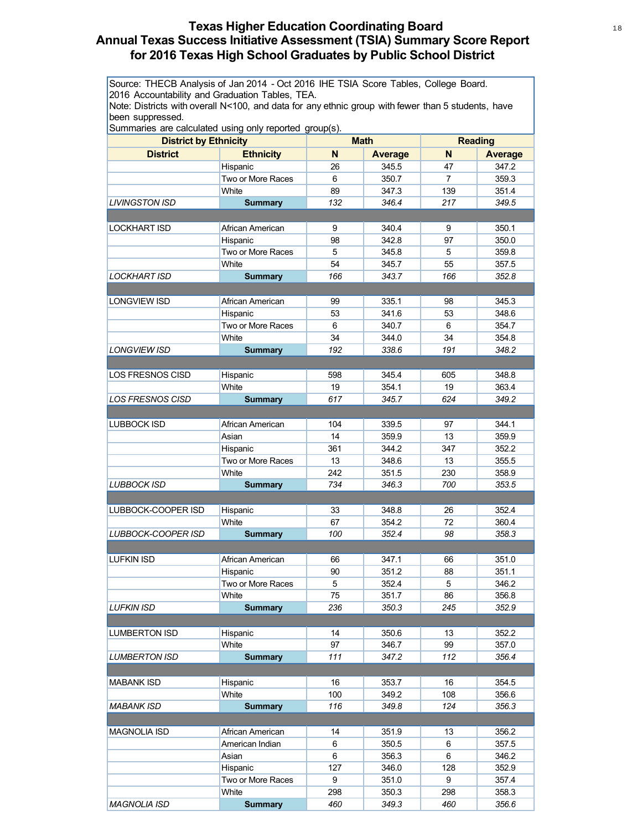# **Texas Higher Education Coordinating Board** 18 18 **Annual Texas Success Initiative Assessment (TSIA) Summary Score Report for 2016 Texas High School Graduates by Public School District**

Source: THECB Analysis of Jan 2014 - Oct 2016 IHE TSIA Score Tables, College Board. 2016 Accountability and Graduation Tables, TEA.

Note: Districts with overall N<100, and data for any ethnic group with fewer than 5 students, have been suppressed.

| $\alpha$ our interest are calculated using only reported group(s).<br><b>District by Ethnicity</b> |                               | <b>Math</b> |                | <b>Reading</b> |                |
|----------------------------------------------------------------------------------------------------|-------------------------------|-------------|----------------|----------------|----------------|
| <b>District</b>                                                                                    | <b>Ethnicity</b>              | N           | <b>Average</b> | N              | <b>Average</b> |
|                                                                                                    | Hispanic                      | 26          | 345.5          | 47             | 347.2          |
|                                                                                                    | Two or More Races             | 6           | 350.7          | $\overline{7}$ | 359.3          |
|                                                                                                    | White                         | 89          | 347.3          | 139            | 351.4          |
| LIVINGSTON ISD                                                                                     | <b>Summary</b>                | 132         | 346.4          | 217            | 349.5          |
|                                                                                                    |                               |             |                |                |                |
| <b>LOCKHART ISD</b>                                                                                | African American              | 9           | 340.4          | 9              | 350.1          |
|                                                                                                    | Hispanic                      | 98          | 342.8          | 97             | 350.0          |
|                                                                                                    | Two or More Races             | 5           | 345.8          | 5              | 359.8          |
|                                                                                                    | White                         | 54          | 345.7          | 55             | 357.5          |
| LOCKHART ISD                                                                                       | <b>Summary</b>                | 166         | 343.7          | 166            | 352.8          |
|                                                                                                    |                               |             |                |                |                |
| <b>LONGVIEW ISD</b>                                                                                | African American              | 99          | 335.1          | 98             | 345.3          |
|                                                                                                    | Hispanic                      | 53          | 341.6          | 53             | 348.6          |
|                                                                                                    | Two or More Races             | 6           | 340.7          | 6              | 354.7          |
|                                                                                                    | White                         | 34          | 344.0          | 34             | 354.8          |
| <b>LONGVIEW ISD</b>                                                                                | <b>Summary</b>                | 192         | 338.6          | 191            | 348.2          |
|                                                                                                    |                               |             |                |                |                |
| LOS FRESNOS CISD                                                                                   | Hispanic                      | 598         | 345.4          | 605            | 348.8          |
|                                                                                                    | White                         | 19          | 354.1          | 19             | 363.4          |
| <b>LOS FRESNOS CISD</b>                                                                            | <b>Summary</b>                | 617         | 345.7          | 624            | 349.2          |
|                                                                                                    |                               |             |                |                |                |
| <b>LUBBOCK ISD</b>                                                                                 | African American              | 104         | 339.5          | 97             | 344.1          |
|                                                                                                    | Asian                         | 14          | 359.9          | 13             | 359.9          |
|                                                                                                    | Hispanic                      | 361         | 344.2          | 347            | 352.2          |
|                                                                                                    | Two or More Races             | 13          | 348.6          | 13             | 355.5          |
|                                                                                                    | White                         | 242         | 351.5          | 230            | 358.9          |
| <b>LUBBOCK ISD</b>                                                                                 | <b>Summary</b>                | 734         | 346.3          | 700            | 353.5          |
|                                                                                                    |                               |             |                |                |                |
| LUBBOCK-COOPER ISD                                                                                 | Hispanic                      | 33          | 348.8          | 26             | 352.4          |
|                                                                                                    | White                         | 67          | 354.2          | 72             | 360.4          |
| LUBBOCK-COOPER ISD                                                                                 | <b>Summary</b>                | 100         | 352.4          | 98             | 358.3          |
|                                                                                                    |                               |             |                |                |                |
| <b>LUFKIN ISD</b>                                                                                  | African American              | 66          | 347.1          | 66             | 351.0          |
|                                                                                                    | Hispanic                      | 90          | 351.2          | 88             | 351.1          |
|                                                                                                    | Two or More Races             | 5           | 352.4          | 5              | 346.2          |
|                                                                                                    | White                         | 75          | 351.7          | 86             | 356.8          |
| <b>LUFKIN ISD</b>                                                                                  | <b>Summary</b>                | 236         | 350.3          | 245            | 352.9          |
|                                                                                                    |                               |             |                |                |                |
| <b>LUMBERTON ISD</b>                                                                               | Hispanic                      | 14          | 350.6          | 13             | 352.2          |
|                                                                                                    | White                         | 97          | 346.7          | 99             | 357.0          |
| <b>LUMBERTON ISD</b>                                                                               | <b>Summary</b>                | 111         | 347.2          | 112            | 356.4          |
|                                                                                                    |                               |             |                |                |                |
| <b>MABANK ISD</b>                                                                                  | Hispanic                      | 16          | 353.7          | 16             | 354.5          |
|                                                                                                    | White                         | 100         | 349.2          | 108            | 356.6          |
| <b>MABANK ISD</b>                                                                                  | <b>Summary</b>                | 116         | 349.8          | 124            | 356.3          |
|                                                                                                    |                               |             |                |                |                |
| <b>MAGNOLIA ISD</b>                                                                                | African American              | 14          | 351.9          | 13             | 356.2          |
|                                                                                                    | American Indian               | 6           | 350.5          | 6              | 357.5          |
|                                                                                                    | Asian                         | 6           | 356.3          | 6              | 346.2          |
|                                                                                                    | Hispanic<br>Two or More Races | 127<br>9    | 346.0          | 128<br>9       | 352.9          |
|                                                                                                    | White                         |             | 351.0          |                | 357.4          |
|                                                                                                    |                               | 298<br>460  | 350.3<br>349.3 | 298            | 358.3          |
| MAGNOLIA ISD                                                                                       | <b>Summary</b>                |             |                | 460            | 356.6          |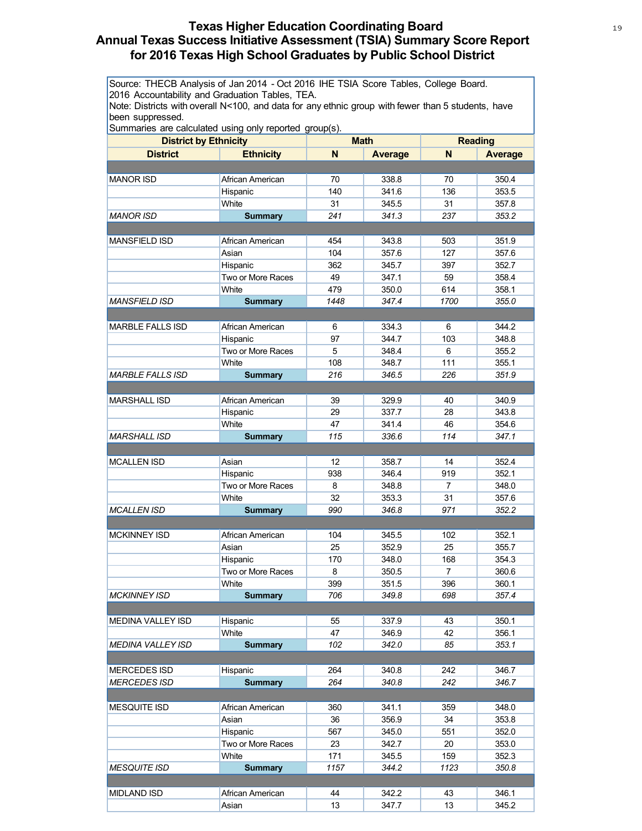# **Texas Higher Education Coordinating Board** 19 19 **Annual Texas Success Initiative Assessment (TSIA) Summary Score Report for 2016 Texas High School Graduates by Public School District**

Source: THECB Analysis of Jan 2014 - Oct 2016 IHE TSIA Score Tables, College Board. 2016 Accountability and Graduation Tables, TEA.

Note: Districts with overall N<100, and data for any ethnic group with fewer than 5 students, have been suppressed.

| <b>District by Ethnicity</b> |                   | <b>Math</b> |         | <b>Reading</b> |                |
|------------------------------|-------------------|-------------|---------|----------------|----------------|
| <b>District</b>              | <b>Ethnicity</b>  | N           | Average | N              | <b>Average</b> |
|                              |                   |             |         |                |                |
|                              |                   |             |         |                |                |
| <b>MANOR ISD</b>             | African American  | 70          | 338.8   | 70             | 350.4          |
|                              | Hispanic          | 140         | 341.6   | 136            | 353.5          |
|                              | White             | 31          | 345.5   | 31             | 357.8          |
| <b>MANOR ISD</b>             | <b>Summary</b>    | 241         | 341.3   | 237            | 353.2          |
|                              |                   |             |         |                |                |
| <b>MANSFIELD ISD</b>         | African American  | 454         | 343.8   | 503            | 351.9          |
|                              | Asian             | 104         | 357.6   | 127            | 357.6          |
|                              | Hispanic          | 362         | 345.7   | 397            | 352.7          |
|                              | Two or More Races | 49          | 347.1   | 59             | 358.4          |
|                              | White             | 479         | 350.0   | 614            | 358.1          |
| <b>MANSFIELD ISD</b>         | <b>Summary</b>    | 1448        | 347.4   | 1700           | 355.0          |
|                              |                   |             |         |                |                |
| <b>MARBLE FALLS ISD</b>      | African American  | 6           | 334.3   | 6              | 344.2          |
|                              | Hispanic          | 97          | 344.7   | 103            | 348.8          |
|                              | Two or More Races | 5           | 348.4   | 6              | 355.2          |
|                              | White             | 108         | 348.7   | 111            | 355.1          |
| <b>MARBLE FALLS ISD</b>      | <b>Summary</b>    | 216         | 346.5   | 226            | 351.9          |
|                              |                   |             |         |                |                |
| <b>MARSHALL ISD</b>          | African American  | 39          | 329.9   | 40             | 340.9          |
|                              | Hispanic          | 29          | 337.7   | 28             | 343.8          |
|                              | White             | 47          | 341.4   | 46             | 354.6          |
| <b>MARSHALL ISD</b>          | <b>Summary</b>    | 115         | 336.6   | 114            | 347.1          |
|                              |                   |             |         |                |                |
| <b>MCALLEN ISD</b>           | Asian             | 12          | 358.7   | 14             | 352.4          |
|                              | Hispanic          | 938         | 346.4   | 919            | 352.1          |
|                              | Two or More Races | 8           | 348.8   | 7              | 348.0          |
|                              | White             | 32          | 353.3   | 31             | 357.6          |
| <b>MCALLEN ISD</b>           | <b>Summary</b>    | 990         | 346.8   | 971            | 352.2          |
|                              |                   |             |         |                |                |
| <b>MCKINNEY ISD</b>          | African American  | 104         | 345.5   | 102            | 352.1          |
|                              | Asian             | 25          | 352.9   | 25             | 355.7          |
|                              | Hispanic          | 170         | 348.0   | 168            | 354.3          |
|                              | Two or More Races | 8           | 350.5   | $\overline{7}$ | 360.6          |
|                              | White             | 399         | 351.5   | 396            | 360.1          |
| <b>MCKINNEY ISD</b>          | <b>Summary</b>    | 706         | 349.8   | 698            | 357.4          |
|                              |                   |             |         |                |                |
| <b>MEDINA VALLEY ISD</b>     | Hispanic          | 55          | 337.9   | 43             | 350.1          |
|                              | White             | 47          | 346.9   | 42             | 356.1          |
| <b>MEDINA VALLEY ISD</b>     | <b>Summary</b>    | 102         | 342.0   | 85             | 353.1          |
|                              |                   |             |         |                |                |
| <b>MERCEDES ISD</b>          | Hispanic          | 264         | 340.8   | 242            | 346.7          |
| <b>MERCEDES ISD</b>          | <b>Summary</b>    | 264         | 340.8   | 242            | 346.7          |
|                              |                   |             |         |                |                |
| <b>MESQUITE ISD</b>          | African American  | 360         | 341.1   | 359            | 348.0          |
|                              | Asian             | 36          | 356.9   | 34             | 353.8          |
|                              | Hispanic          | 567         | 345.0   | 551            | 352.0          |
|                              | Two or More Races | 23          | 342.7   | 20             | 353.0          |
|                              | White             | 171         | 345.5   | 159            | 352.3          |
| <b>MESQUITE ISD</b>          | <b>Summary</b>    | 1157        | 344.2   | 1123           | 350.8          |
|                              |                   |             |         |                |                |
| <b>MIDLAND ISD</b>           | African American  | 44          | 342.2   | 43             | 346.1          |
|                              | Asian             | 13          | 347.7   | 13             | 345.2          |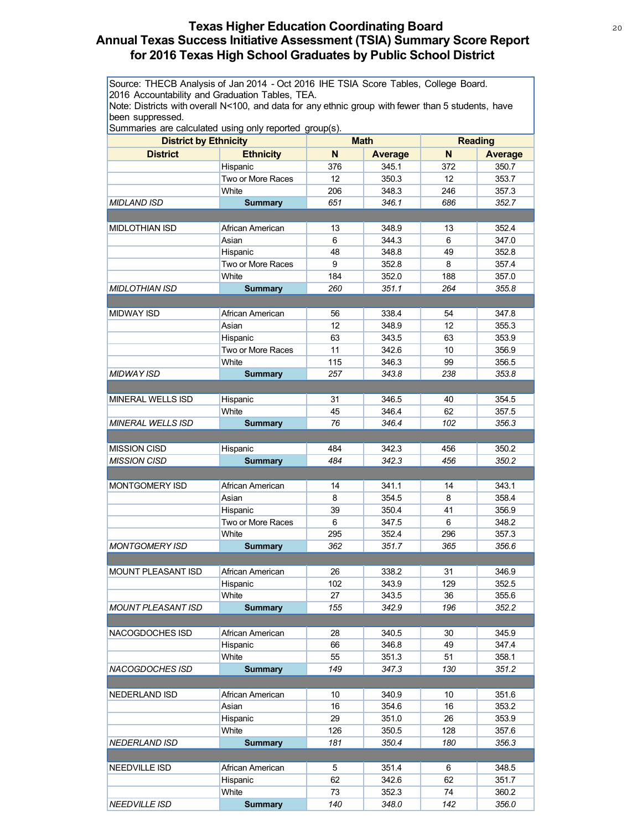# **Texas Higher Education Coordinating Board** 20 20 **Annual Texas Success Initiative Assessment (TSIA) Summary Score Report for 2016 Texas High School Graduates by Public School District**

Source: THECB Analysis of Jan 2014 - Oct 2016 IHE TSIA Score Tables, College Board. 2016 Accountability and Graduation Tables, TEA.

Note: Districts with overall N<100, and data for any ethnic group with fewer than 5 students, have been suppressed.

| Surfinanes are calculated using only reported group(s). |                   |                 | <b>Math</b> |     | <b>Reading</b> |
|---------------------------------------------------------|-------------------|-----------------|-------------|-----|----------------|
| <b>District by Ethnicity</b>                            |                   |                 |             |     |                |
| <b>District</b>                                         | <b>Ethnicity</b>  | N               | Average     | N   | <b>Average</b> |
|                                                         | Hispanic          | 376             | 345.1       | 372 | 350.7          |
|                                                         | Two or More Races | 12              | 350.3       | 12  | 353.7          |
|                                                         | White             | 206             | 348.3       | 246 | 357.3          |
| <b>MIDLAND ISD</b>                                      | <b>Summary</b>    | 651             | 346.1       | 686 | 352.7          |
|                                                         |                   |                 |             |     |                |
| <b>MIDLOTHIAN ISD</b>                                   | African American  | 13              | 348.9       | 13  | 352.4          |
|                                                         | Asian             | 6               | 344.3       | 6   | 347.0          |
|                                                         | Hispanic          | 48              | 348.8       | 49  | 352.8          |
|                                                         | Two or More Races | 9               | 352.8       | 8   | 357.4          |
|                                                         | White             | 184             | 352.0       | 188 | 357.0          |
| <b>MIDLOTHIAN ISD</b>                                   | <b>Summary</b>    | 260             | 351.1       | 264 | 355.8          |
|                                                         |                   |                 |             |     |                |
| <b>MIDWAY ISD</b>                                       | African American  | 56              | 338.4       | 54  | 347.8          |
|                                                         | Asian             | 12 <sup>2</sup> | 348.9       | 12  | 355.3          |
|                                                         | Hispanic          | 63              | 343.5       | 63  | 353.9          |
|                                                         | Two or More Races | 11              | 342.6       | 10  | 356.9          |
|                                                         | White             | 115             | 346.3       | 99  | 356.5          |
| <b>MIDWAY ISD</b>                                       | <b>Summary</b>    | 257             | 343.8       | 238 | 353.8          |
|                                                         |                   |                 |             |     |                |
| <b>MINERAL WELLS ISD</b>                                | Hispanic          | 31              | 346.5       | 40  | 354.5          |
|                                                         | White             | 45              | 346.4       | 62  | 357.5          |
| <b>MINERAL WELLS ISD</b>                                | <b>Summary</b>    | 76              | 346.4       | 102 | 356.3          |
|                                                         |                   |                 |             |     |                |
| <b>MISSION CISD</b>                                     | Hispanic          | 484             | 342.3       | 456 | 350.2          |
| <b>MISSION CISD</b>                                     | <b>Summary</b>    | 484             | 342.3       | 456 | 350.2          |
|                                                         |                   |                 |             |     |                |
| MONTGOMERY ISD                                          | African American  | 14              | 341.1       | 14  | 343.1          |
|                                                         | Asian             | 8               | 354.5       | 8   | 358.4          |
|                                                         |                   | 39              | 350.4       | 41  | 356.9          |
|                                                         | Hispanic          |                 |             | 6   |                |
|                                                         | Two or More Races | 6               | 347.5       |     | 348.2          |
|                                                         | White             | 295             | 352.4       | 296 | 357.3          |
| <b>MONTGOMERY ISD</b>                                   | <b>Summary</b>    | 362             | 351.7       | 365 | 356.6          |
|                                                         |                   |                 |             |     |                |
| MOUNT PLEASANT ISD                                      | African American  | 26              | 338.2       | 31  | 346.9          |
|                                                         | Hispanic          | 102             | 343.9       | 129 | 352.5          |
|                                                         | White             | 27              | 343.5       | 36  | 355.6          |
| MOUNT PLEASANT ISD                                      | <b>Summary</b>    | 155             | 342.9       | 196 | 352.2          |
|                                                         |                   |                 |             |     |                |
| NACOGDOCHES ISD                                         | African American  | 28              | 340.5       | 30  | 345.9          |
|                                                         | Hispanic          | 66              | 346.8       | 49  | 347.4          |
|                                                         | White             | 55              | 351.3       | 51  | 358.1          |
| NACOGDOCHES ISD                                         | <b>Summary</b>    | 149             | 347.3       | 130 | 351.2          |
|                                                         |                   |                 |             |     |                |
| NEDERLAND ISD                                           | African American  | 10              | 340.9       | 10  | 351.6          |
|                                                         | Asian             | 16              | 354.6       | 16  | 353.2          |
|                                                         | Hispanic          | 29              | 351.0       | 26  | 353.9          |
|                                                         | White             | 126             | 350.5       | 128 | 357.6          |
| <b>NEDERLAND ISD</b>                                    | <b>Summary</b>    | 181             | 350.4       | 180 | 356.3          |
|                                                         |                   |                 |             |     |                |
| NEEDVILLE ISD                                           | African American  | 5               | 351.4       | 6   | 348.5          |
|                                                         | Hispanic          | 62              | 342.6       | 62  | 351.7          |
|                                                         | White             | 73              | 352.3       | 74  | 360.2          |
| <b>NEEDVILLE ISD</b>                                    | <b>Summary</b>    | 140             | 348.0       | 142 | 356.0          |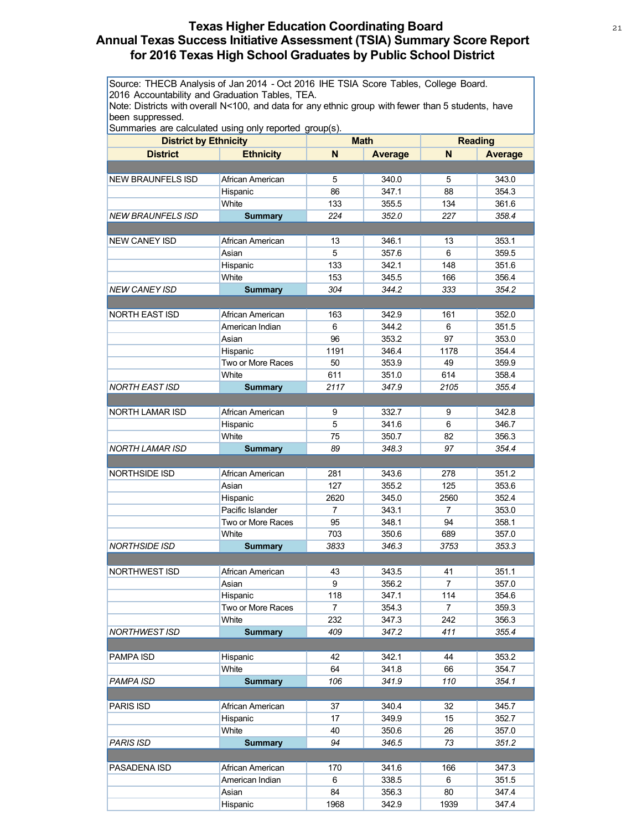# **Texas Higher Education Coordinating Board** 21 22 **Annual Texas Success Initiative Assessment (TSIA) Summary Score Report for 2016 Texas High School Graduates by Public School District**

Source: THECB Analysis of Jan 2014 - Oct 2016 IHE TSIA Score Tables, College Board. 2016 Accountability and Graduation Tables, TEA.

Note: Districts with overall N<100, and data for any ethnic group with fewer than 5 students, have been suppressed.

| <b>District by Ethnicity</b> |                   | <b>Math</b>    |                | <b>Reading</b> |                |
|------------------------------|-------------------|----------------|----------------|----------------|----------------|
| <b>District</b>              | <b>Ethnicity</b>  | N              |                | N              | <b>Average</b> |
|                              |                   |                | <b>Average</b> |                |                |
|                              |                   |                |                |                |                |
| <b>NEW BRAUNFELS ISD</b>     | African American  | 5              | 340.0          | 5              | 343.0          |
|                              | Hispanic          | 86             | 347.1          | 88             | 354.3          |
|                              | White             | 133            | 355.5          | 134            | 361.6          |
| <b>NEW BRAUNFELS ISD</b>     | <b>Summary</b>    | 224            | 352.0          | 227            | 358.4          |
|                              |                   |                |                |                |                |
| <b>NEW CANEY ISD</b>         | African American  | 13             | 346.1          | 13             | 353.1          |
|                              | Asian             | 5              | 357.6          | 6              | 359.5          |
|                              | Hispanic          | 133            | 342.1          | 148            | 351.6          |
|                              | White             | 153            | 345.5          | 166            | 356.4          |
| <b>NEW CANEY ISD</b>         | <b>Summary</b>    | 304            | 344.2          | 333            | 354.2          |
|                              |                   |                |                |                |                |
| <b>NORTH EAST ISD</b>        | African American  | 163            | 342.9          | 161            | 352.0          |
|                              | American Indian   | 6              | 344.2          | 6              | 351.5          |
|                              | Asian             | 96             | 353.2          | 97             | 353.0          |
|                              | Hispanic          | 1191           | 346.4          | 1178           | 354.4          |
|                              | Two or More Races | 50             | 353.9          | 49             | 359.9          |
|                              | White             | 611            | 351.0          | 614            | 358.4          |
| <b>NORTH EAST ISD</b>        | <b>Summary</b>    | 2117           | 347.9          | 2105           | 355.4          |
|                              |                   |                |                |                |                |
| <b>NORTH LAMAR ISD</b>       | African American  | 9              | 332.7          | 9              | 342.8          |
|                              | Hispanic          | 5              | 341.6          | 6              | 346.7          |
|                              | White             | 75             | 350.7          | 82             | 356.3          |
| NORTH LAMAR ISD              | <b>Summary</b>    | 89             | 348.3          | 97             | 354.4          |
|                              |                   |                |                |                |                |
| NORTHSIDE ISD                | African American  | 281            | 343.6          | 278            | 351.2          |
|                              | Asian             | 127            | 355.2          | 125            | 353.6          |
|                              | Hispanic          | 2620           | 345.0          | 2560           | 352.4          |
|                              | Pacific Islander  | 7              | 343.1          | 7              | 353.0          |
|                              | Two or More Races | 95             | 348.1          | 94             | 358.1          |
|                              | White             | 703            | 350.6          | 689            | 357.0          |
| <b>NORTHSIDE ISD</b>         | <b>Summary</b>    | 3833           | 346.3          | 3753           | 353.3          |
|                              |                   |                |                |                |                |
| NORTHWEST ISD                | African American  | 43             | 343.5          | 41             | 351.1          |
|                              | Asian             | 9              | 356.2          | $\overline{7}$ | 357.0          |
|                              | Hispanic          | 118            | 347.1          | 114            | 354.6          |
|                              | Two or More Races | $\overline{7}$ | 354.3          | $\overline{7}$ | 359.3          |
|                              | White             | 232            | 347.3          | 242            | 356.3          |
| NORTHWEST ISD                | <b>Summary</b>    | 409            | 347.2          | 411            | 355.4          |
|                              |                   |                |                |                |                |
| PAMPA ISD                    | Hispanic          | 42             | 342.1          | 44             | 353.2          |
|                              | White             | 64             | 341.8          | 66             | 354.7          |
| PAMPA ISD                    | <b>Summary</b>    | 106            | 341.9          | 110            | 354.1          |
|                              |                   |                |                |                |                |
| <b>PARIS ISD</b>             | African American  | 37             | 340.4          | 32             | 345.7          |
|                              | Hispanic          | 17             | 349.9          | 15             | 352.7          |
|                              | White             | 40             | 350.6          | 26             | 357.0          |
| <b>PARIS ISD</b>             | <b>Summary</b>    | 94             | 346.5          | 73             | 351.2          |
|                              |                   |                |                |                |                |
| PASADENA ISD                 | African American  | 170            | 341.6          | 166            | 347.3          |
|                              | American Indian   | 6              | 338.5          | 6              | 351.5          |
|                              | Asian             | 84             | 356.3          | 80             | 347.4          |
|                              | Hispanic          | 1968           | 342.9          | 1939           | 347.4          |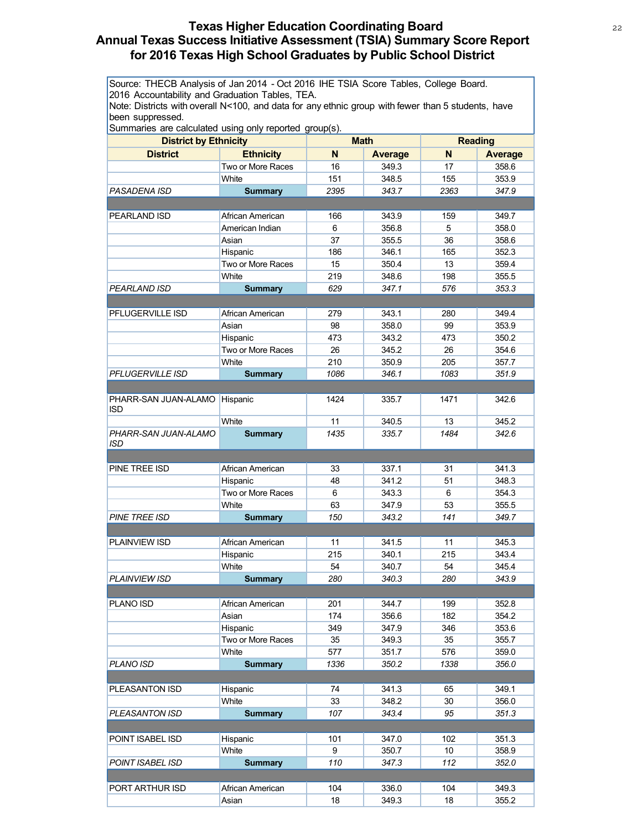# **Texas Higher Education Coordinating Board** 22 22 **Annual Texas Success Initiative Assessment (TSIA) Summary Score Report for 2016 Texas High School Graduates by Public School District**

Source: THECB Analysis of Jan 2014 - Oct 2016 IHE TSIA Score Tables, College Board. 2016 Accountability and Graduation Tables, TEA.

Note: Districts with overall N<100, and data for any ethnic group with fewer than 5 students, have been suppressed.

| .a.oa aog o <i>j</i> .opooa<br><b>District by Ethnicity</b> |                   | <b>Math</b> |                | <b>Reading</b> |                |
|-------------------------------------------------------------|-------------------|-------------|----------------|----------------|----------------|
| <b>District</b>                                             | <b>Ethnicity</b>  | N           | <b>Average</b> | N              | <b>Average</b> |
|                                                             | Two or More Races | 16          | 349.3          | 17             | 358.6          |
|                                                             | White             | 151         | 348.5          | 155            | 353.9          |
| PASADENA ISD                                                | <b>Summary</b>    | 2395        | 343.7          | 2363           | 347.9          |
|                                                             |                   |             |                |                |                |
| PEARLAND ISD                                                | African American  | 166         | 343.9          | 159            | 349.7          |
|                                                             | American Indian   | 6           | 356.8          | 5              | 358.0          |
|                                                             | Asian             | 37          | 355.5          | 36             | 358.6          |
|                                                             | Hispanic          | 186         | 346.1          | 165            | 352.3          |
|                                                             | Two or More Races | 15          | 350.4          | 13             | 359.4          |
|                                                             | <b>White</b>      | 219         | 348.6          | 198            | 355.5          |
| PEARLAND ISD                                                | <b>Summary</b>    | 629         | 347.1          | 576            | 353.3          |
|                                                             |                   |             |                |                |                |
| PFLUGERVILLE ISD                                            | African American  | 279         | 343.1          | 280            | 349.4          |
|                                                             | Asian             | 98          | 358.0          | 99             | 353.9          |
|                                                             | Hispanic          | 473         | 343.2          | 473            | 350.2          |
|                                                             | Two or More Races | 26          | 345.2          | 26             | 354.6          |
|                                                             | White             | 210         | 350.9          | 205            | 357.7          |
| <b>PFLUGERVILLE ISD</b>                                     | <b>Summary</b>    | 1086        | 346.1          | 1083           | 351.9          |
|                                                             |                   |             |                |                |                |
| PHARR-SAN JUAN-ALAMO                                        | Hispanic          | 1424        | 335.7          | 1471           | 342.6          |
| <b>ISD</b>                                                  |                   |             |                |                |                |
|                                                             | White             | 11          | 340.5          | 13             | 345.2          |
| PHARR-SAN JUAN-ALAMO                                        | <b>Summary</b>    | 1435        | 335.7          | 1484           | 342.6          |
| <b>ISD</b>                                                  |                   |             |                |                |                |
|                                                             |                   |             |                |                |                |
| PINE TREE ISD                                               | African American  | 33          | 337.1          | 31             | 341.3          |
|                                                             | Hispanic          | 48          | 341.2          | 51             | 348.3          |
|                                                             | Two or More Races | 6           | 343.3          | 6              | 354.3          |
|                                                             | White             | 63          | 347.9          | 53             | 355.5          |
| <b>PINE TREE ISD</b>                                        | <b>Summary</b>    | 150         | 343.2          | 141            | 349.7          |
|                                                             |                   |             |                |                |                |
| PLAINVIEW ISD                                               | African American  | 11          | 341.5          | 11             | 345.3          |
|                                                             | Hispanic          | 215         | 340.1          | 215            | 343.4          |
|                                                             | White             | 54          | 340.7          | 54             | 345.4          |
| <b>PLAINVIEW ISD</b>                                        | <b>Summary</b>    | 280         | 340.3          | 280            | 343.9          |
|                                                             |                   |             |                |                |                |
| PLANO ISD                                                   | African American  | 201         | 344.7          | 199            | 352.8          |
|                                                             | Asian             | 174         | 356.6          | 182            | 354.2          |
|                                                             | Hispanic          | 349         | 347.9          | 346            | 353.6          |
|                                                             | Two or More Races | 35          | 349.3          | 35             | 355.7          |
|                                                             | White             | 577         | 351.7          | 576            | 359.0          |
| PLANO ISD                                                   | <b>Summary</b>    | 1336        | 350.2          | 1338           | 356.0          |
|                                                             |                   |             |                |                |                |
| PLEASANTON ISD                                              | Hispanic          | 74          | 341.3          | 65             | 349.1          |
|                                                             | White             | 33          | 348.2          | 30             | 356.0          |
| PLEASANTON ISD                                              | <b>Summary</b>    | 107         | 343.4          | 95             | 351.3          |
|                                                             |                   |             |                |                |                |
| POINT ISABEL ISD                                            | Hispanic          | 101         | 347.0          | 102            | 351.3          |
|                                                             | White             | 9           | 350.7          | 10             | 358.9          |
| <b>POINT ISABEL ISD</b>                                     | <b>Summary</b>    | 110         | 347.3          | 112            | 352.0          |
|                                                             |                   |             |                |                |                |
| PORT ARTHUR ISD                                             | African American  | 104         | 336.0          | 104            | 349.3          |
|                                                             | Asian             | 18          | 349.3          | 18             | 355.2          |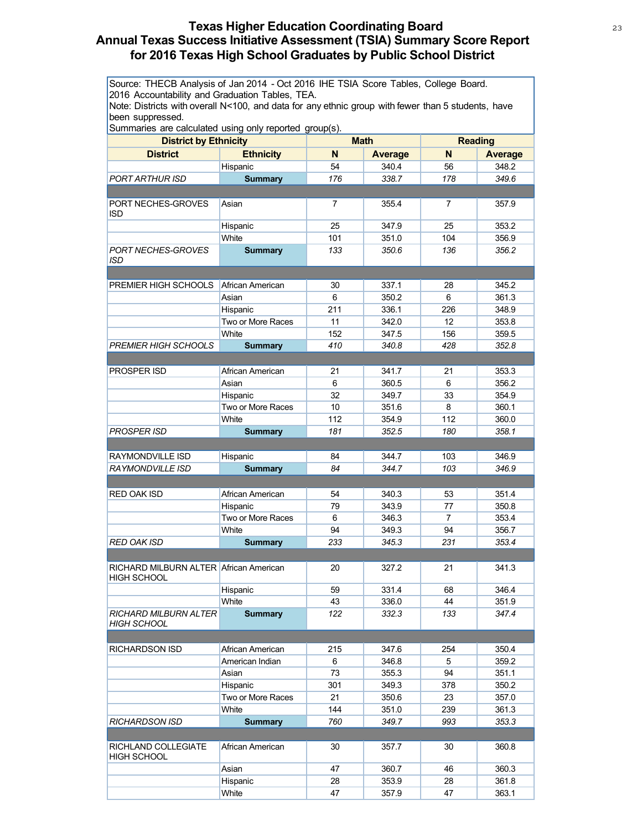# **Texas Higher Education Coordinating Board** 23 23 **Annual Texas Success Initiative Assessment (TSIA) Summary Score Report for 2016 Texas High School Graduates by Public School District**

Source: THECB Analysis of Jan 2014 - Oct 2016 IHE TSIA Score Tables, College Board. 2016 Accountability and Graduation Tables, TEA.

Note: Districts with overall N<100, and data for any ethnic group with fewer than 5 students, have been suppressed.

| <b>District by Ethnicity</b>                |                            | <b>Math</b> |                | <b>Reading</b> |                |
|---------------------------------------------|----------------------------|-------------|----------------|----------------|----------------|
| <b>District</b>                             | <b>Ethnicity</b>           | N           | <b>Average</b> | N              | <b>Average</b> |
|                                             | Hispanic                   | 54          | 340.4          | 56             | 348.2          |
| <b>PORT ARTHUR ISD</b>                      | <b>Summary</b>             | 176         | 338.7          | 178            | 349.6          |
|                                             |                            |             |                |                |                |
| PORT NECHES-GROVES                          | Asian                      | 7           | 355.4          | 7              | 357.9          |
| <b>ISD</b>                                  |                            |             |                |                |                |
|                                             | Hispanic<br>White          | 25          | 347.9          | 25             | 353.2          |
| PORT NECHES-GROVES                          | <b>Summary</b>             | 101<br>133  | 351.0<br>350.6 | 104<br>136     | 356.9<br>356.2 |
| ISD                                         |                            |             |                |                |                |
|                                             |                            |             |                |                |                |
| PREMIER HIGH SCHOOLS                        | African American           | 30          | 337.1          | 28             | 345.2          |
|                                             | Asian                      | 6           | 350.2          | 6              | 361.3          |
|                                             | Hispanic                   | 211         | 336.1          | 226            | 348.9          |
|                                             | Two or More Races          | 11          | 342.0          | 12             | 353.8          |
|                                             | White                      | 152         | 347.5          | 156            | 359.5          |
| PREMIER HIGH SCHOOLS                        | <b>Summary</b>             | 410         | 340.8          | 428            | 352.8          |
|                                             |                            |             |                |                |                |
| PROSPER ISD                                 | African American           | 21          | 341.7          | 21             | 353.3          |
|                                             | Asian                      | 6           | 360.5          | 6              | 356.2          |
|                                             | Hispanic                   | 32          | 349.7          | 33             | 354.9          |
|                                             | Two or More Races<br>White | 10          | 351.6          | 8              | 360.1          |
|                                             |                            | 112         | 354.9          | 112            | 360.0          |
| PROSPER ISD                                 | <b>Summary</b>             | 181         | 352.5          | 180            | 358.1          |
| RAYMONDVILLE ISD                            | Hispanic                   | 84          | 344.7          | 103            | 346.9          |
| <b>RAYMONDVILLE ISD</b>                     | <b>Summary</b>             | 84          | 344.7          | 103            | 346.9          |
|                                             |                            |             |                |                |                |
| <b>RED OAK ISD</b>                          | African American           | 54          | 340.3          | 53             | 351.4          |
|                                             | Hispanic                   | 79          | 343.9          | 77             | 350.8          |
|                                             | Two or More Races          | 6           | 346.3          | 7              | 353.4          |
|                                             | White                      | 94          | 349.3          | 94             | 356.7          |
| RED OAK ISD                                 | <b>Summary</b>             | 233         | 345.3          | 231            | 353.4          |
|                                             |                            |             |                |                |                |
| RICHARD MILBURN ALTER African American      |                            | 20          | 327.2          | 21             | 341.3          |
| <b>HIGH SCHOOL</b>                          |                            |             |                |                |                |
|                                             | Hispanic                   | 59          | 331.4          | 68             | 346.4          |
|                                             | <b>White</b>               | 43          | 336.0          | 44             | 351.9          |
| RICHARD MILBURN ALTER<br><b>HIGH SCHOOL</b> | <b>Summary</b>             | 122         | 332.3          | 133            | 347.4          |
|                                             |                            |             |                |                |                |
| <b>RICHARDSON ISD</b>                       | African American           | 215         | 347.6          | 254            | 350.4          |
|                                             | American Indian            | 6           | 346.8          | 5              | 359.2          |
|                                             | Asian                      | 73          | 355.3          | 94             | 351.1          |
|                                             | Hispanic                   | 301         | 349.3          | 378            | 350.2          |
|                                             | Two or More Races          | 21          | 350.6          | 23             | 357.0          |
|                                             | White                      | 144         | 351.0          | 239            | 361.3          |
| <b>RICHARDSON ISD</b>                       | <b>Summary</b>             | 760         | 349.7          | 993            | 353.3          |
|                                             |                            |             |                |                |                |
| RICHLAND COLLEGIATE<br><b>HIGH SCHOOL</b>   | African American           | 30          | 357.7          | 30             | 360.8          |
|                                             | Asian                      | 47          | 360.7          | 46             | 360.3          |
|                                             | Hispanic                   | 28          | 353.9          | 28             | 361.8          |
|                                             | White                      | 47          | 357.9          | 47             | 363.1          |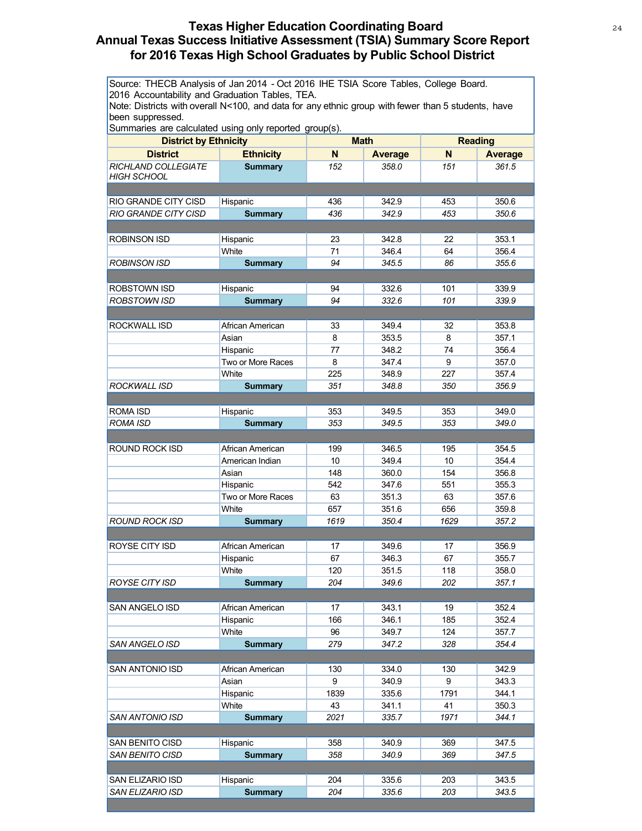# **Texas Higher Education Coordinating Board** 24 **Annual Texas Success Initiative Assessment (TSIA) Summary Score Report for 2016 Texas High School Graduates by Public School District**

Source: THECB Analysis of Jan 2014 - Oct 2016 IHE TSIA Score Tables, College Board. 2016 Accountability and Graduation Tables, TEA.

Note: Districts with overall N<100, and data for any ethnic group with fewer than 5 students, have been suppressed.

| <b>District by Ethnicity</b> |                   | <b>Math</b> |                | <b>Reading</b> |                |
|------------------------------|-------------------|-------------|----------------|----------------|----------------|
| <b>District</b>              | <b>Ethnicity</b>  | N           | <b>Average</b> | N              | <b>Average</b> |
| RICHLAND COLLEGIATE          | <b>Summary</b>    | 152         | 358.0          | 151            | 361.5          |
| <b>HIGH SCHOOL</b>           |                   |             |                |                |                |
|                              |                   |             |                |                |                |
| RIO GRANDE CITY CISD         | Hispanic          | 436         | 342.9          | 453            | 350.6          |
| <b>RIO GRANDE CITY CISD</b>  | <b>Summary</b>    | 436         | 342.9          | 453            | 350.6          |
|                              |                   |             |                |                |                |
| <b>ROBINSON ISD</b>          | Hispanic          | 23          | 342.8          | 22             | 353.1          |
|                              | White             | 71          | 346.4          | 64             | 356.4          |
| <b>ROBINSON ISD</b>          | <b>Summary</b>    | 94          | 345.5          | 86             | 355.6          |
|                              |                   |             |                |                |                |
| ROBSTOWN ISD                 | Hispanic          | 94          | 332.6          | 101            | 339.9          |
| ROBSTOWN ISD                 | <b>Summary</b>    | 94          | 332.6          | 101            | 339.9          |
|                              |                   |             |                |                |                |
| ROCKWALL ISD                 | African American  | 33          | 349.4          | 32             | 353.8          |
|                              | Asian             | 8           | 353.5          | 8              | 357.1          |
|                              | Hispanic          | 77          | 348.2          | 74             | 356.4          |
|                              | Two or More Races | 8           | 347.4          | 9              | 357.0          |
|                              | White             | 225         | 348.9          | 227            | 357.4          |
| <b>ROCKWALL ISD</b>          | <b>Summary</b>    | 351         | 348.8          | 350            | 356.9          |
|                              |                   |             |                |                |                |
| ROMA ISD                     | Hispanic          | 353<br>353  | 349.5          | 353            | 349.0          |
| <b>ROMA ISD</b>              | <b>Summary</b>    |             | 349.5          | 353            | 349.0          |
| ROUND ROCK ISD               | African American  | 199         | 346.5          | 195            | 354.5          |
|                              | American Indian   | 10          | 349.4          | 10             | 354.4          |
|                              | Asian             | 148         | 360.0          | 154            | 356.8          |
|                              | Hispanic          | 542         | 347.6          | 551            | 355.3          |
|                              | Two or More Races | 63          | 351.3          | 63             | 357.6          |
|                              | White             | 657         | 351.6          | 656            | 359.8          |
| ROUND ROCK ISD               | <b>Summary</b>    | 1619        | 350.4          | 1629           | 357.2          |
|                              |                   |             |                |                |                |
| ROYSE CITY ISD               | African American  | 17          | 349.6          | 17             | 356.9          |
|                              | Hispanic          | 67          | 346.3          | 67             | 355.7          |
|                              | White             | 120         | 351.5          | 118            | 358.0          |
| <b>ROYSE CITY ISD</b>        | <b>Summary</b>    | 204         | 349.6          | 202            | 357.1          |
|                              |                   |             |                |                |                |
| SAN ANGELO ISD               | African American  | 17          | 343.1          | 19             | 352.4          |
|                              | Hispanic          | 166         | 346.1          | 185            | 352.4          |
|                              | White             | 96          | 349.7          | 124            | 357.7          |
| <b>SAN ANGELO ISD</b>        | <b>Summary</b>    | 279         | 347.2          | 328            | 354.4          |
|                              |                   |             |                |                |                |
| SAN ANTONIO ISD              | African American  | 130         | 334.0          | 130            | 342.9          |
|                              | Asian             | 9           | 340.9          | 9              | 343.3          |
|                              | Hispanic          | 1839        | 335.6          | 1791           | 344.1          |
|                              | White             | 43          | 341.1          | 41             | 350.3          |
| <b>SAN ANTONIO ISD</b>       | <b>Summary</b>    | 2021        | 335.7          | 1971           | 344.1          |
|                              |                   |             |                |                |                |
| SAN BENITO CISD              | Hispanic          | 358         | 340.9          | 369            | 347.5          |
| SAN BENITO CISD              | <b>Summary</b>    | 358         | 340.9          | 369            | 347.5          |
|                              |                   |             |                |                |                |
| SAN ELIZARIO ISD             | Hispanic          | 204         | 335.6          | 203            | 343.5          |
| SAN ELIZARIO ISD             | <b>Summary</b>    | 204         | 335.6          | 203            | 343.5          |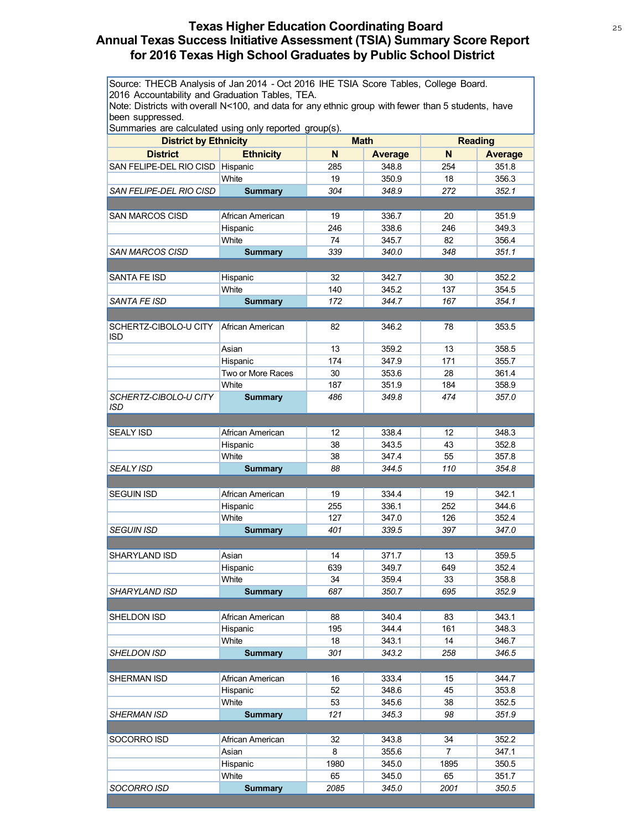# **Texas Higher Education Coordinating Board** <sup>25</sup> **Annual Texas Success Initiative Assessment (TSIA) Summary Score Report for 2016 Texas High School Graduates by Public School District**

Source: THECB Analysis of Jan 2014 - Oct 2016 IHE TSIA Score Tables, College Board. 2016 Accountability and Graduation Tables, TEA.

Note: Districts with overall N<100, and data for any ethnic group with fewer than 5 students, have been suppressed.

| <b>District by Ethnicity</b>        |                   | <b>Math</b> |                | <b>Reading</b> |                |
|-------------------------------------|-------------------|-------------|----------------|----------------|----------------|
| <b>District</b>                     | <b>Ethnicity</b>  | N           | <b>Average</b> | N              | <b>Average</b> |
| SAN FELIPE-DEL RIO CISD Hispanic    |                   | 285         | 348.8          | 254            | 351.8          |
|                                     | White             | 19          | 350.9          | 18             | 356.3          |
| SAN FELIPE-DEL RIO CISD             | <b>Summary</b>    | 304         | 348.9          | 272            | 352.1          |
|                                     |                   |             |                |                |                |
| <b>SAN MARCOS CISD</b>              | African American  | 19          | 336.7          | 20             | 351.9          |
|                                     | Hispanic          | 246         | 338.6          | 246            | 349.3          |
|                                     | White             | 74          | 345.7          | 82             | 356.4          |
| SAN MARCOS CISD                     | <b>Summary</b>    | 339         | 340.0          | 348            | 351.1          |
|                                     |                   |             |                |                |                |
| SANTA FE ISD                        | Hispanic          | 32          | 342.7          | 30             | 352.2          |
|                                     | White             | 140         | 345.2          | 137            | 354.5          |
| <b>SANTA FE ISD</b>                 | <b>Summary</b>    | 172         | 344.7          | 167            | 354.1          |
|                                     |                   |             |                |                |                |
| SCHERTZ-CIBOLO-U CITY<br><b>ISD</b> | African American  | 82          | 346.2          | 78             | 353.5          |
|                                     | Asian             | 13          | 359.2          | 13             | 358.5          |
|                                     | Hispanic          | 174         | 347.9          | 171            | 355.7          |
|                                     | Two or More Races | 30          | 353.6          | 28             | 361.4          |
|                                     | White             | 187         | 351.9          | 184            | 358.9          |
| SCHERTZ-CIBOLO-U CITY               | <b>Summary</b>    | 486         | 349.8          | 474            | 357.0          |
| <b>ISD</b>                          |                   |             |                |                |                |
|                                     |                   |             |                |                |                |
| <b>SEALY ISD</b>                    | African American  | 12          | 338.4          | 12             | 348.3          |
|                                     | Hispanic          | 38          | 343.5          | 43             | 352.8          |
|                                     | White             | 38          | 347.4          | 55             | 357.8          |
| <b>SEALY ISD</b>                    | <b>Summary</b>    | 88          | 344.5          | 110            | 354.8          |
|                                     |                   |             |                |                |                |
| <b>SEGUIN ISD</b>                   | African American  | 19          | 334.4          | 19             | 342.1          |
|                                     | Hispanic          | 255         | 336.1          | 252            | 344.6          |
|                                     | White             | 127         | 347.0          | 126            | 352.4          |
| <b>SEGUIN ISD</b>                   | <b>Summary</b>    | 401         | 339.5          | 397            | 347.0          |
|                                     |                   |             |                |                |                |
| SHARYLAND ISD                       | Asian             | 14          | 371.7          | 13             | 359.5          |
|                                     | Hispanic          | 639         | 349.7          | 649            | 352.4          |
|                                     | White             | 34          | 359.4          | 33             | 358.8          |
| <b>SHARYLAND ISD</b>                | <b>Summary</b>    | 687         | 350.7          | 695            | 352.9          |
|                                     |                   |             |                |                |                |
| SHELDON ISD                         | African American  | 88          | 340.4          | 83             | 343.1          |
|                                     | Hispanic          | 195         | 344.4          | 161            | 348.3          |
|                                     | White             | 18          | 343.1          | 14             | 346.7          |
| SHELDON ISD                         | <b>Summary</b>    | 301         | 343.2          | 258            | 346.5          |
|                                     |                   |             |                |                | 344.7          |
| SHERMAN ISD                         | African American  | 16          | 333.4          | 15             |                |
|                                     | Hispanic<br>White | 52          | 348.6          | 45             | 353.8          |
| <b>SHERMAN ISD</b>                  | <b>Summary</b>    | 53<br>121   | 345.6<br>345.3 | 38<br>98       | 352.5<br>351.9 |
|                                     |                   |             |                |                |                |
| SOCORRO ISD                         | African American  | 32          | 343.8          | 34             | 352.2          |
|                                     | Asian             | 8           | 355.6          | $\overline{7}$ | 347.1          |
|                                     | Hispanic          | 1980        | 345.0          | 1895           | 350.5          |
|                                     | White             | 65          | 345.0          | 65             | 351.7          |
| SOCORRO ISD                         | <b>Summary</b>    | 2085        | 345.0          | 2001           | 350.5          |
|                                     |                   |             |                |                |                |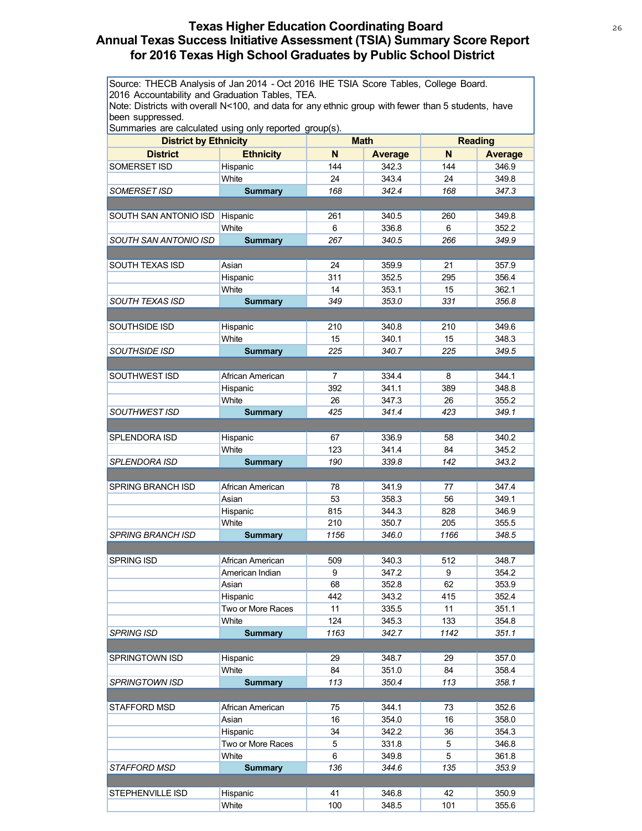# **Texas Higher Education Coordinating Board** 26 26 **Annual Texas Success Initiative Assessment (TSIA) Summary Score Report for 2016 Texas High School Graduates by Public School District**

Source: THECB Analysis of Jan 2014 - Oct 2016 IHE TSIA Score Tables, College Board. 2016 Accountability and Graduation Tables, TEA.

Note: Districts with overall N<100, and data for any ethnic group with fewer than 5 students, have been suppressed.

| <b>District by Ethnicity</b> |                   | <b>Math</b>    |                | <b>Reading</b> |                |
|------------------------------|-------------------|----------------|----------------|----------------|----------------|
| <b>District</b>              | <b>Ethnicity</b>  | N              | <b>Average</b> | N              | <b>Average</b> |
| SOMERSET ISD                 | Hispanic          | 144            | 342.3          | 144            | 346.9          |
|                              | White             | 24             | 343.4          | 24             | 349.8          |
|                              |                   | 168            | 342.4          | 168            |                |
| SOMERSET ISD                 | <b>Summary</b>    |                |                |                | 347.3          |
|                              |                   |                |                |                |                |
| SOUTH SAN ANTONIO ISD        | Hispanic          | 261            | 340.5          | 260            | 349.8          |
|                              | White             | 6              | 336.8          | 6              | 352.2          |
| SOUTH SAN ANTONIO ISD        | <b>Summary</b>    | 267            | 340.5          | 266            | 349.9          |
|                              |                   |                |                |                |                |
| <b>SOUTH TEXAS ISD</b>       | Asian             | 24             | 359.9          | 21             | 357.9          |
|                              | Hispanic          | 311            | 352.5          | 295            | 356.4          |
|                              | White             | 14             | 353.1          | 15             | 362.1          |
| <b>SOUTH TEXAS ISD</b>       | <b>Summary</b>    | 349            | 353.0          | 331            | 356.8          |
|                              |                   |                |                |                |                |
| SOUTHSIDE ISD                | Hispanic          | 210            | 340.8          | 210            | 349.6          |
|                              | White             | 15             | 340.1          | 15             | 348.3          |
| <b>SOUTHSIDE ISD</b>         | <b>Summary</b>    | 225            | 340.7          | 225            | 349.5          |
|                              |                   |                |                |                |                |
| SOUTHWEST ISD                | African American  | $\overline{7}$ | 334.4          | 8              | 344.1          |
|                              | Hispanic          | 392            | 341.1          | 389            | 348.8          |
|                              | White             | 26             | 347.3          | 26             | 355.2          |
| SOUTHWEST ISD                | <b>Summary</b>    | 425            | 341.4          | 423            | 349.1          |
|                              |                   |                |                |                |                |
| SPLENDORA ISD                | Hispanic          | 67             | 336.9          | 58             | 340.2          |
|                              | White             | 123            | 341.4          | 84             | 345.2          |
| SPLENDORA ISD                | <b>Summary</b>    | 190            | 339.8          | 142            | 343.2          |
|                              |                   |                |                |                |                |
| SPRING BRANCH ISD            | African American  | 78             | 341.9          | 77             | 347.4          |
|                              | Asian             | 53             | 358.3          | 56             | 349.1          |
|                              | Hispanic          | 815            | 344.3          | 828            | 346.9          |
|                              | White             | 210            | 350.7          | 205            | 355.5          |
| <b>SPRING BRANCH ISD</b>     | <b>Summary</b>    | 1156           | 346.0          | 1166           | 348.5          |
|                              |                   |                |                |                |                |
| <b>SPRING ISD</b>            | African American  | 509            | 340.3          | 512            | 348.7          |
|                              |                   | 9              | 347.2          | 9              | 354.2          |
|                              | American Indian   |                | 352.8          |                |                |
|                              | Asian             | 68             |                | 62             | 353.9          |
|                              | Hispanic          | 442            | 343.2          | 415            | 352.4          |
|                              | Two or More Races | 11             | 335.5          | 11             | 351.1          |
|                              | White             | 124            | 345.3          | 133            | 354.8          |
| <b>SPRING ISD</b>            | <b>Summary</b>    | 1163           | 342.7          | 1142           | 351.1          |
|                              |                   |                |                |                |                |
| SPRINGTOWN ISD               | Hispanic          | 29             | 348.7          | 29             | 357.0          |
|                              | White             | 84             | 351.0          | 84             | 358.4          |
| <b>SPRINGTOWN ISD</b>        | <b>Summary</b>    | 113            | 350.4          | 113            | 358.1          |
|                              |                   |                |                |                |                |
| STAFFORD MSD                 | African American  | 75             | 344.1          | 73             | 352.6          |
|                              | Asian             | 16             | 354.0          | 16             | 358.0          |
|                              | Hispanic          | 34             | 342.2          | 36             | 354.3          |
|                              | Two or More Races | 5              | 331.8          | 5              | 346.8          |
|                              | White             | 6              | 349.8          | 5              | 361.8          |
| <i>STAFFORD MSD</i>          | <b>Summary</b>    | 136            | 344.6          | 135            | 353.9          |
|                              |                   |                |                |                |                |
| STEPHENVILLE ISD             | Hispanic          | 41             | 346.8          | 42             | 350.9          |
|                              | White             | 100            | 348.5          | 101            | 355.6          |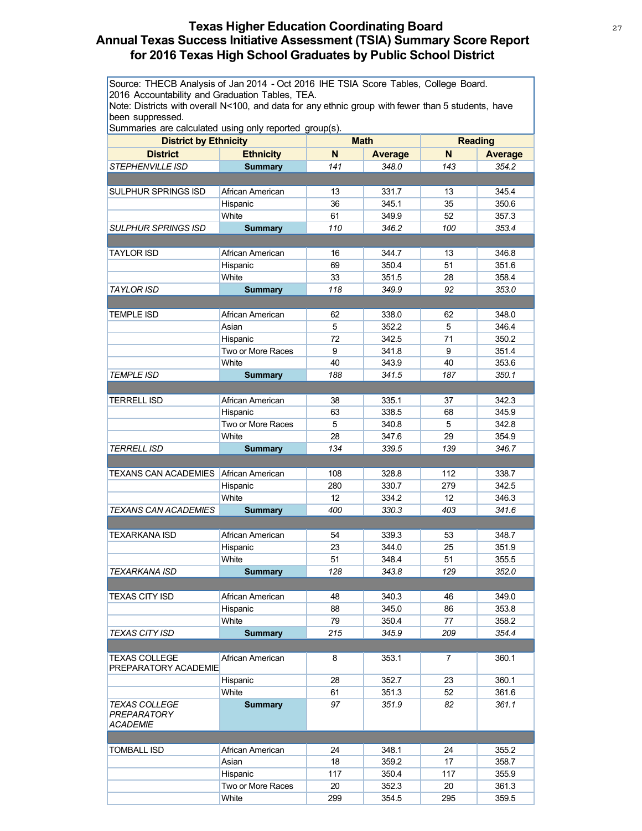# **Texas Higher Education Coordinating Board** 27 **Annual Texas Success Initiative Assessment (TSIA) Summary Score Report for 2016 Texas High School Graduates by Public School District**

Source: THECB Analysis of Jan 2014 - Oct 2016 IHE TSIA Score Tables, College Board. 2016 Accountability and Graduation Tables, TEA.

Note: Districts with overall N<100, and data for any ethnic group with fewer than 5 students, have been suppressed.

| <b>District by Ethnicity</b> |                               | <b>Math</b> |                | <b>Reading</b> |                |
|------------------------------|-------------------------------|-------------|----------------|----------------|----------------|
| <b>District</b>              | <b>Ethnicity</b>              | N           | <b>Average</b> | N              | <b>Average</b> |
| <b>STEPHENVILLE ISD</b>      | <b>Summary</b>                | 141         | 348.0          | 143            | 354.2          |
|                              |                               |             |                |                |                |
| <b>SULPHUR SPRINGS ISD</b>   | African American              | 13          | 331.7          | 13             | 345.4          |
|                              | Hispanic                      | 36          | 345.1          | 35             | 350.6          |
|                              | White                         | 61          | 349.9          | 52             | 357.3          |
| SULPHUR SPRINGS ISD          | <b>Summary</b>                | 110         | 346.2          | 100            | 353.4          |
|                              |                               |             |                |                |                |
| TAYLOR ISD                   | African American              | 16          | 344.7          | 13             | 346.8          |
|                              | Hispanic                      | 69          | 350.4          | 51             | 351.6          |
|                              | White                         | 33          | 351.5          | 28             | 358.4          |
| TAYLOR ISD                   | <b>Summary</b>                | 118         | 349.9          | 92             | 353.0          |
|                              |                               |             |                |                |                |
| <b>TEMPLE ISD</b>            | African American              | 62          | 338.0          | 62             | 348.0          |
|                              | Asian                         | 5           | 352.2          | 5              | 346.4          |
|                              | Hispanic                      | 72          | 342.5          | 71             | 350.2          |
|                              | Two or More Races             | 9           | 341.8          | 9              | 351.4          |
|                              | White                         | 40          | 343.9          | 40             | 353.6          |
| <b>TEMPLE ISD</b>            | <b>Summary</b>                | 188         | 341.5          | 187            | 350.1          |
|                              |                               |             |                |                |                |
| <b>TERRELL ISD</b>           | African American              | 38          | 335.1          | 37             | 342.3          |
|                              |                               |             | 338.5          |                | 345.9          |
|                              | Hispanic<br>Two or More Races | 63<br>5     | 340.8          | 68<br>5        | 342.8          |
|                              | White                         | 28          | 347.6          | 29             | 354.9          |
| <b>TERRELL ISD</b>           |                               | 134         | 339.5          | 139            | 346.7          |
|                              | <b>Summary</b>                |             |                |                |                |
|                              |                               |             |                |                |                |
| TEXANS CAN ACADEMIES         | African American              | 108         | 328.8          | 112            | 338.7          |
|                              | Hispanic                      | 280         | 330.7          | 279            | 342.5          |
| <b>TEXANS CAN ACADEMIES</b>  | White                         | 12<br>400   | 334.2<br>330.3 | 12<br>403      | 346.3<br>341.6 |
|                              | <b>Summary</b>                |             |                |                |                |
| <b>TEXARKANA ISD</b>         | African American              |             | 339.3          |                |                |
|                              |                               | 54<br>23    |                | 53<br>25       | 348.7<br>351.9 |
|                              | Hispanic<br>White             | 51          | 344.0<br>348.4 | 51             |                |
| <b>TEXARKANA ISD</b>         |                               | 128         | 343.8          | 129            | 355.5<br>352.0 |
|                              | <b>Summary</b>                |             |                |                |                |
|                              | African American              | 48          | 340.3          |                |                |
| TEXAS CITY ISD               |                               | 88          | 345.0          | 46             | 349.0<br>353.8 |
|                              | Hispanic<br>White             | 79          | 350.4          | 86<br>77       | 358.2          |
| <b>TEXAS CITY ISD</b>        | <b>Summary</b>                | 215         | 345.9          | 209            | 354.4          |
|                              |                               |             |                |                |                |
| <b>TEXAS COLLEGE</b>         | African American              | 8           |                | $\overline{7}$ | 360.1          |
| PREPARATORY ACADEMIE         |                               |             | 353.1          |                |                |
|                              | Hispanic                      | 28          | 352.7          | 23             | 360.1          |
|                              | White                         | 61          | 351.3          | 52             | 361.6          |
| <b>TEXAS COLLEGE</b>         | <b>Summary</b>                | 97          | 351.9          | 82             | 361.1          |
| PREPARATORY                  |                               |             |                |                |                |
| <b>ACADEMIE</b>              |                               |             |                |                |                |
|                              |                               |             |                |                |                |
| <b>TOMBALL ISD</b>           | African American              | 24          | 348.1          | 24             | 355.2          |
|                              | Asian                         | 18          | 359.2          | 17             | 358.7          |
|                              | Hispanic                      | 117         | 350.4          | 117            | 355.9          |
|                              | Two or More Races             | 20          | 352.3          | 20             | 361.3          |
|                              | White                         | 299         | 354.5          | 295            | 359.5          |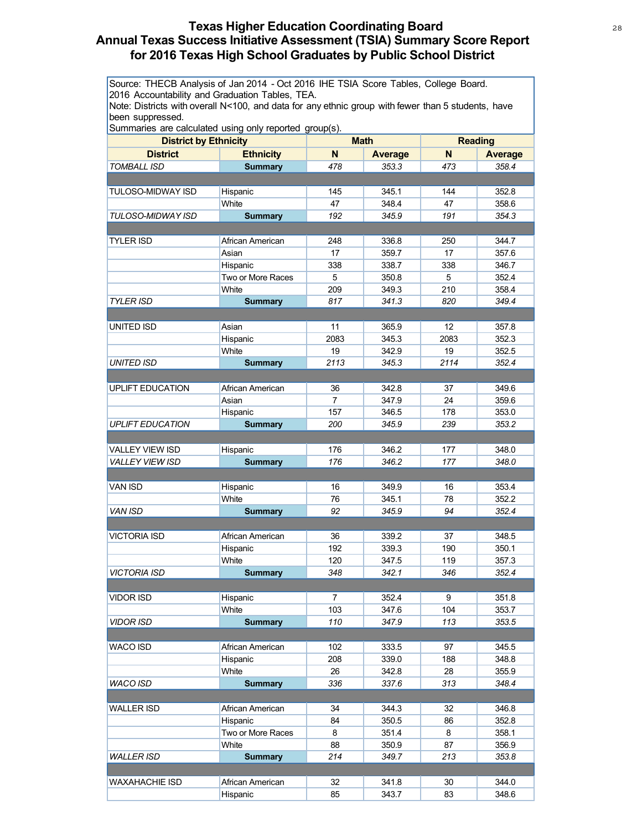# **Texas Higher Education Coordinating Board** 28 28 **Annual Texas Success Initiative Assessment (TSIA) Summary Score Report for 2016 Texas High School Graduates by Public School District**

Source: THECB Analysis of Jan 2014 - Oct 2016 IHE TSIA Score Tables, College Board. 2016 Accountability and Graduation Tables, TEA.

Note: Districts with overall N<100, and data for any ethnic group with fewer than 5 students, have been suppressed.

| N<br><b>District</b><br><b>Ethnicity</b><br>N <sub>1</sub><br><b>Average</b><br><b>Average</b><br><b>TOMBALL ISD</b><br><b>Summary</b><br>478<br>353.3<br>473<br>358.4<br>Hispanic<br>345.1<br>352.8<br><b>TULOSO-MIDWAY ISD</b><br>145<br>144<br>White<br>47<br>348.4<br>47<br>358.6<br>192<br>345.9<br>191<br>354.3<br>TULOSO-MIDWAY ISD<br><b>Summary</b><br><b>TYLER ISD</b><br>336.8<br>250<br>344.7<br>African American<br>248<br>17<br>17<br>357.6<br>Asian<br>359.7<br>338.7<br>346.7<br>Hispanic<br>338<br>338<br>Two or More Races<br>5<br>350.8<br>5<br>352.4<br>209<br>210<br>White<br>349.3<br>358.4<br>349.4<br><b>TYLER ISD</b><br>817<br>341.3<br>820<br><b>Summary</b><br>11<br>Asian<br>365.9<br>12<br>357.8<br>UNITED ISD<br>2083<br>345.3<br>352.3<br>2083<br>Hispanic<br>White<br>19<br>342.9<br>19<br>352.5<br><b>UNITED ISD</b><br>2113<br>345.3<br>2114<br>352.4<br><b>Summary</b><br><b>UPLIFT EDUCATION</b><br>342.8<br>349.6<br>African American<br>36<br>37<br>$\overline{7}$<br>24<br>Asian<br>347.9<br>359.6<br>157<br>346.5<br>178<br>353.0<br>Hispanic<br><b>UPLIFT EDUCATION</b><br><b>Summary</b><br>200<br>345.9<br>239<br>353.2<br><b>VALLEY VIEW ISD</b><br>Hispanic<br>176<br>346.2<br>177<br>348.0<br>176<br><b>VALLEY VIEW ISD</b><br><b>Summary</b><br>346.2<br>177<br>348.0<br>Hispanic<br><b>VAN ISD</b><br>16<br>349.9<br>16<br>353.4<br>White<br>345.1<br>352.2<br>76<br>78<br><b>VAN ISD</b><br>94<br><b>Summary</b><br>92<br>345.9<br>352.4<br>African American<br>348.5<br>VICTORIA ISD<br>36<br>339.2<br>37<br>Hispanic<br>192<br>339.3<br>190<br>350.1<br>White<br>120<br>347.5<br>119<br>357.3<br><b>VICTORIA ISD</b><br>348<br>342.1<br>346<br>352.4<br><b>Summary</b><br>VIDOR ISD<br>Hispanic<br>7<br>352.4<br>9<br>351.8<br>White<br>353.7<br>103<br>347.6<br>104<br>110<br>347.9<br>113<br>353.5<br><b>VIDOR ISD</b><br><b>Summary</b><br>102<br>333.5<br>97<br>345.5<br>WACO ISD<br>African American<br>Hispanic<br>208<br>339.0<br>188<br>348.8<br>White<br>355.9<br>26<br>342.8<br>28<br><b>WACO ISD</b><br>336<br>348.4<br><b>Summary</b><br>337.6<br>313<br>34<br>344.3<br>346.8<br><b>WALLER ISD</b><br>African American<br>32<br>Hispanic<br>84<br>350.5<br>86<br>352.8<br>Two or More Races<br>351.4<br>8<br>8<br>358.1<br>White<br>88<br>87<br>356.9<br>350.9<br>214<br><b>WALLER ISD</b><br>349.7<br>213<br>353.8<br><b>Summary</b><br><b>WAXAHACHIE ISD</b><br>African American<br>32<br>341.8<br>30<br>344.0 | <b>District by Ethnicity</b> |          | <i>ن</i> - - - - - - - - -<br><b>Math</b> |       | <b>Reading</b> |       |
|----------------------------------------------------------------------------------------------------------------------------------------------------------------------------------------------------------------------------------------------------------------------------------------------------------------------------------------------------------------------------------------------------------------------------------------------------------------------------------------------------------------------------------------------------------------------------------------------------------------------------------------------------------------------------------------------------------------------------------------------------------------------------------------------------------------------------------------------------------------------------------------------------------------------------------------------------------------------------------------------------------------------------------------------------------------------------------------------------------------------------------------------------------------------------------------------------------------------------------------------------------------------------------------------------------------------------------------------------------------------------------------------------------------------------------------------------------------------------------------------------------------------------------------------------------------------------------------------------------------------------------------------------------------------------------------------------------------------------------------------------------------------------------------------------------------------------------------------------------------------------------------------------------------------------------------------------------------------------------------------------------------------------------------------------------------------------------------------------------------------------------------------------------------------------------------------------------------------------------------------------------------------------------------------------------------------------------------------------------------------------------------------------------------------------------------------------------------------------------|------------------------------|----------|-------------------------------------------|-------|----------------|-------|
|                                                                                                                                                                                                                                                                                                                                                                                                                                                                                                                                                                                                                                                                                                                                                                                                                                                                                                                                                                                                                                                                                                                                                                                                                                                                                                                                                                                                                                                                                                                                                                                                                                                                                                                                                                                                                                                                                                                                                                                                                                                                                                                                                                                                                                                                                                                                                                                                                                                                                  |                              |          |                                           |       |                |       |
|                                                                                                                                                                                                                                                                                                                                                                                                                                                                                                                                                                                                                                                                                                                                                                                                                                                                                                                                                                                                                                                                                                                                                                                                                                                                                                                                                                                                                                                                                                                                                                                                                                                                                                                                                                                                                                                                                                                                                                                                                                                                                                                                                                                                                                                                                                                                                                                                                                                                                  |                              |          |                                           |       |                |       |
|                                                                                                                                                                                                                                                                                                                                                                                                                                                                                                                                                                                                                                                                                                                                                                                                                                                                                                                                                                                                                                                                                                                                                                                                                                                                                                                                                                                                                                                                                                                                                                                                                                                                                                                                                                                                                                                                                                                                                                                                                                                                                                                                                                                                                                                                                                                                                                                                                                                                                  |                              |          |                                           |       |                |       |
|                                                                                                                                                                                                                                                                                                                                                                                                                                                                                                                                                                                                                                                                                                                                                                                                                                                                                                                                                                                                                                                                                                                                                                                                                                                                                                                                                                                                                                                                                                                                                                                                                                                                                                                                                                                                                                                                                                                                                                                                                                                                                                                                                                                                                                                                                                                                                                                                                                                                                  |                              |          |                                           |       |                |       |
|                                                                                                                                                                                                                                                                                                                                                                                                                                                                                                                                                                                                                                                                                                                                                                                                                                                                                                                                                                                                                                                                                                                                                                                                                                                                                                                                                                                                                                                                                                                                                                                                                                                                                                                                                                                                                                                                                                                                                                                                                                                                                                                                                                                                                                                                                                                                                                                                                                                                                  |                              |          |                                           |       |                |       |
|                                                                                                                                                                                                                                                                                                                                                                                                                                                                                                                                                                                                                                                                                                                                                                                                                                                                                                                                                                                                                                                                                                                                                                                                                                                                                                                                                                                                                                                                                                                                                                                                                                                                                                                                                                                                                                                                                                                                                                                                                                                                                                                                                                                                                                                                                                                                                                                                                                                                                  |                              |          |                                           |       |                |       |
|                                                                                                                                                                                                                                                                                                                                                                                                                                                                                                                                                                                                                                                                                                                                                                                                                                                                                                                                                                                                                                                                                                                                                                                                                                                                                                                                                                                                                                                                                                                                                                                                                                                                                                                                                                                                                                                                                                                                                                                                                                                                                                                                                                                                                                                                                                                                                                                                                                                                                  |                              |          |                                           |       |                |       |
|                                                                                                                                                                                                                                                                                                                                                                                                                                                                                                                                                                                                                                                                                                                                                                                                                                                                                                                                                                                                                                                                                                                                                                                                                                                                                                                                                                                                                                                                                                                                                                                                                                                                                                                                                                                                                                                                                                                                                                                                                                                                                                                                                                                                                                                                                                                                                                                                                                                                                  |                              |          |                                           |       |                |       |
|                                                                                                                                                                                                                                                                                                                                                                                                                                                                                                                                                                                                                                                                                                                                                                                                                                                                                                                                                                                                                                                                                                                                                                                                                                                                                                                                                                                                                                                                                                                                                                                                                                                                                                                                                                                                                                                                                                                                                                                                                                                                                                                                                                                                                                                                                                                                                                                                                                                                                  |                              |          |                                           |       |                |       |
|                                                                                                                                                                                                                                                                                                                                                                                                                                                                                                                                                                                                                                                                                                                                                                                                                                                                                                                                                                                                                                                                                                                                                                                                                                                                                                                                                                                                                                                                                                                                                                                                                                                                                                                                                                                                                                                                                                                                                                                                                                                                                                                                                                                                                                                                                                                                                                                                                                                                                  |                              |          |                                           |       |                |       |
|                                                                                                                                                                                                                                                                                                                                                                                                                                                                                                                                                                                                                                                                                                                                                                                                                                                                                                                                                                                                                                                                                                                                                                                                                                                                                                                                                                                                                                                                                                                                                                                                                                                                                                                                                                                                                                                                                                                                                                                                                                                                                                                                                                                                                                                                                                                                                                                                                                                                                  |                              |          |                                           |       |                |       |
|                                                                                                                                                                                                                                                                                                                                                                                                                                                                                                                                                                                                                                                                                                                                                                                                                                                                                                                                                                                                                                                                                                                                                                                                                                                                                                                                                                                                                                                                                                                                                                                                                                                                                                                                                                                                                                                                                                                                                                                                                                                                                                                                                                                                                                                                                                                                                                                                                                                                                  |                              |          |                                           |       |                |       |
|                                                                                                                                                                                                                                                                                                                                                                                                                                                                                                                                                                                                                                                                                                                                                                                                                                                                                                                                                                                                                                                                                                                                                                                                                                                                                                                                                                                                                                                                                                                                                                                                                                                                                                                                                                                                                                                                                                                                                                                                                                                                                                                                                                                                                                                                                                                                                                                                                                                                                  |                              |          |                                           |       |                |       |
|                                                                                                                                                                                                                                                                                                                                                                                                                                                                                                                                                                                                                                                                                                                                                                                                                                                                                                                                                                                                                                                                                                                                                                                                                                                                                                                                                                                                                                                                                                                                                                                                                                                                                                                                                                                                                                                                                                                                                                                                                                                                                                                                                                                                                                                                                                                                                                                                                                                                                  |                              |          |                                           |       |                |       |
|                                                                                                                                                                                                                                                                                                                                                                                                                                                                                                                                                                                                                                                                                                                                                                                                                                                                                                                                                                                                                                                                                                                                                                                                                                                                                                                                                                                                                                                                                                                                                                                                                                                                                                                                                                                                                                                                                                                                                                                                                                                                                                                                                                                                                                                                                                                                                                                                                                                                                  |                              |          |                                           |       |                |       |
|                                                                                                                                                                                                                                                                                                                                                                                                                                                                                                                                                                                                                                                                                                                                                                                                                                                                                                                                                                                                                                                                                                                                                                                                                                                                                                                                                                                                                                                                                                                                                                                                                                                                                                                                                                                                                                                                                                                                                                                                                                                                                                                                                                                                                                                                                                                                                                                                                                                                                  |                              |          |                                           |       |                |       |
|                                                                                                                                                                                                                                                                                                                                                                                                                                                                                                                                                                                                                                                                                                                                                                                                                                                                                                                                                                                                                                                                                                                                                                                                                                                                                                                                                                                                                                                                                                                                                                                                                                                                                                                                                                                                                                                                                                                                                                                                                                                                                                                                                                                                                                                                                                                                                                                                                                                                                  |                              |          |                                           |       |                |       |
|                                                                                                                                                                                                                                                                                                                                                                                                                                                                                                                                                                                                                                                                                                                                                                                                                                                                                                                                                                                                                                                                                                                                                                                                                                                                                                                                                                                                                                                                                                                                                                                                                                                                                                                                                                                                                                                                                                                                                                                                                                                                                                                                                                                                                                                                                                                                                                                                                                                                                  |                              |          |                                           |       |                |       |
|                                                                                                                                                                                                                                                                                                                                                                                                                                                                                                                                                                                                                                                                                                                                                                                                                                                                                                                                                                                                                                                                                                                                                                                                                                                                                                                                                                                                                                                                                                                                                                                                                                                                                                                                                                                                                                                                                                                                                                                                                                                                                                                                                                                                                                                                                                                                                                                                                                                                                  |                              |          |                                           |       |                |       |
|                                                                                                                                                                                                                                                                                                                                                                                                                                                                                                                                                                                                                                                                                                                                                                                                                                                                                                                                                                                                                                                                                                                                                                                                                                                                                                                                                                                                                                                                                                                                                                                                                                                                                                                                                                                                                                                                                                                                                                                                                                                                                                                                                                                                                                                                                                                                                                                                                                                                                  |                              |          |                                           |       |                |       |
|                                                                                                                                                                                                                                                                                                                                                                                                                                                                                                                                                                                                                                                                                                                                                                                                                                                                                                                                                                                                                                                                                                                                                                                                                                                                                                                                                                                                                                                                                                                                                                                                                                                                                                                                                                                                                                                                                                                                                                                                                                                                                                                                                                                                                                                                                                                                                                                                                                                                                  |                              |          |                                           |       |                |       |
|                                                                                                                                                                                                                                                                                                                                                                                                                                                                                                                                                                                                                                                                                                                                                                                                                                                                                                                                                                                                                                                                                                                                                                                                                                                                                                                                                                                                                                                                                                                                                                                                                                                                                                                                                                                                                                                                                                                                                                                                                                                                                                                                                                                                                                                                                                                                                                                                                                                                                  |                              |          |                                           |       |                |       |
|                                                                                                                                                                                                                                                                                                                                                                                                                                                                                                                                                                                                                                                                                                                                                                                                                                                                                                                                                                                                                                                                                                                                                                                                                                                                                                                                                                                                                                                                                                                                                                                                                                                                                                                                                                                                                                                                                                                                                                                                                                                                                                                                                                                                                                                                                                                                                                                                                                                                                  |                              |          |                                           |       |                |       |
|                                                                                                                                                                                                                                                                                                                                                                                                                                                                                                                                                                                                                                                                                                                                                                                                                                                                                                                                                                                                                                                                                                                                                                                                                                                                                                                                                                                                                                                                                                                                                                                                                                                                                                                                                                                                                                                                                                                                                                                                                                                                                                                                                                                                                                                                                                                                                                                                                                                                                  |                              |          |                                           |       |                |       |
|                                                                                                                                                                                                                                                                                                                                                                                                                                                                                                                                                                                                                                                                                                                                                                                                                                                                                                                                                                                                                                                                                                                                                                                                                                                                                                                                                                                                                                                                                                                                                                                                                                                                                                                                                                                                                                                                                                                                                                                                                                                                                                                                                                                                                                                                                                                                                                                                                                                                                  |                              |          |                                           |       |                |       |
|                                                                                                                                                                                                                                                                                                                                                                                                                                                                                                                                                                                                                                                                                                                                                                                                                                                                                                                                                                                                                                                                                                                                                                                                                                                                                                                                                                                                                                                                                                                                                                                                                                                                                                                                                                                                                                                                                                                                                                                                                                                                                                                                                                                                                                                                                                                                                                                                                                                                                  |                              |          |                                           |       |                |       |
|                                                                                                                                                                                                                                                                                                                                                                                                                                                                                                                                                                                                                                                                                                                                                                                                                                                                                                                                                                                                                                                                                                                                                                                                                                                                                                                                                                                                                                                                                                                                                                                                                                                                                                                                                                                                                                                                                                                                                                                                                                                                                                                                                                                                                                                                                                                                                                                                                                                                                  |                              |          |                                           |       |                |       |
|                                                                                                                                                                                                                                                                                                                                                                                                                                                                                                                                                                                                                                                                                                                                                                                                                                                                                                                                                                                                                                                                                                                                                                                                                                                                                                                                                                                                                                                                                                                                                                                                                                                                                                                                                                                                                                                                                                                                                                                                                                                                                                                                                                                                                                                                                                                                                                                                                                                                                  |                              |          |                                           |       |                |       |
|                                                                                                                                                                                                                                                                                                                                                                                                                                                                                                                                                                                                                                                                                                                                                                                                                                                                                                                                                                                                                                                                                                                                                                                                                                                                                                                                                                                                                                                                                                                                                                                                                                                                                                                                                                                                                                                                                                                                                                                                                                                                                                                                                                                                                                                                                                                                                                                                                                                                                  |                              |          |                                           |       |                |       |
|                                                                                                                                                                                                                                                                                                                                                                                                                                                                                                                                                                                                                                                                                                                                                                                                                                                                                                                                                                                                                                                                                                                                                                                                                                                                                                                                                                                                                                                                                                                                                                                                                                                                                                                                                                                                                                                                                                                                                                                                                                                                                                                                                                                                                                                                                                                                                                                                                                                                                  |                              |          |                                           |       |                |       |
|                                                                                                                                                                                                                                                                                                                                                                                                                                                                                                                                                                                                                                                                                                                                                                                                                                                                                                                                                                                                                                                                                                                                                                                                                                                                                                                                                                                                                                                                                                                                                                                                                                                                                                                                                                                                                                                                                                                                                                                                                                                                                                                                                                                                                                                                                                                                                                                                                                                                                  |                              |          |                                           |       |                |       |
|                                                                                                                                                                                                                                                                                                                                                                                                                                                                                                                                                                                                                                                                                                                                                                                                                                                                                                                                                                                                                                                                                                                                                                                                                                                                                                                                                                                                                                                                                                                                                                                                                                                                                                                                                                                                                                                                                                                                                                                                                                                                                                                                                                                                                                                                                                                                                                                                                                                                                  |                              |          |                                           |       |                |       |
|                                                                                                                                                                                                                                                                                                                                                                                                                                                                                                                                                                                                                                                                                                                                                                                                                                                                                                                                                                                                                                                                                                                                                                                                                                                                                                                                                                                                                                                                                                                                                                                                                                                                                                                                                                                                                                                                                                                                                                                                                                                                                                                                                                                                                                                                                                                                                                                                                                                                                  |                              |          |                                           |       |                |       |
|                                                                                                                                                                                                                                                                                                                                                                                                                                                                                                                                                                                                                                                                                                                                                                                                                                                                                                                                                                                                                                                                                                                                                                                                                                                                                                                                                                                                                                                                                                                                                                                                                                                                                                                                                                                                                                                                                                                                                                                                                                                                                                                                                                                                                                                                                                                                                                                                                                                                                  |                              |          |                                           |       |                |       |
|                                                                                                                                                                                                                                                                                                                                                                                                                                                                                                                                                                                                                                                                                                                                                                                                                                                                                                                                                                                                                                                                                                                                                                                                                                                                                                                                                                                                                                                                                                                                                                                                                                                                                                                                                                                                                                                                                                                                                                                                                                                                                                                                                                                                                                                                                                                                                                                                                                                                                  |                              |          |                                           |       |                |       |
|                                                                                                                                                                                                                                                                                                                                                                                                                                                                                                                                                                                                                                                                                                                                                                                                                                                                                                                                                                                                                                                                                                                                                                                                                                                                                                                                                                                                                                                                                                                                                                                                                                                                                                                                                                                                                                                                                                                                                                                                                                                                                                                                                                                                                                                                                                                                                                                                                                                                                  |                              |          |                                           |       |                |       |
|                                                                                                                                                                                                                                                                                                                                                                                                                                                                                                                                                                                                                                                                                                                                                                                                                                                                                                                                                                                                                                                                                                                                                                                                                                                                                                                                                                                                                                                                                                                                                                                                                                                                                                                                                                                                                                                                                                                                                                                                                                                                                                                                                                                                                                                                                                                                                                                                                                                                                  |                              |          |                                           |       |                |       |
|                                                                                                                                                                                                                                                                                                                                                                                                                                                                                                                                                                                                                                                                                                                                                                                                                                                                                                                                                                                                                                                                                                                                                                                                                                                                                                                                                                                                                                                                                                                                                                                                                                                                                                                                                                                                                                                                                                                                                                                                                                                                                                                                                                                                                                                                                                                                                                                                                                                                                  |                              |          |                                           |       |                |       |
|                                                                                                                                                                                                                                                                                                                                                                                                                                                                                                                                                                                                                                                                                                                                                                                                                                                                                                                                                                                                                                                                                                                                                                                                                                                                                                                                                                                                                                                                                                                                                                                                                                                                                                                                                                                                                                                                                                                                                                                                                                                                                                                                                                                                                                                                                                                                                                                                                                                                                  |                              |          |                                           |       |                |       |
|                                                                                                                                                                                                                                                                                                                                                                                                                                                                                                                                                                                                                                                                                                                                                                                                                                                                                                                                                                                                                                                                                                                                                                                                                                                                                                                                                                                                                                                                                                                                                                                                                                                                                                                                                                                                                                                                                                                                                                                                                                                                                                                                                                                                                                                                                                                                                                                                                                                                                  |                              |          |                                           |       |                |       |
|                                                                                                                                                                                                                                                                                                                                                                                                                                                                                                                                                                                                                                                                                                                                                                                                                                                                                                                                                                                                                                                                                                                                                                                                                                                                                                                                                                                                                                                                                                                                                                                                                                                                                                                                                                                                                                                                                                                                                                                                                                                                                                                                                                                                                                                                                                                                                                                                                                                                                  |                              |          |                                           |       |                |       |
|                                                                                                                                                                                                                                                                                                                                                                                                                                                                                                                                                                                                                                                                                                                                                                                                                                                                                                                                                                                                                                                                                                                                                                                                                                                                                                                                                                                                                                                                                                                                                                                                                                                                                                                                                                                                                                                                                                                                                                                                                                                                                                                                                                                                                                                                                                                                                                                                                                                                                  |                              |          |                                           |       |                |       |
|                                                                                                                                                                                                                                                                                                                                                                                                                                                                                                                                                                                                                                                                                                                                                                                                                                                                                                                                                                                                                                                                                                                                                                                                                                                                                                                                                                                                                                                                                                                                                                                                                                                                                                                                                                                                                                                                                                                                                                                                                                                                                                                                                                                                                                                                                                                                                                                                                                                                                  |                              |          |                                           |       |                |       |
|                                                                                                                                                                                                                                                                                                                                                                                                                                                                                                                                                                                                                                                                                                                                                                                                                                                                                                                                                                                                                                                                                                                                                                                                                                                                                                                                                                                                                                                                                                                                                                                                                                                                                                                                                                                                                                                                                                                                                                                                                                                                                                                                                                                                                                                                                                                                                                                                                                                                                  |                              |          |                                           |       |                |       |
|                                                                                                                                                                                                                                                                                                                                                                                                                                                                                                                                                                                                                                                                                                                                                                                                                                                                                                                                                                                                                                                                                                                                                                                                                                                                                                                                                                                                                                                                                                                                                                                                                                                                                                                                                                                                                                                                                                                                                                                                                                                                                                                                                                                                                                                                                                                                                                                                                                                                                  |                              |          |                                           |       |                |       |
|                                                                                                                                                                                                                                                                                                                                                                                                                                                                                                                                                                                                                                                                                                                                                                                                                                                                                                                                                                                                                                                                                                                                                                                                                                                                                                                                                                                                                                                                                                                                                                                                                                                                                                                                                                                                                                                                                                                                                                                                                                                                                                                                                                                                                                                                                                                                                                                                                                                                                  |                              |          |                                           |       |                |       |
|                                                                                                                                                                                                                                                                                                                                                                                                                                                                                                                                                                                                                                                                                                                                                                                                                                                                                                                                                                                                                                                                                                                                                                                                                                                                                                                                                                                                                                                                                                                                                                                                                                                                                                                                                                                                                                                                                                                                                                                                                                                                                                                                                                                                                                                                                                                                                                                                                                                                                  |                              |          |                                           |       |                |       |
|                                                                                                                                                                                                                                                                                                                                                                                                                                                                                                                                                                                                                                                                                                                                                                                                                                                                                                                                                                                                                                                                                                                                                                                                                                                                                                                                                                                                                                                                                                                                                                                                                                                                                                                                                                                                                                                                                                                                                                                                                                                                                                                                                                                                                                                                                                                                                                                                                                                                                  |                              |          |                                           |       |                |       |
|                                                                                                                                                                                                                                                                                                                                                                                                                                                                                                                                                                                                                                                                                                                                                                                                                                                                                                                                                                                                                                                                                                                                                                                                                                                                                                                                                                                                                                                                                                                                                                                                                                                                                                                                                                                                                                                                                                                                                                                                                                                                                                                                                                                                                                                                                                                                                                                                                                                                                  |                              |          |                                           |       |                |       |
|                                                                                                                                                                                                                                                                                                                                                                                                                                                                                                                                                                                                                                                                                                                                                                                                                                                                                                                                                                                                                                                                                                                                                                                                                                                                                                                                                                                                                                                                                                                                                                                                                                                                                                                                                                                                                                                                                                                                                                                                                                                                                                                                                                                                                                                                                                                                                                                                                                                                                  |                              |          |                                           |       |                |       |
|                                                                                                                                                                                                                                                                                                                                                                                                                                                                                                                                                                                                                                                                                                                                                                                                                                                                                                                                                                                                                                                                                                                                                                                                                                                                                                                                                                                                                                                                                                                                                                                                                                                                                                                                                                                                                                                                                                                                                                                                                                                                                                                                                                                                                                                                                                                                                                                                                                                                                  |                              |          |                                           |       |                |       |
|                                                                                                                                                                                                                                                                                                                                                                                                                                                                                                                                                                                                                                                                                                                                                                                                                                                                                                                                                                                                                                                                                                                                                                                                                                                                                                                                                                                                                                                                                                                                                                                                                                                                                                                                                                                                                                                                                                                                                                                                                                                                                                                                                                                                                                                                                                                                                                                                                                                                                  |                              |          |                                           |       |                |       |
|                                                                                                                                                                                                                                                                                                                                                                                                                                                                                                                                                                                                                                                                                                                                                                                                                                                                                                                                                                                                                                                                                                                                                                                                                                                                                                                                                                                                                                                                                                                                                                                                                                                                                                                                                                                                                                                                                                                                                                                                                                                                                                                                                                                                                                                                                                                                                                                                                                                                                  |                              | Hispanic | 85                                        | 343.7 | 83             | 348.6 |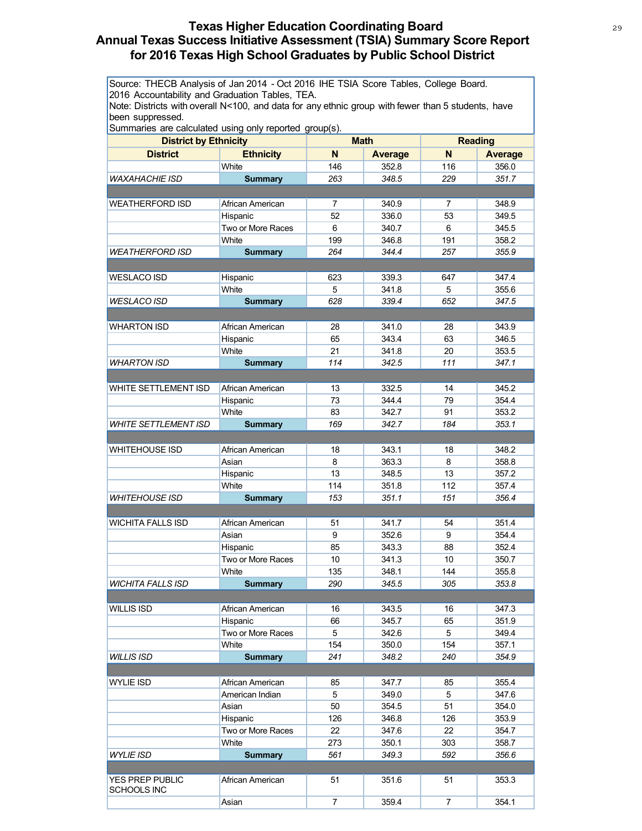# **Texas Higher Education Coordinating Board** 29 29 **Annual Texas Success Initiative Assessment (TSIA) Summary Score Report for 2016 Texas High School Graduates by Public School District**

Source: THECB Analysis of Jan 2014 - Oct 2016 IHE TSIA Score Tables, College Board. 2016 Accountability and Graduation Tables, TEA.

Note: Districts with overall N<100, and data for any ethnic group with fewer than 5 students, have been suppressed.

| <b>District by Ethnicity</b> |                   | <b>Math</b>    |                | <b>Reading</b> |                |
|------------------------------|-------------------|----------------|----------------|----------------|----------------|
| <b>District</b>              | <b>Ethnicity</b>  | N              | <b>Average</b> | N              | <b>Average</b> |
|                              | White             | 146            | 352.8          | 116            | 356.0          |
| <b>WAXAHACHIE ISD</b>        | <b>Summary</b>    | 263            | 348.5          | 229            | 351.7          |
|                              |                   |                |                |                |                |
| <b>WEATHERFORD ISD</b>       | African American  | 7              | 340.9          | 7              | 348.9          |
|                              | Hispanic          | 52             | 336.0          | 53             | 349.5          |
|                              | Two or More Races | 6              | 340.7          | 6              | 345.5          |
|                              | White             | 199            | 346.8          | 191            | 358.2          |
| <i>WEATHERFORD ISD</i>       | <b>Summary</b>    | 264            | 344.4          | 257            | 355.9          |
|                              |                   |                |                |                |                |
| <b>WESLACO ISD</b>           | Hispanic          | 623            | 339.3          | 647            | 347.4          |
|                              | White             | 5              | 341.8          | 5              | 355.6          |
| WESLACO ISD                  | <b>Summary</b>    | 628            | 339.4          | 652            | 347.5          |
|                              |                   |                |                |                |                |
| <b>WHARTON ISD</b>           | African American  | 28             | 341.0          | 28             | 343.9          |
|                              |                   |                | 343.4          | 63             | 346.5          |
|                              | Hispanic<br>White | 65             |                |                |                |
|                              |                   | 21             | 341.8          | 20             | 353.5          |
| <b>WHARTON ISD</b>           | <b>Summary</b>    | 114            | 342.5          | 111            | 347.1          |
|                              |                   |                |                |                |                |
| WHITE SETTLEMENT ISD         | African American  | 13             | 332.5          | 14             | 345.2          |
|                              | Hispanic          | 73             | 344.4          | 79             | 354.4          |
|                              | White             | 83             | 342.7          | 91             | 353.2          |
| <b>WHITE SETTLEMENT ISD</b>  | <b>Summary</b>    | 169            | 342.7          | 184            | 353.1          |
|                              |                   |                |                |                |                |
| <b>WHITEHOUSE ISD</b>        | African American  | 18             | 343.1          | 18             | 348.2          |
|                              | Asian             | 8              | 363.3          | 8              | 358.8          |
|                              | Hispanic          | 13             | 348.5          | 13             | 357.2          |
|                              | White             | 114            | 351.8          | 112            | 357.4          |
| <b>WHITEHOUSE ISD</b>        | <b>Summary</b>    | 153            | 351.1          | 151            | 356.4          |
|                              |                   |                |                |                |                |
| <b>WICHITA FALLS ISD</b>     | African American  | 51             | 341.7          | 54             | 351.4          |
|                              | Asian             | 9              | 352.6          | 9              | 354.4          |
|                              | Hispanic          | 85             | 343.3          | 88             | 352.4          |
|                              | Two or More Races | 10             | 341.3          | 10             | 350.7          |
|                              | White             | 135            | 348.1          | 144            | 355.8          |
| <b>WICHITA FALLS ISD</b>     | <b>Summary</b>    | 290            | 345.5          | 305            | 353.8          |
|                              |                   |                |                |                |                |
| <b>WILLIS ISD</b>            | African American  | 16             | 343.5          | 16             | 347.3          |
|                              | Hispanic          | 66             | 345.7          | 65             | 351.9          |
|                              | Two or More Races | 5              | 342.6          | 5              | 349.4          |
|                              | White             | 154            | 350.0          | 154            | 357.1          |
| <b>WILLIS ISD</b>            | <b>Summary</b>    | 241            | 348.2          | 240            | 354.9          |
|                              |                   |                |                |                |                |
| <b>WYLIE ISD</b>             | African American  | 85             | 347.7          | 85             | 355.4          |
|                              | American Indian   | 5              | 349.0          | 5              | 347.6          |
|                              | Asian             | 50             | 354.5          | 51             | 354.0          |
|                              | Hispanic          | 126            | 346.8          | 126            | 353.9          |
|                              | Two or More Races | 22             | 347.6          | 22             | 354.7          |
|                              | White             | 273            | 350.1          | 303            | 358.7          |
| WYLIE ISD                    | <b>Summary</b>    | 561            | 349.3          | 592            | 356.6          |
|                              |                   |                |                |                |                |
| YES PREP PUBLIC              | African American  | 51             | 351.6          | 51             | 353.3          |
| <b>SCHOOLS INC</b>           | Asian             | $\overline{7}$ | 359.4          | $\overline{7}$ | 354.1          |